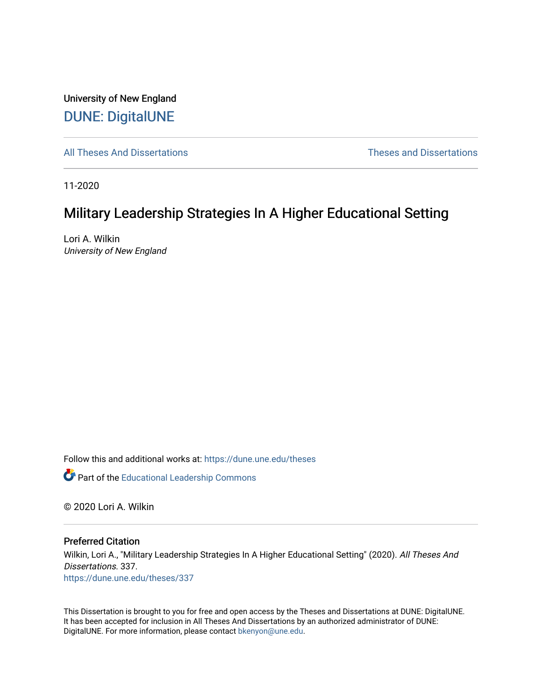University of New England [DUNE: DigitalUNE](https://dune.une.edu/) 

[All Theses And Dissertations](https://dune.une.edu/theses) [Theses and Dissertations](https://dune.une.edu/theses_dissertations) 

11-2020

# Military Leadership Strategies In A Higher Educational Setting

Lori A. Wilkin University of New England

Follow this and additional works at: [https://dune.une.edu/theses](https://dune.une.edu/theses?utm_source=dune.une.edu%2Ftheses%2F337&utm_medium=PDF&utm_campaign=PDFCoverPages) 

**Part of the Educational Leadership Commons** 

© 2020 Lori A. Wilkin

Preferred Citation

Wilkin, Lori A., "Military Leadership Strategies In A Higher Educational Setting" (2020). All Theses And Dissertations. 337. [https://dune.une.edu/theses/337](https://dune.une.edu/theses/337?utm_source=dune.une.edu%2Ftheses%2F337&utm_medium=PDF&utm_campaign=PDFCoverPages)

This Dissertation is brought to you for free and open access by the Theses and Dissertations at DUNE: DigitalUNE. It has been accepted for inclusion in All Theses And Dissertations by an authorized administrator of DUNE: DigitalUNE. For more information, please contact [bkenyon@une.edu.](mailto:bkenyon@une.edu)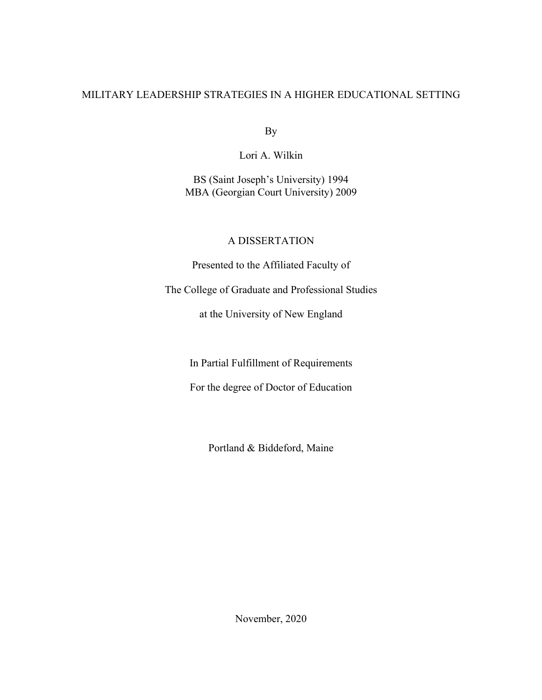## MILITARY LEADERSHIP STRATEGIES IN A HIGHER EDUCATIONAL SETTING

By

Lori A. Wilkin

BS (Saint Joseph's University) 1994 MBA (Georgian Court University) 2009

### A DISSERTATION

Presented to the Affiliated Faculty of

The College of Graduate and Professional Studies

at the University of New England

In Partial Fulfillment of Requirements

For the degree of Doctor of Education

Portland & Biddeford, Maine

November, 2020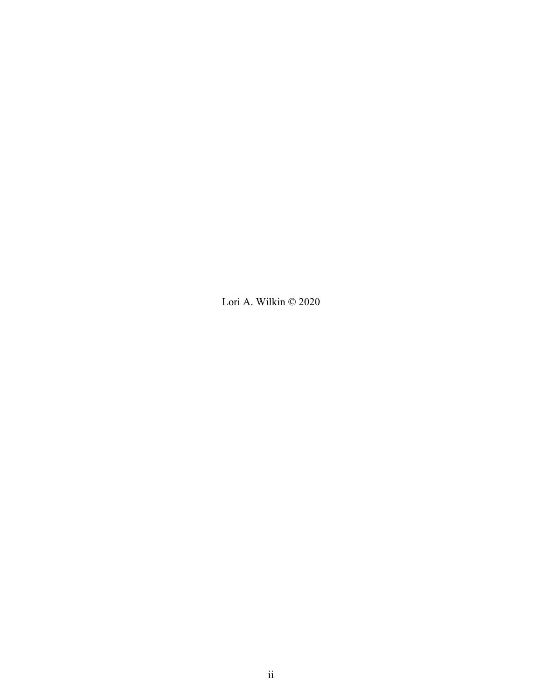Lori A. Wilkin © 2020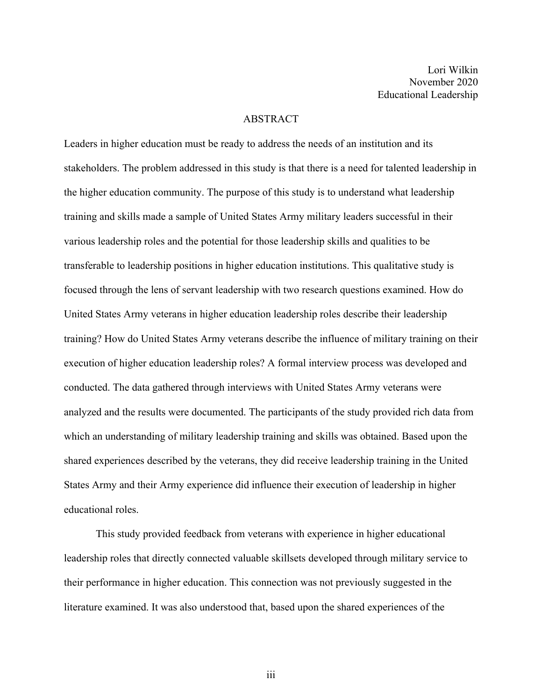Lori Wilkin November 2020 Educational Leadership

#### ABSTRACT

Leaders in higher education must be ready to address the needs of an institution and its stakeholders. The problem addressed in this study is that there is a need for talented leadership in the higher education community. The purpose of this study is to understand what leadership training and skills made a sample of United States Army military leaders successful in their various leadership roles and the potential for those leadership skills and qualities to be transferable to leadership positions in higher education institutions. This qualitative study is focused through the lens of servant leadership with two research questions examined. How do United States Army veterans in higher education leadership roles describe their leadership training? How do United States Army veterans describe the influence of military training on their execution of higher education leadership roles? A formal interview process was developed and conducted. The data gathered through interviews with United States Army veterans were analyzed and the results were documented. The participants of the study provided rich data from which an understanding of military leadership training and skills was obtained. Based upon the shared experiences described by the veterans, they did receive leadership training in the United States Army and their Army experience did influence their execution of leadership in higher educational roles.

This study provided feedback from veterans with experience in higher educational leadership roles that directly connected valuable skillsets developed through military service to their performance in higher education. This connection was not previously suggested in the literature examined. It was also understood that, based upon the shared experiences of the

iii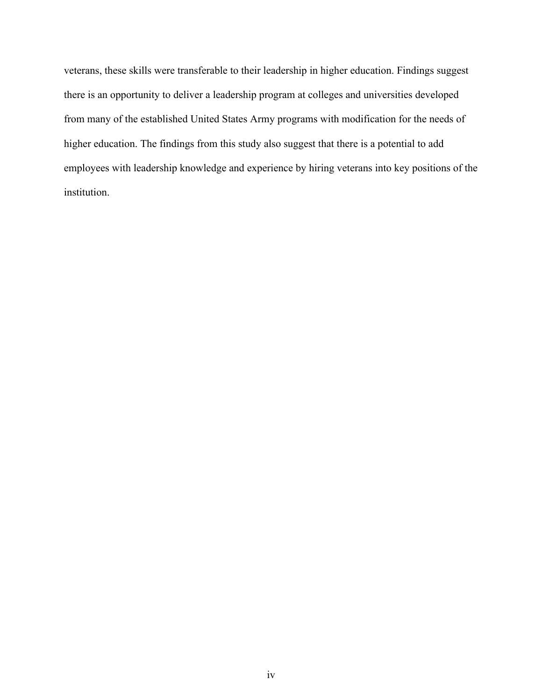veterans, these skills were transferable to their leadership in higher education. Findings suggest there is an opportunity to deliver a leadership program at colleges and universities developed from many of the established United States Army programs with modification for the needs of higher education. The findings from this study also suggest that there is a potential to add employees with leadership knowledge and experience by hiring veterans into key positions of the institution.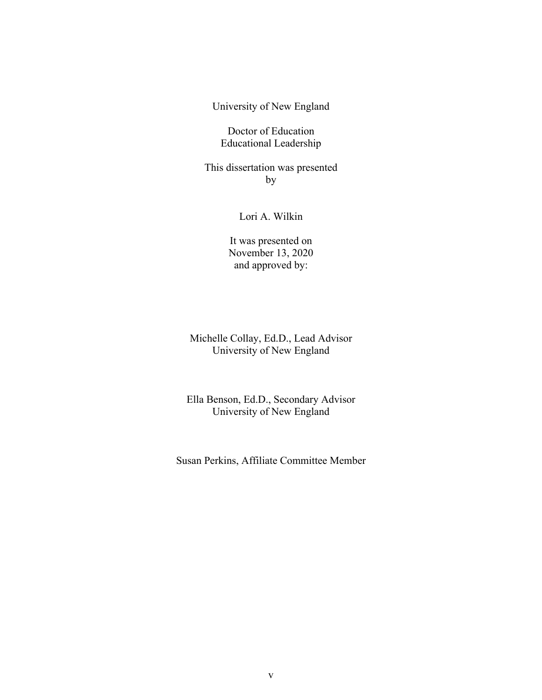University of New England

Doctor of Education Educational Leadership

This dissertation was presented by

Lori A. Wilkin

It was presented on November 13, 2020 and approved by:

Michelle Collay, Ed.D., Lead Advisor University of New England

Ella Benson, Ed.D., Secondary Advisor University of New England

Susan Perkins, Affiliate Committee Member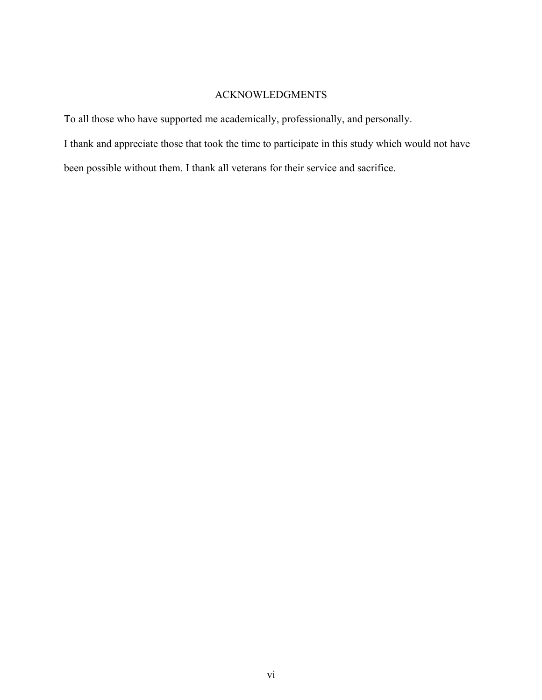## ACKNOWLEDGMENTS

To all those who have supported me academically, professionally, and personally.

I thank and appreciate those that took the time to participate in this study which would not have

been possible without them. I thank all veterans for their service and sacrifice.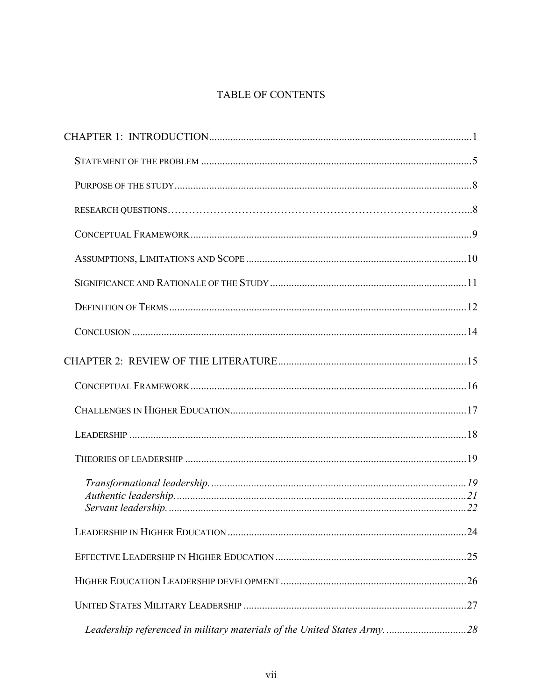## TABLE OF CONTENTS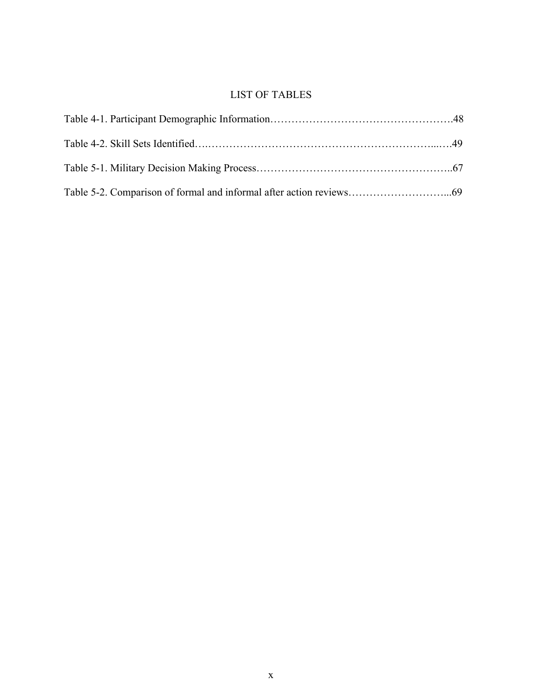## LIST OF TABLES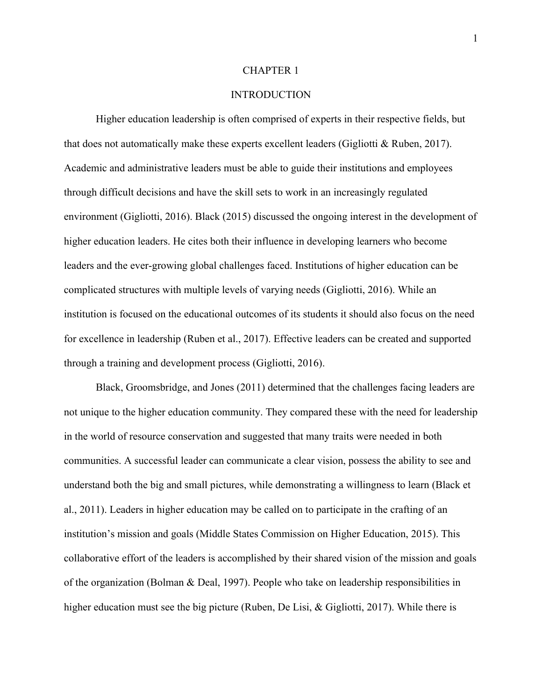#### CHAPTER 1

### **INTRODUCTION**

Higher education leadership is often comprised of experts in their respective fields, but that does not automatically make these experts excellent leaders (Gigliotti & Ruben, 2017). Academic and administrative leaders must be able to guide their institutions and employees through difficult decisions and have the skill sets to work in an increasingly regulated environment (Gigliotti, 2016). Black (2015) discussed the ongoing interest in the development of higher education leaders. He cites both their influence in developing learners who become leaders and the ever-growing global challenges faced. Institutions of higher education can be complicated structures with multiple levels of varying needs (Gigliotti, 2016). While an institution is focused on the educational outcomes of its students it should also focus on the need for excellence in leadership (Ruben et al., 2017). Effective leaders can be created and supported through a training and development process (Gigliotti, 2016).

Black, Groomsbridge, and Jones (2011) determined that the challenges facing leaders are not unique to the higher education community. They compared these with the need for leadership in the world of resource conservation and suggested that many traits were needed in both communities. A successful leader can communicate a clear vision, possess the ability to see and understand both the big and small pictures, while demonstrating a willingness to learn (Black et al., 2011). Leaders in higher education may be called on to participate in the crafting of an institution's mission and goals (Middle States Commission on Higher Education, 2015). This collaborative effort of the leaders is accomplished by their shared vision of the mission and goals of the organization (Bolman & Deal, 1997). People who take on leadership responsibilities in higher education must see the big picture (Ruben, De Lisi, & Gigliotti, 2017). While there is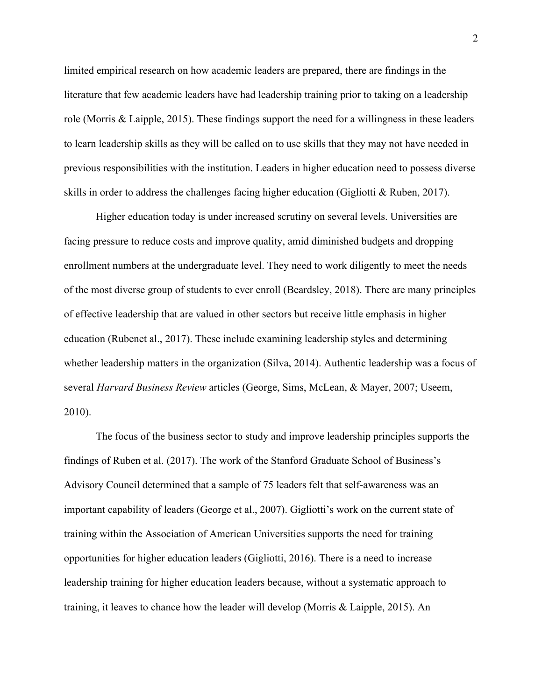limited empirical research on how academic leaders are prepared, there are findings in the literature that few academic leaders have had leadership training prior to taking on a leadership role (Morris & Laipple, 2015). These findings support the need for a willingness in these leaders to learn leadership skills as they will be called on to use skills that they may not have needed in previous responsibilities with the institution. Leaders in higher education need to possess diverse skills in order to address the challenges facing higher education (Gigliotti & Ruben, 2017).

Higher education today is under increased scrutiny on several levels. Universities are facing pressure to reduce costs and improve quality, amid diminished budgets and dropping enrollment numbers at the undergraduate level. They need to work diligently to meet the needs of the most diverse group of students to ever enroll (Beardsley, 2018). There are many principles of effective leadership that are valued in other sectors but receive little emphasis in higher education (Rubenet al., 2017). These include examining leadership styles and determining whether leadership matters in the organization (Silva, 2014). Authentic leadership was a focus of several *Harvard Business Review* articles (George, Sims, McLean, & Mayer, 2007; Useem, 2010).

The focus of the business sector to study and improve leadership principles supports the findings of Ruben et al. (2017). The work of the Stanford Graduate School of Business's Advisory Council determined that a sample of 75 leaders felt that self-awareness was an important capability of leaders (George et al., 2007). Gigliotti's work on the current state of training within the Association of American Universities supports the need for training opportunities for higher education leaders (Gigliotti, 2016). There is a need to increase leadership training for higher education leaders because, without a systematic approach to training, it leaves to chance how the leader will develop (Morris & Laipple, 2015). An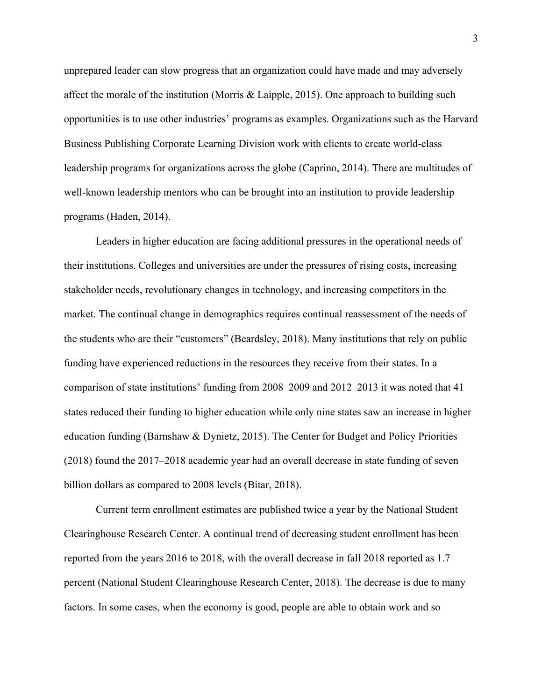unprepared leader can slow progress that an organization could have made and may adversely affect the morale of the institution (Morris & Laipple, 2015). One approach to building such opportunities is to use other industries' programs as examples. Organizations such as the Harvard Business Publishing Corporate Learning Division work with clients to create world-class leadership programs for organizations across the globe (Caprino, 2014). There are multitudes of well-known leadership mentors who can be brought into an institution to provide leadership programs (Haden, 2014).

Leaders in higher education are facing additional pressures in the operational needs of their institutions. Colleges and universities are under the pressures of rising costs, increasing stakeholder needs, revolutionary changes in technology, and increasing competitors in the market. The continual change in demographics requires continual reassessment of the needs of the students who are their "customers" (Beardsley, 2018). Many institutions that rely on public funding have experienced reductions in the resources they receive from their states. In a comparison of state institutions' funding from 2008–2009 and 2012–2013 it was noted that 41 states reduced their funding to higher education while only nine states saw an increase in higher education funding (Barnshaw & Dynietz, 2015). The Center for Budget and Policy Priorities (2018) found the 2017–2018 academic year had an overall decrease in state funding of seven billion dollars as compared to 2008 levels (Bitar, 2018).

Current term enrollment estimates are published twice a year by the National Student Clearinghouse Research Center. A continual trend of decreasing student enrollment has been reported from the years 2016 to 2018, with the overall decrease in fall 2018 reported as 1.7 percent (National Student Clearinghouse Research Center, 2018). The decrease is due to many factors. In some cases, when the economy is good, people are able to obtain work and so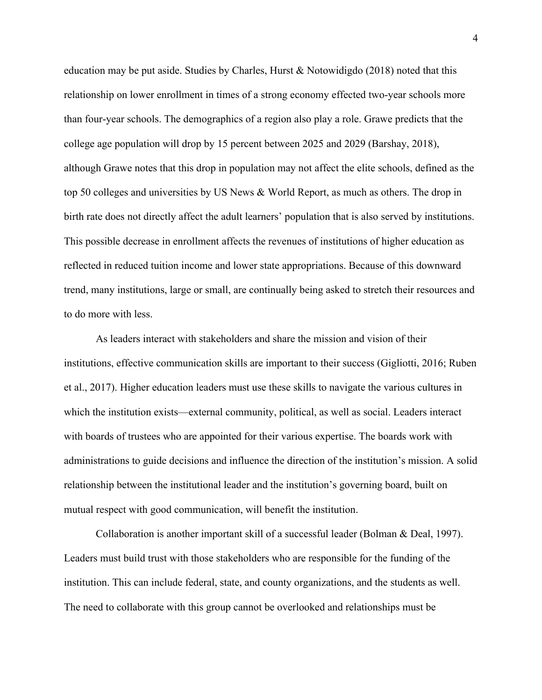education may be put aside. Studies by Charles, Hurst & Notowidigdo (2018) noted that this relationship on lower enrollment in times of a strong economy effected two-year schools more than four-year schools. The demographics of a region also play a role. Grawe predicts that the college age population will drop by 15 percent between 2025 and 2029 (Barshay, 2018), although Grawe notes that this drop in population may not affect the elite schools, defined as the top 50 colleges and universities by US News & World Report, as much as others. The drop in birth rate does not directly affect the adult learners' population that is also served by institutions. This possible decrease in enrollment affects the revenues of institutions of higher education as reflected in reduced tuition income and lower state appropriations. Because of this downward trend, many institutions, large or small, are continually being asked to stretch their resources and to do more with less.

As leaders interact with stakeholders and share the mission and vision of their institutions, effective communication skills are important to their success (Gigliotti, 2016; Ruben et al., 2017). Higher education leaders must use these skills to navigate the various cultures in which the institution exists—external community, political, as well as social. Leaders interact with boards of trustees who are appointed for their various expertise. The boards work with administrations to guide decisions and influence the direction of the institution's mission. A solid relationship between the institutional leader and the institution's governing board, built on mutual respect with good communication, will benefit the institution.

Collaboration is another important skill of a successful leader (Bolman & Deal, 1997). Leaders must build trust with those stakeholders who are responsible for the funding of the institution. This can include federal, state, and county organizations, and the students as well. The need to collaborate with this group cannot be overlooked and relationships must be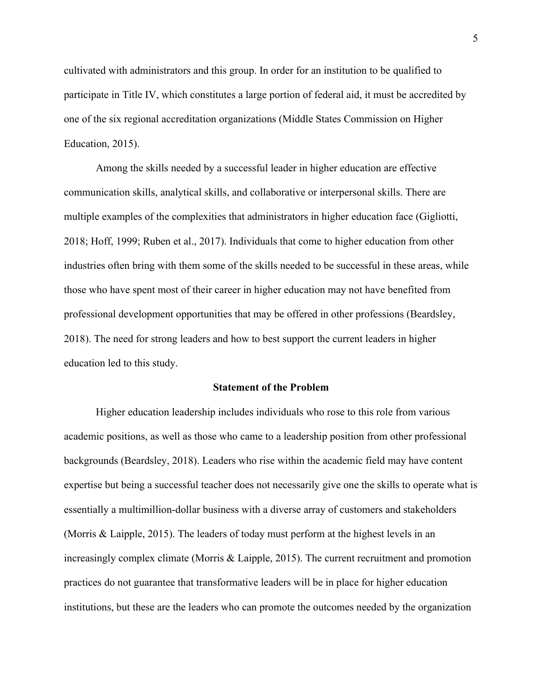cultivated with administrators and this group. In order for an institution to be qualified to participate in Title IV, which constitutes a large portion of federal aid, it must be accredited by one of the six regional accreditation organizations (Middle States Commission on Higher Education, 2015).

Among the skills needed by a successful leader in higher education are effective communication skills, analytical skills, and collaborative or interpersonal skills. There are multiple examples of the complexities that administrators in higher education face (Gigliotti, 2018; Hoff, 1999; Ruben et al., 2017). Individuals that come to higher education from other industries often bring with them some of the skills needed to be successful in these areas, while those who have spent most of their career in higher education may not have benefited from professional development opportunities that may be offered in other professions (Beardsley, 2018). The need for strong leaders and how to best support the current leaders in higher education led to this study.

#### **Statement of the Problem**

Higher education leadership includes individuals who rose to this role from various academic positions, as well as those who came to a leadership position from other professional backgrounds (Beardsley, 2018). Leaders who rise within the academic field may have content expertise but being a successful teacher does not necessarily give one the skills to operate what is essentially a multimillion-dollar business with a diverse array of customers and stakeholders (Morris & Laipple, 2015). The leaders of today must perform at the highest levels in an increasingly complex climate (Morris & Laipple, 2015). The current recruitment and promotion practices do not guarantee that transformative leaders will be in place for higher education institutions, but these are the leaders who can promote the outcomes needed by the organization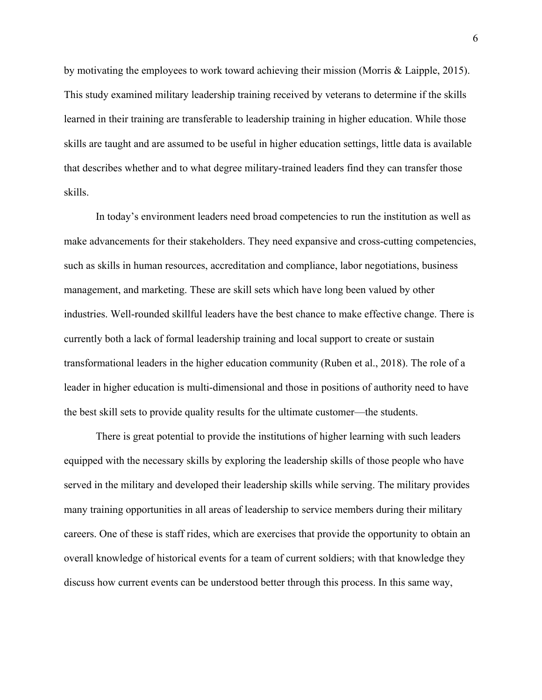by motivating the employees to work toward achieving their mission (Morris & Laipple, 2015). This study examined military leadership training received by veterans to determine if the skills learned in their training are transferable to leadership training in higher education. While those skills are taught and are assumed to be useful in higher education settings, little data is available that describes whether and to what degree military-trained leaders find they can transfer those skills.

In today's environment leaders need broad competencies to run the institution as well as make advancements for their stakeholders. They need expansive and cross-cutting competencies, such as skills in human resources, accreditation and compliance, labor negotiations, business management, and marketing. These are skill sets which have long been valued by other industries. Well-rounded skillful leaders have the best chance to make effective change. There is currently both a lack of formal leadership training and local support to create or sustain transformational leaders in the higher education community (Ruben et al., 2018). The role of a leader in higher education is multi-dimensional and those in positions of authority need to have the best skill sets to provide quality results for the ultimate customer—the students.

There is great potential to provide the institutions of higher learning with such leaders equipped with the necessary skills by exploring the leadership skills of those people who have served in the military and developed their leadership skills while serving. The military provides many training opportunities in all areas of leadership to service members during their military careers. One of these is staff rides, which are exercises that provide the opportunity to obtain an overall knowledge of historical events for a team of current soldiers; with that knowledge they discuss how current events can be understood better through this process. In this same way,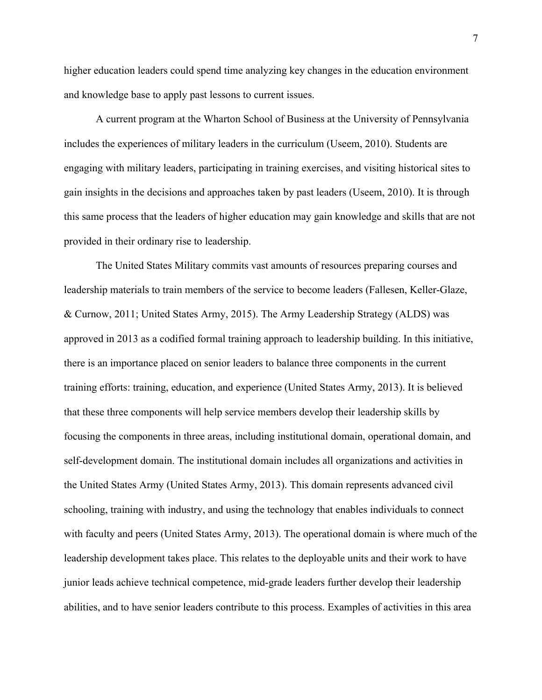higher education leaders could spend time analyzing key changes in the education environment and knowledge base to apply past lessons to current issues.

A current program at the Wharton School of Business at the University of Pennsylvania includes the experiences of military leaders in the curriculum (Useem, 2010). Students are engaging with military leaders, participating in training exercises, and visiting historical sites to gain insights in the decisions and approaches taken by past leaders (Useem, 2010). It is through this same process that the leaders of higher education may gain knowledge and skills that are not provided in their ordinary rise to leadership.

The United States Military commits vast amounts of resources preparing courses and leadership materials to train members of the service to become leaders (Fallesen, Keller-Glaze, & Curnow, 2011; United States Army, 2015). The Army Leadership Strategy (ALDS) was approved in 2013 as a codified formal training approach to leadership building. In this initiative, there is an importance placed on senior leaders to balance three components in the current training efforts: training, education, and experience (United States Army, 2013). It is believed that these three components will help service members develop their leadership skills by focusing the components in three areas, including institutional domain, operational domain, and self-development domain. The institutional domain includes all organizations and activities in the United States Army (United States Army, 2013). This domain represents advanced civil schooling, training with industry, and using the technology that enables individuals to connect with faculty and peers (United States Army, 2013). The operational domain is where much of the leadership development takes place. This relates to the deployable units and their work to have junior leads achieve technical competence, mid-grade leaders further develop their leadership abilities, and to have senior leaders contribute to this process. Examples of activities in this area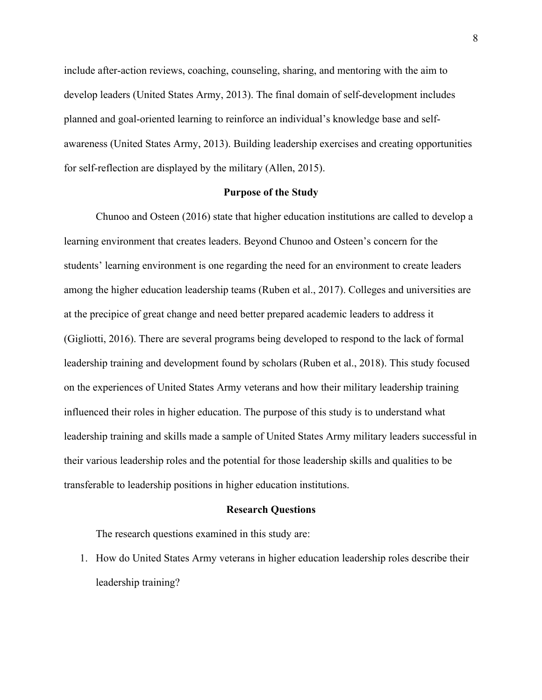include after-action reviews, coaching, counseling, sharing, and mentoring with the aim to develop leaders (United States Army, 2013). The final domain of self-development includes planned and goal-oriented learning to reinforce an individual's knowledge base and selfawareness (United States Army, 2013). Building leadership exercises and creating opportunities for self-reflection are displayed by the military (Allen, 2015).

#### **Purpose of the Study**

Chunoo and Osteen (2016) state that higher education institutions are called to develop a learning environment that creates leaders. Beyond Chunoo and Osteen's concern for the students' learning environment is one regarding the need for an environment to create leaders among the higher education leadership teams (Ruben et al., 2017). Colleges and universities are at the precipice of great change and need better prepared academic leaders to address it (Gigliotti, 2016). There are several programs being developed to respond to the lack of formal leadership training and development found by scholars (Ruben et al., 2018). This study focused on the experiences of United States Army veterans and how their military leadership training influenced their roles in higher education. The purpose of this study is to understand what leadership training and skills made a sample of United States Army military leaders successful in their various leadership roles and the potential for those leadership skills and qualities to be transferable to leadership positions in higher education institutions.

#### **Research Questions**

The research questions examined in this study are:

1. How do United States Army veterans in higher education leadership roles describe their leadership training?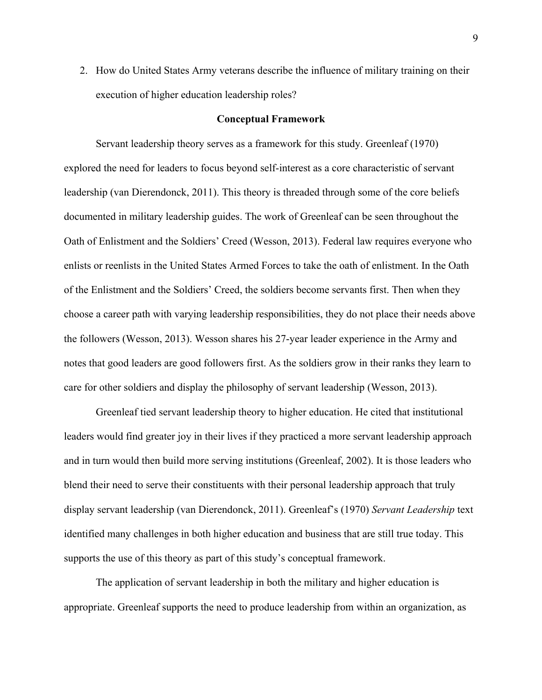2. How do United States Army veterans describe the influence of military training on their execution of higher education leadership roles?

#### **Conceptual Framework**

Servant leadership theory serves as a framework for this study. Greenleaf (1970) explored the need for leaders to focus beyond self-interest as a core characteristic of servant leadership (van Dierendonck, 2011). This theory is threaded through some of the core beliefs documented in military leadership guides. The work of Greenleaf can be seen throughout the Oath of Enlistment and the Soldiers' Creed (Wesson, 2013). Federal law requires everyone who enlists or reenlists in the United States Armed Forces to take the oath of enlistment. In the Oath of the Enlistment and the Soldiers' Creed, the soldiers become servants first. Then when they choose a career path with varying leadership responsibilities, they do not place their needs above the followers (Wesson, 2013). Wesson shares his 27-year leader experience in the Army and notes that good leaders are good followers first. As the soldiers grow in their ranks they learn to care for other soldiers and display the philosophy of servant leadership (Wesson, 2013).

Greenleaf tied servant leadership theory to higher education. He cited that institutional leaders would find greater joy in their lives if they practiced a more servant leadership approach and in turn would then build more serving institutions (Greenleaf, 2002). It is those leaders who blend their need to serve their constituents with their personal leadership approach that truly display servant leadership (van Dierendonck, 2011). Greenleaf's (1970) *Servant Leadership* text identified many challenges in both higher education and business that are still true today. This supports the use of this theory as part of this study's conceptual framework.

The application of servant leadership in both the military and higher education is appropriate. Greenleaf supports the need to produce leadership from within an organization, as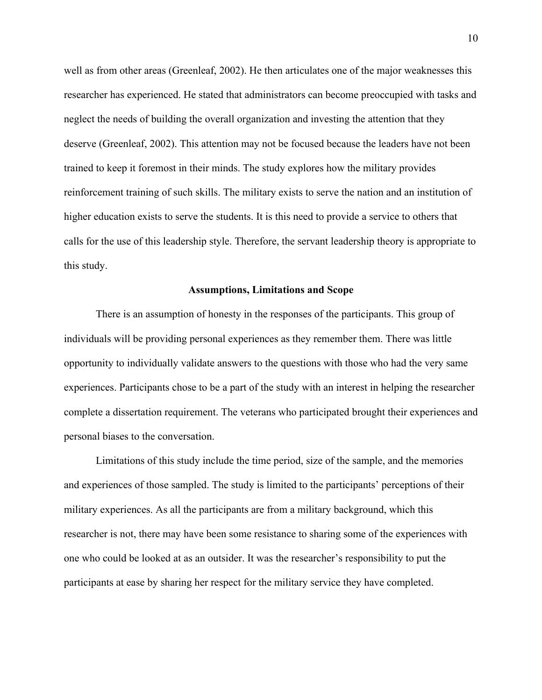well as from other areas (Greenleaf, 2002). He then articulates one of the major weaknesses this researcher has experienced. He stated that administrators can become preoccupied with tasks and neglect the needs of building the overall organization and investing the attention that they deserve (Greenleaf, 2002). This attention may not be focused because the leaders have not been trained to keep it foremost in their minds. The study explores how the military provides reinforcement training of such skills. The military exists to serve the nation and an institution of higher education exists to serve the students. It is this need to provide a service to others that calls for the use of this leadership style. Therefore, the servant leadership theory is appropriate to this study.

#### **Assumptions, Limitations and Scope**

There is an assumption of honesty in the responses of the participants. This group of individuals will be providing personal experiences as they remember them. There was little opportunity to individually validate answers to the questions with those who had the very same experiences. Participants chose to be a part of the study with an interest in helping the researcher complete a dissertation requirement. The veterans who participated brought their experiences and personal biases to the conversation.

Limitations of this study include the time period, size of the sample, and the memories and experiences of those sampled. The study is limited to the participants' perceptions of their military experiences. As all the participants are from a military background, which this researcher is not, there may have been some resistance to sharing some of the experiences with one who could be looked at as an outsider. It was the researcher's responsibility to put the participants at ease by sharing her respect for the military service they have completed.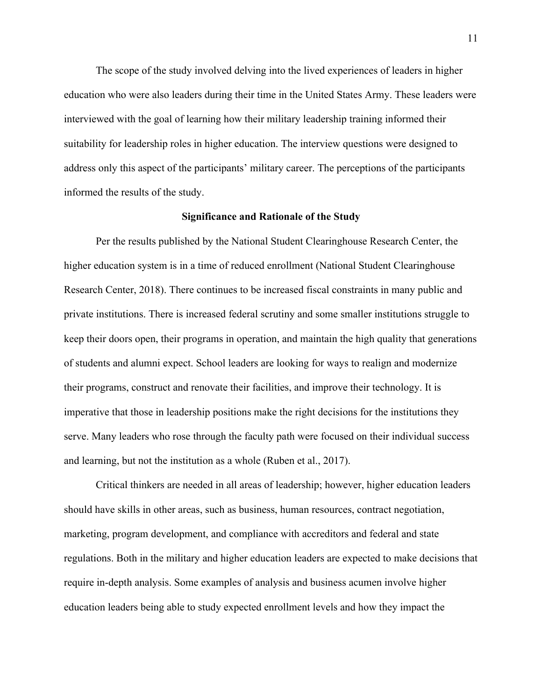The scope of the study involved delving into the lived experiences of leaders in higher education who were also leaders during their time in the United States Army. These leaders were interviewed with the goal of learning how their military leadership training informed their suitability for leadership roles in higher education. The interview questions were designed to address only this aspect of the participants' military career. The perceptions of the participants informed the results of the study.

#### **Significance and Rationale of the Study**

Per the results published by the National Student Clearinghouse Research Center, the higher education system is in a time of reduced enrollment (National Student Clearinghouse Research Center, 2018). There continues to be increased fiscal constraints in many public and private institutions. There is increased federal scrutiny and some smaller institutions struggle to keep their doors open, their programs in operation, and maintain the high quality that generations of students and alumni expect. School leaders are looking for ways to realign and modernize their programs, construct and renovate their facilities, and improve their technology. It is imperative that those in leadership positions make the right decisions for the institutions they serve. Many leaders who rose through the faculty path were focused on their individual success and learning, but not the institution as a whole (Ruben et al., 2017).

Critical thinkers are needed in all areas of leadership; however, higher education leaders should have skills in other areas, such as business, human resources, contract negotiation, marketing, program development, and compliance with accreditors and federal and state regulations. Both in the military and higher education leaders are expected to make decisions that require in-depth analysis. Some examples of analysis and business acumen involve higher education leaders being able to study expected enrollment levels and how they impact the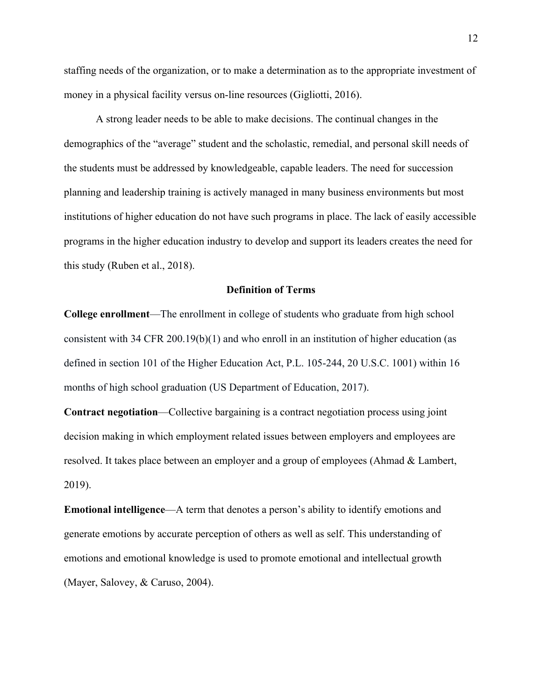staffing needs of the organization, or to make a determination as to the appropriate investment of money in a physical facility versus on-line resources (Gigliotti, 2016).

A strong leader needs to be able to make decisions. The continual changes in the demographics of the "average" student and the scholastic, remedial, and personal skill needs of the students must be addressed by knowledgeable, capable leaders. The need for succession planning and leadership training is actively managed in many business environments but most institutions of higher education do not have such programs in place. The lack of easily accessible programs in the higher education industry to develop and support its leaders creates the need for this study (Ruben et al., 2018).

#### **Definition of Terms**

**College enrollment**—The enrollment in college of students who graduate from high school consistent with 34 CFR 200.19(b)(1) and who enroll in an institution of higher education (as defined in section 101 of the Higher Education Act, P.L. 105-244, 20 U.S.C. 1001) within 16 months of high school graduation (US Department of Education, 2017).

**Contract negotiation**—Collective bargaining is a contract negotiation process using joint decision making in which employment related issues between employers and employees are resolved. It takes place between an employer and a group of employees (Ahmad & Lambert, 2019).

**Emotional intelligence**—A term that denotes a person's ability to identify emotions and generate emotions by accurate perception of others as well as self. This understanding of emotions and emotional knowledge is used to promote emotional and intellectual growth (Mayer, Salovey, & Caruso, 2004).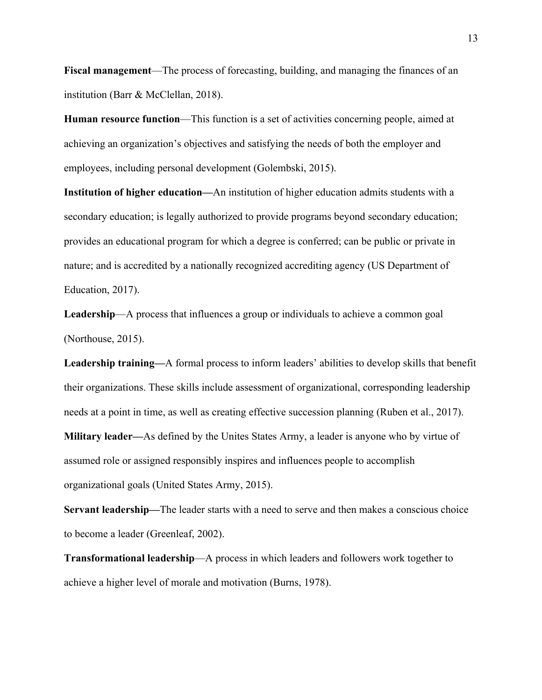**Fiscal management**—The process of forecasting, building, and managing the finances of an institution (Barr & McClellan, 2018).

**Human resource function**—This function is a set of activities concerning people, aimed at achieving an organization's objectives and satisfying the needs of both the employer and employees, including personal development (Golembski, 2015).

**Institution of higher education—**An institution of higher education admits students with a secondary education; is legally authorized to provide programs beyond secondary education; provides an educational program for which a degree is conferred; can be public or private in nature; and is accredited by a nationally recognized accrediting agency (US Department of Education, 2017).

**Leadership**—A process that influences a group or individuals to achieve a common goal (Northouse, 2015).

**Leadership training—**A formal process to inform leaders' abilities to develop skills that benefit their organizations. These skills include assessment of organizational, corresponding leadership needs at a point in time, as well as creating effective succession planning (Ruben et al., 2017). **Military leader—**As defined by the Unites States Army, a leader is anyone who by virtue of assumed role or assigned responsibly inspires and influences people to accomplish organizational goals (United States Army, 2015).

**Servant leadership—**The leader starts with a need to serve and then makes a conscious choice to become a leader (Greenleaf, 2002).

**Transformational leadership**—A process in which leaders and followers work together to achieve a higher level of morale and motivation (Burns, 1978).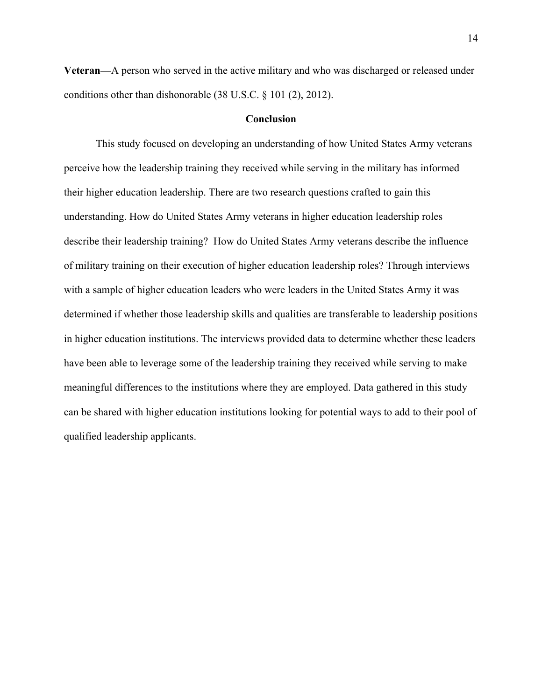**Veteran—**A person who served in the active military and who was discharged or released under conditions other than dishonorable (38 U.S.C. § 101 (2), 2012).

#### **Conclusion**

This study focused on developing an understanding of how United States Army veterans perceive how the leadership training they received while serving in the military has informed their higher education leadership. There are two research questions crafted to gain this understanding. How do United States Army veterans in higher education leadership roles describe their leadership training? How do United States Army veterans describe the influence of military training on their execution of higher education leadership roles? Through interviews with a sample of higher education leaders who were leaders in the United States Army it was determined if whether those leadership skills and qualities are transferable to leadership positions in higher education institutions. The interviews provided data to determine whether these leaders have been able to leverage some of the leadership training they received while serving to make meaningful differences to the institutions where they are employed. Data gathered in this study can be shared with higher education institutions looking for potential ways to add to their pool of qualified leadership applicants.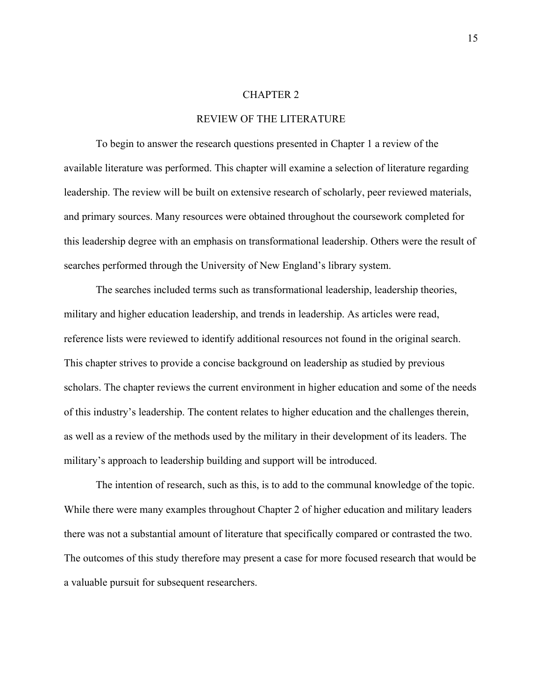#### CHAPTER 2

#### REVIEW OF THE LITERATURE

To begin to answer the research questions presented in Chapter 1 a review of the available literature was performed. This chapter will examine a selection of literature regarding leadership. The review will be built on extensive research of scholarly, peer reviewed materials, and primary sources. Many resources were obtained throughout the coursework completed for this leadership degree with an emphasis on transformational leadership. Others were the result of searches performed through the University of New England's library system.

The searches included terms such as transformational leadership, leadership theories, military and higher education leadership, and trends in leadership. As articles were read, reference lists were reviewed to identify additional resources not found in the original search. This chapter strives to provide a concise background on leadership as studied by previous scholars. The chapter reviews the current environment in higher education and some of the needs of this industry's leadership. The content relates to higher education and the challenges therein, as well as a review of the methods used by the military in their development of its leaders. The military's approach to leadership building and support will be introduced.

The intention of research, such as this, is to add to the communal knowledge of the topic. While there were many examples throughout Chapter 2 of higher education and military leaders there was not a substantial amount of literature that specifically compared or contrasted the two. The outcomes of this study therefore may present a case for more focused research that would be a valuable pursuit for subsequent researchers.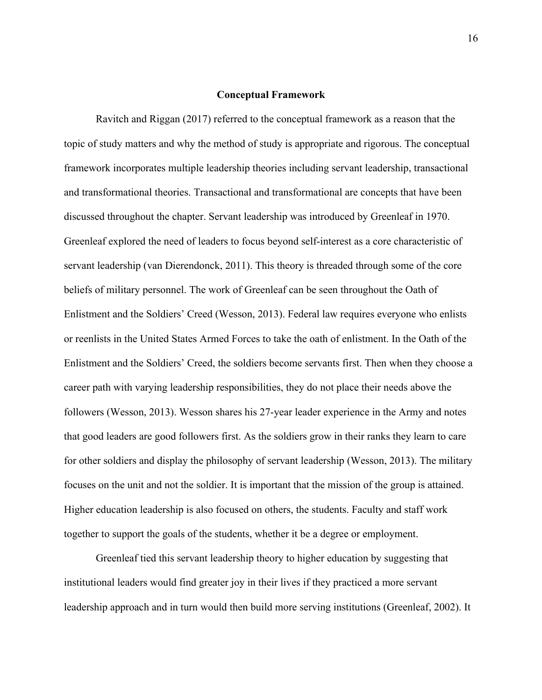#### **Conceptual Framework**

Ravitch and Riggan (2017) referred to the conceptual framework as a reason that the topic of study matters and why the method of study is appropriate and rigorous. The conceptual framework incorporates multiple leadership theories including servant leadership, transactional and transformational theories. Transactional and transformational are concepts that have been discussed throughout the chapter. Servant leadership was introduced by Greenleaf in 1970. Greenleaf explored the need of leaders to focus beyond self-interest as a core characteristic of servant leadership (van Dierendonck, 2011). This theory is threaded through some of the core beliefs of military personnel. The work of Greenleaf can be seen throughout the Oath of Enlistment and the Soldiers' Creed (Wesson, 2013). Federal law requires everyone who enlists or reenlists in the United States Armed Forces to take the oath of enlistment. In the Oath of the Enlistment and the Soldiers' Creed, the soldiers become servants first. Then when they choose a career path with varying leadership responsibilities, they do not place their needs above the followers (Wesson, 2013). Wesson shares his 27-year leader experience in the Army and notes that good leaders are good followers first. As the soldiers grow in their ranks they learn to care for other soldiers and display the philosophy of servant leadership (Wesson, 2013). The military focuses on the unit and not the soldier. It is important that the mission of the group is attained. Higher education leadership is also focused on others, the students. Faculty and staff work together to support the goals of the students, whether it be a degree or employment.

Greenleaf tied this servant leadership theory to higher education by suggesting that institutional leaders would find greater joy in their lives if they practiced a more servant leadership approach and in turn would then build more serving institutions (Greenleaf, 2002). It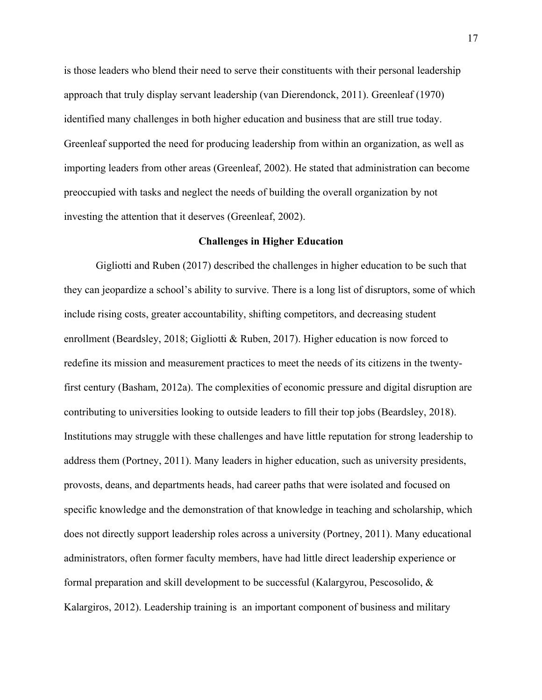is those leaders who blend their need to serve their constituents with their personal leadership approach that truly display servant leadership (van Dierendonck, 2011). Greenleaf (1970) identified many challenges in both higher education and business that are still true today. Greenleaf supported the need for producing leadership from within an organization, as well as importing leaders from other areas (Greenleaf, 2002). He stated that administration can become preoccupied with tasks and neglect the needs of building the overall organization by not investing the attention that it deserves (Greenleaf, 2002).

#### **Challenges in Higher Education**

Gigliotti and Ruben (2017) described the challenges in higher education to be such that they can jeopardize a school's ability to survive. There is a long list of disruptors, some of which include rising costs, greater accountability, shifting competitors, and decreasing student enrollment (Beardsley, 2018; Gigliotti & Ruben, 2017). Higher education is now forced to redefine its mission and measurement practices to meet the needs of its citizens in the twentyfirst century (Basham, 2012a). The complexities of economic pressure and digital disruption are contributing to universities looking to outside leaders to fill their top jobs (Beardsley, 2018). Institutions may struggle with these challenges and have little reputation for strong leadership to address them (Portney, 2011). Many leaders in higher education, such as university presidents, provosts, deans, and departments heads, had career paths that were isolated and focused on specific knowledge and the demonstration of that knowledge in teaching and scholarship, which does not directly support leadership roles across a university (Portney, 2011). Many educational administrators, often former faculty members, have had little direct leadership experience or formal preparation and skill development to be successful (Kalargyrou, Pescosolido, & Kalargiros, 2012). Leadership training is an important component of business and military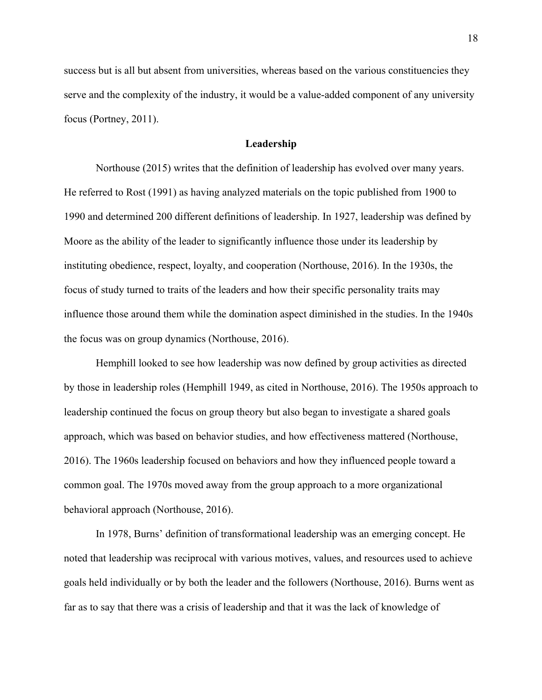success but is all but absent from universities, whereas based on the various constituencies they serve and the complexity of the industry, it would be a value-added component of any university focus (Portney, 2011).

#### **Leadership**

Northouse (2015) writes that the definition of leadership has evolved over many years. He referred to Rost (1991) as having analyzed materials on the topic published from 1900 to 1990 and determined 200 different definitions of leadership. In 1927, leadership was defined by Moore as the ability of the leader to significantly influence those under its leadership by instituting obedience, respect, loyalty, and cooperation (Northouse, 2016). In the 1930s, the focus of study turned to traits of the leaders and how their specific personality traits may influence those around them while the domination aspect diminished in the studies. In the 1940s the focus was on group dynamics (Northouse, 2016).

Hemphill looked to see how leadership was now defined by group activities as directed by those in leadership roles (Hemphill 1949, as cited in Northouse, 2016). The 1950s approach to leadership continued the focus on group theory but also began to investigate a shared goals approach, which was based on behavior studies, and how effectiveness mattered (Northouse, 2016). The 1960s leadership focused on behaviors and how they influenced people toward a common goal. The 1970s moved away from the group approach to a more organizational behavioral approach (Northouse, 2016).

In 1978, Burns' definition of transformational leadership was an emerging concept. He noted that leadership was reciprocal with various motives, values, and resources used to achieve goals held individually or by both the leader and the followers (Northouse, 2016). Burns went as far as to say that there was a crisis of leadership and that it was the lack of knowledge of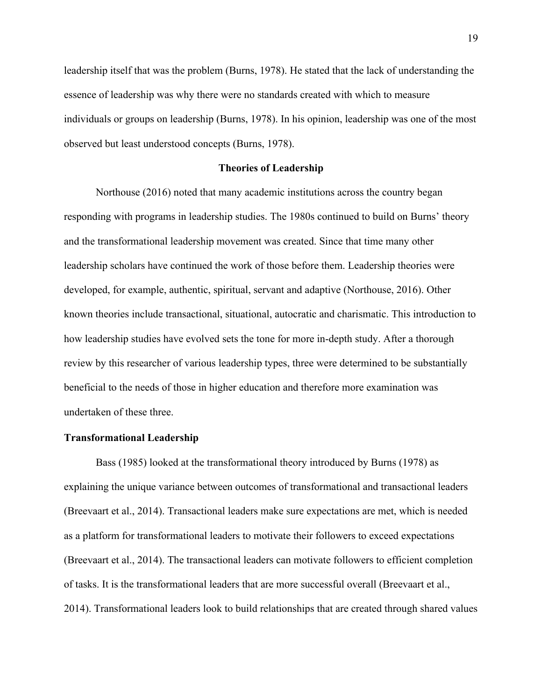leadership itself that was the problem (Burns, 1978). He stated that the lack of understanding the essence of leadership was why there were no standards created with which to measure individuals or groups on leadership (Burns, 1978). In his opinion, leadership was one of the most observed but least understood concepts (Burns, 1978).

#### **Theories of Leadership**

Northouse (2016) noted that many academic institutions across the country began responding with programs in leadership studies. The 1980s continued to build on Burns' theory and the transformational leadership movement was created. Since that time many other leadership scholars have continued the work of those before them. Leadership theories were developed, for example, authentic, spiritual, servant and adaptive (Northouse, 2016). Other known theories include transactional, situational, autocratic and charismatic. This introduction to how leadership studies have evolved sets the tone for more in-depth study. After a thorough review by this researcher of various leadership types, three were determined to be substantially beneficial to the needs of those in higher education and therefore more examination was undertaken of these three.

#### **Transformational Leadership**

Bass (1985) looked at the transformational theory introduced by Burns (1978) as explaining the unique variance between outcomes of transformational and transactional leaders (Breevaart et al., 2014). Transactional leaders make sure expectations are met, which is needed as a platform for transformational leaders to motivate their followers to exceed expectations (Breevaart et al., 2014). The transactional leaders can motivate followers to efficient completion of tasks. It is the transformational leaders that are more successful overall (Breevaart et al., 2014). Transformational leaders look to build relationships that are created through shared values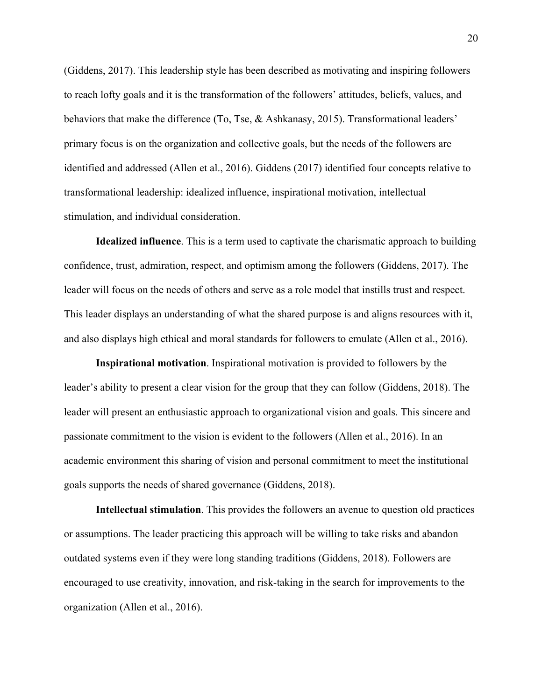(Giddens, 2017). This leadership style has been described as motivating and inspiring followers to reach lofty goals and it is the transformation of the followers' attitudes, beliefs, values, and behaviors that make the difference (To, Tse, & Ashkanasy, 2015). Transformational leaders' primary focus is on the organization and collective goals, but the needs of the followers are identified and addressed (Allen et al., 2016). Giddens (2017) identified four concepts relative to transformational leadership: idealized influence, inspirational motivation, intellectual stimulation, and individual consideration.

**Idealized influence**. This is a term used to captivate the charismatic approach to building confidence, trust, admiration, respect, and optimism among the followers (Giddens, 2017). The leader will focus on the needs of others and serve as a role model that instills trust and respect. This leader displays an understanding of what the shared purpose is and aligns resources with it, and also displays high ethical and moral standards for followers to emulate (Allen et al., 2016).

**Inspirational motivation**. Inspirational motivation is provided to followers by the leader's ability to present a clear vision for the group that they can follow (Giddens, 2018). The leader will present an enthusiastic approach to organizational vision and goals. This sincere and passionate commitment to the vision is evident to the followers (Allen et al., 2016). In an academic environment this sharing of vision and personal commitment to meet the institutional goals supports the needs of shared governance (Giddens, 2018).

**Intellectual stimulation**. This provides the followers an avenue to question old practices or assumptions. The leader practicing this approach will be willing to take risks and abandon outdated systems even if they were long standing traditions (Giddens, 2018). Followers are encouraged to use creativity, innovation, and risk-taking in the search for improvements to the organization (Allen et al., 2016).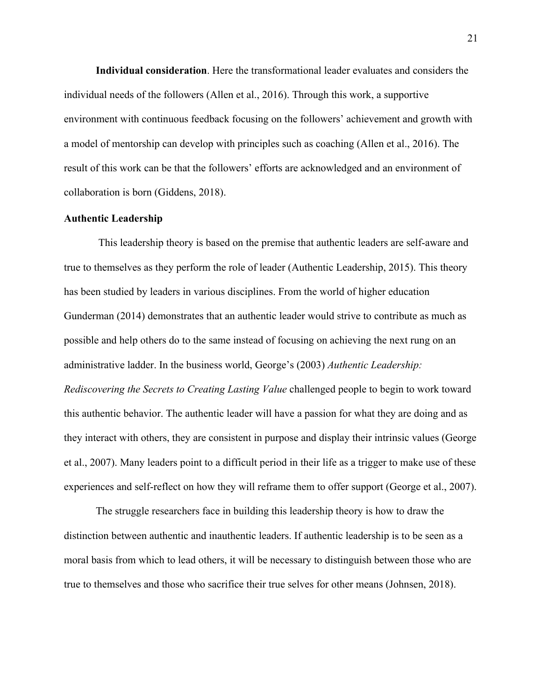**Individual consideration**. Here the transformational leader evaluates and considers the individual needs of the followers (Allen et al., 2016). Through this work, a supportive environment with continuous feedback focusing on the followers' achievement and growth with a model of mentorship can develop with principles such as coaching (Allen et al., 2016). The result of this work can be that the followers' efforts are acknowledged and an environment of collaboration is born (Giddens, 2018).

#### **Authentic Leadership**

This leadership theory is based on the premise that authentic leaders are self-aware and true to themselves as they perform the role of leader (Authentic Leadership, 2015). This theory has been studied by leaders in various disciplines. From the world of higher education Gunderman (2014) demonstrates that an authentic leader would strive to contribute as much as possible and help others do to the same instead of focusing on achieving the next rung on an administrative ladder. In the business world, George's (2003) *Authentic Leadership: Rediscovering the Secrets to Creating Lasting Value* challenged people to begin to work toward this authentic behavior. The authentic leader will have a passion for what they are doing and as they interact with others, they are consistent in purpose and display their intrinsic values (George et al., 2007). Many leaders point to a difficult period in their life as a trigger to make use of these experiences and self-reflect on how they will reframe them to offer support (George et al., 2007).

The struggle researchers face in building this leadership theory is how to draw the distinction between authentic and inauthentic leaders. If authentic leadership is to be seen as a moral basis from which to lead others, it will be necessary to distinguish between those who are true to themselves and those who sacrifice their true selves for other means (Johnsen, 2018).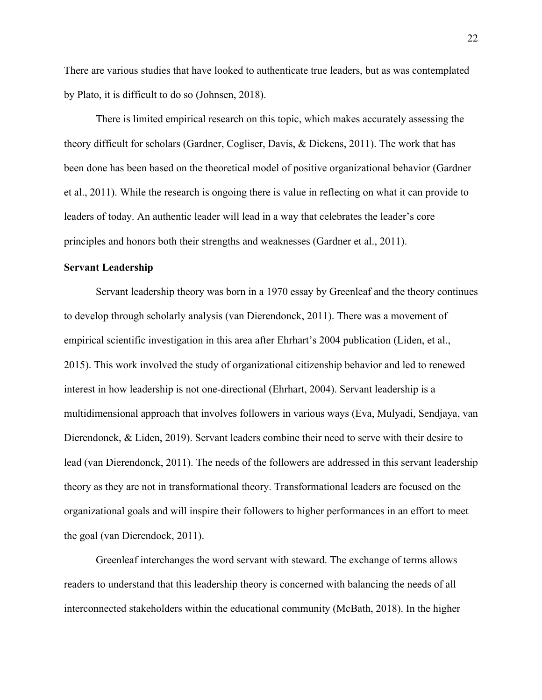There are various studies that have looked to authenticate true leaders, but as was contemplated by Plato, it is difficult to do so (Johnsen, 2018).

There is limited empirical research on this topic, which makes accurately assessing the theory difficult for scholars (Gardner, Cogliser, Davis, & Dickens, 2011). The work that has been done has been based on the theoretical model of positive organizational behavior (Gardner et al., 2011). While the research is ongoing there is value in reflecting on what it can provide to leaders of today. An authentic leader will lead in a way that celebrates the leader's core principles and honors both their strengths and weaknesses (Gardner et al., 2011).

#### **Servant Leadership**

Servant leadership theory was born in a 1970 essay by Greenleaf and the theory continues to develop through scholarly analysis (van Dierendonck, 2011). There was a movement of empirical scientific investigation in this area after Ehrhart's 2004 publication (Liden, et al., 2015). This work involved the study of organizational citizenship behavior and led to renewed interest in how leadership is not one-directional (Ehrhart, 2004). Servant leadership is a multidimensional approach that involves followers in various ways (Eva, Mulyadi, Sendjaya, van Dierendonck, & Liden, 2019). Servant leaders combine their need to serve with their desire to lead (van Dierendonck, 2011). The needs of the followers are addressed in this servant leadership theory as they are not in transformational theory. Transformational leaders are focused on the organizational goals and will inspire their followers to higher performances in an effort to meet the goal (van Dierendock, 2011).

Greenleaf interchanges the word servant with steward. The exchange of terms allows readers to understand that this leadership theory is concerned with balancing the needs of all interconnected stakeholders within the educational community (McBath, 2018). In the higher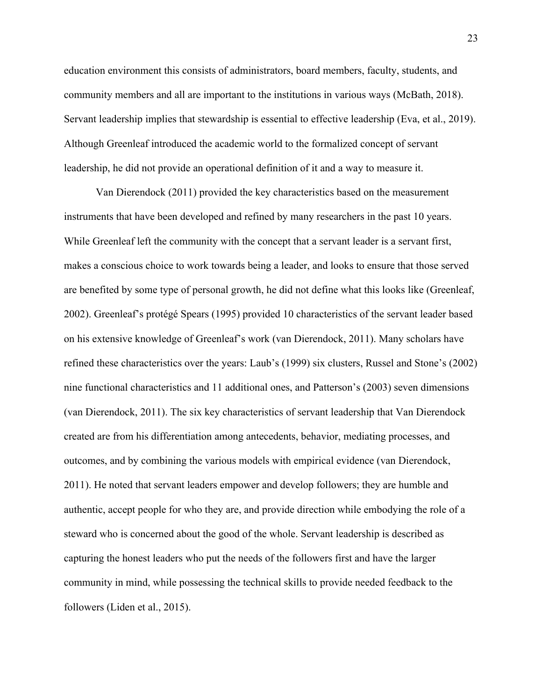education environment this consists of administrators, board members, faculty, students, and community members and all are important to the institutions in various ways (McBath, 2018). Servant leadership implies that stewardship is essential to effective leadership (Eva, et al., 2019). Although Greenleaf introduced the academic world to the formalized concept of servant leadership, he did not provide an operational definition of it and a way to measure it.

Van Dierendock (2011) provided the key characteristics based on the measurement instruments that have been developed and refined by many researchers in the past 10 years. While Greenleaf left the community with the concept that a servant leader is a servant first, makes a conscious choice to work towards being a leader, and looks to ensure that those served are benefited by some type of personal growth, he did not define what this looks like (Greenleaf, 2002). Greenleaf's protégé Spears (1995) provided 10 characteristics of the servant leader based on his extensive knowledge of Greenleaf's work (van Dierendock, 2011). Many scholars have refined these characteristics over the years: Laub's (1999) six clusters, Russel and Stone's (2002) nine functional characteristics and 11 additional ones, and Patterson's (2003) seven dimensions (van Dierendock, 2011). The six key characteristics of servant leadership that Van Dierendock created are from his differentiation among antecedents, behavior, mediating processes, and outcomes, and by combining the various models with empirical evidence (van Dierendock, 2011). He noted that servant leaders empower and develop followers; they are humble and authentic, accept people for who they are, and provide direction while embodying the role of a steward who is concerned about the good of the whole. Servant leadership is described as capturing the honest leaders who put the needs of the followers first and have the larger community in mind, while possessing the technical skills to provide needed feedback to the followers (Liden et al., 2015).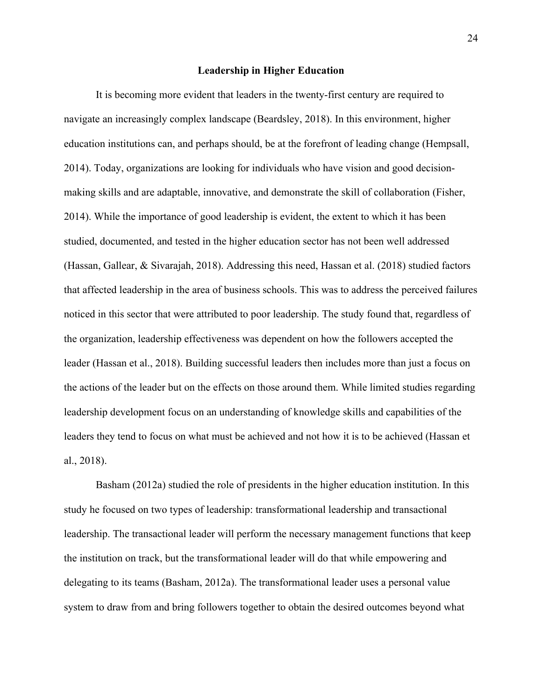#### **Leadership in Higher Education**

It is becoming more evident that leaders in the twenty-first century are required to navigate an increasingly complex landscape (Beardsley, 2018). In this environment, higher education institutions can, and perhaps should, be at the forefront of leading change (Hempsall, 2014). Today, organizations are looking for individuals who have vision and good decisionmaking skills and are adaptable, innovative, and demonstrate the skill of collaboration (Fisher, 2014). While the importance of good leadership is evident, the extent to which it has been studied, documented, and tested in the higher education sector has not been well addressed (Hassan, Gallear, & Sivarajah, 2018). Addressing this need, Hassan et al. (2018) studied factors that affected leadership in the area of business schools. This was to address the perceived failures noticed in this sector that were attributed to poor leadership. The study found that, regardless of the organization, leadership effectiveness was dependent on how the followers accepted the leader (Hassan et al., 2018). Building successful leaders then includes more than just a focus on the actions of the leader but on the effects on those around them. While limited studies regarding leadership development focus on an understanding of knowledge skills and capabilities of the leaders they tend to focus on what must be achieved and not how it is to be achieved (Hassan et al., 2018).

Basham (2012a) studied the role of presidents in the higher education institution. In this study he focused on two types of leadership: transformational leadership and transactional leadership. The transactional leader will perform the necessary management functions that keep the institution on track, but the transformational leader will do that while empowering and delegating to its teams (Basham, 2012a). The transformational leader uses a personal value system to draw from and bring followers together to obtain the desired outcomes beyond what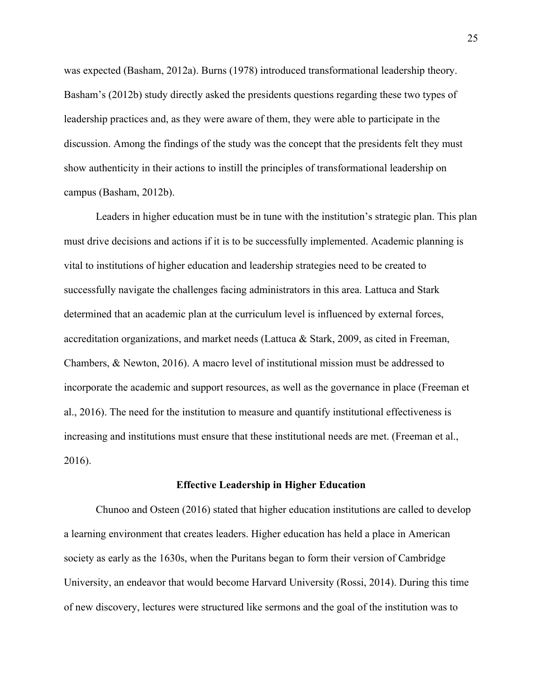was expected (Basham, 2012a). Burns (1978) introduced transformational leadership theory. Basham's (2012b) study directly asked the presidents questions regarding these two types of leadership practices and, as they were aware of them, they were able to participate in the discussion. Among the findings of the study was the concept that the presidents felt they must show authenticity in their actions to instill the principles of transformational leadership on campus (Basham, 2012b).

Leaders in higher education must be in tune with the institution's strategic plan. This plan must drive decisions and actions if it is to be successfully implemented. Academic planning is vital to institutions of higher education and leadership strategies need to be created to successfully navigate the challenges facing administrators in this area. Lattuca and Stark determined that an academic plan at the curriculum level is influenced by external forces, accreditation organizations, and market needs (Lattuca & Stark, 2009, as cited in Freeman, Chambers, & Newton, 2016). A macro level of institutional mission must be addressed to incorporate the academic and support resources, as well as the governance in place (Freeman et al., 2016). The need for the institution to measure and quantify institutional effectiveness is increasing and institutions must ensure that these institutional needs are met. (Freeman et al., 2016).

#### **Effective Leadership in Higher Education**

Chunoo and Osteen (2016) stated that higher education institutions are called to develop a learning environment that creates leaders. Higher education has held a place in American society as early as the 1630s, when the Puritans began to form their version of Cambridge University, an endeavor that would become Harvard University (Rossi, 2014). During this time of new discovery, lectures were structured like sermons and the goal of the institution was to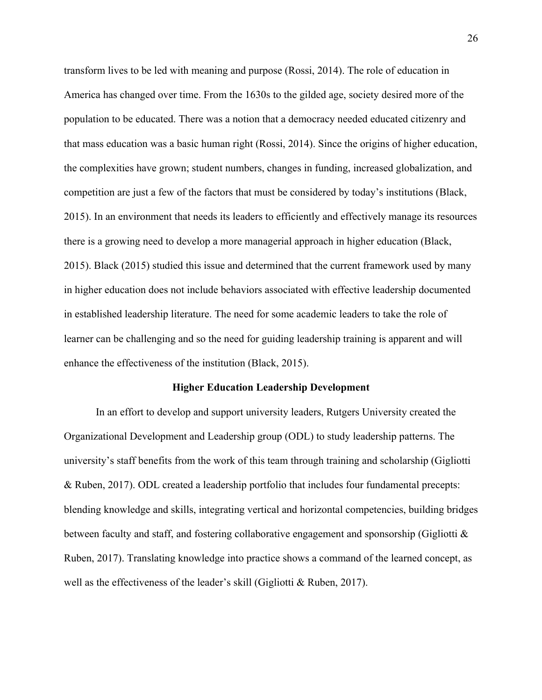transform lives to be led with meaning and purpose (Rossi, 2014). The role of education in America has changed over time. From the 1630s to the gilded age, society desired more of the population to be educated. There was a notion that a democracy needed educated citizenry and that mass education was a basic human right (Rossi, 2014). Since the origins of higher education, the complexities have grown; student numbers, changes in funding, increased globalization, and competition are just a few of the factors that must be considered by today's institutions (Black, 2015). In an environment that needs its leaders to efficiently and effectively manage its resources there is a growing need to develop a more managerial approach in higher education (Black, 2015). Black (2015) studied this issue and determined that the current framework used by many in higher education does not include behaviors associated with effective leadership documented in established leadership literature. The need for some academic leaders to take the role of learner can be challenging and so the need for guiding leadership training is apparent and will enhance the effectiveness of the institution (Black, 2015).

#### **Higher Education Leadership Development**

In an effort to develop and support university leaders, Rutgers University created the Organizational Development and Leadership group (ODL) to study leadership patterns. The university's staff benefits from the work of this team through training and scholarship (Gigliotti & Ruben, 2017). ODL created a leadership portfolio that includes four fundamental precepts: blending knowledge and skills, integrating vertical and horizontal competencies, building bridges between faculty and staff, and fostering collaborative engagement and sponsorship (Gigliotti & Ruben, 2017). Translating knowledge into practice shows a command of the learned concept, as well as the effectiveness of the leader's skill (Gigliotti & Ruben, 2017).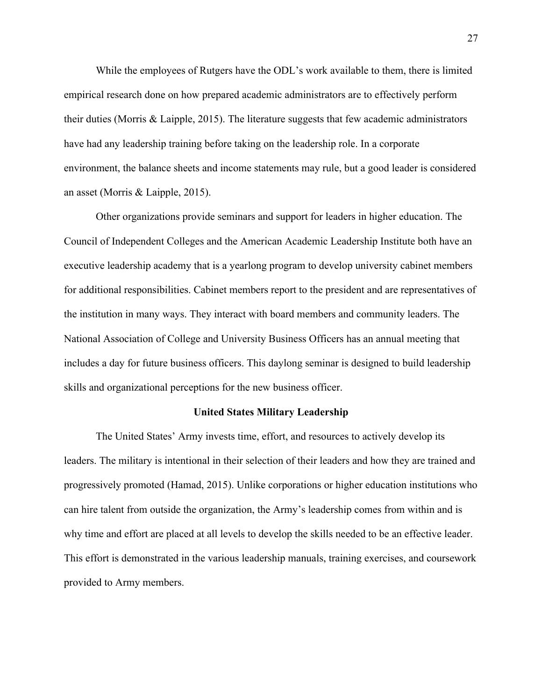While the employees of Rutgers have the ODL's work available to them, there is limited empirical research done on how prepared academic administrators are to effectively perform their duties (Morris & Laipple, 2015). The literature suggests that few academic administrators have had any leadership training before taking on the leadership role. In a corporate environment, the balance sheets and income statements may rule, but a good leader is considered an asset (Morris & Laipple, 2015).

Other organizations provide seminars and support for leaders in higher education. The Council of Independent Colleges and the American Academic Leadership Institute both have an executive leadership academy that is a yearlong program to develop university cabinet members for additional responsibilities. Cabinet members report to the president and are representatives of the institution in many ways. They interact with board members and community leaders. The National Association of College and University Business Officers has an annual meeting that includes a day for future business officers. This daylong seminar is designed to build leadership skills and organizational perceptions for the new business officer.

# **United States Military Leadership**

The United States' Army invests time, effort, and resources to actively develop its leaders. The military is intentional in their selection of their leaders and how they are trained and progressively promoted (Hamad, 2015). Unlike corporations or higher education institutions who can hire talent from outside the organization, the Army's leadership comes from within and is why time and effort are placed at all levels to develop the skills needed to be an effective leader. This effort is demonstrated in the various leadership manuals, training exercises, and coursework provided to Army members.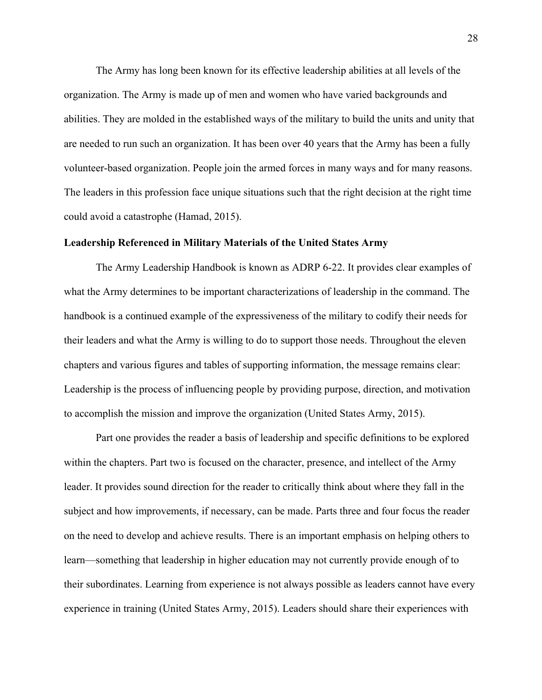The Army has long been known for its effective leadership abilities at all levels of the organization. The Army is made up of men and women who have varied backgrounds and abilities. They are molded in the established ways of the military to build the units and unity that are needed to run such an organization. It has been over 40 years that the Army has been a fully volunteer-based organization. People join the armed forces in many ways and for many reasons. The leaders in this profession face unique situations such that the right decision at the right time could avoid a catastrophe (Hamad, 2015).

## **Leadership Referenced in Military Materials of the United States Army**

The Army Leadership Handbook is known as ADRP 6-22. It provides clear examples of what the Army determines to be important characterizations of leadership in the command. The handbook is a continued example of the expressiveness of the military to codify their needs for their leaders and what the Army is willing to do to support those needs. Throughout the eleven chapters and various figures and tables of supporting information, the message remains clear: Leadership is the process of influencing people by providing purpose, direction, and motivation to accomplish the mission and improve the organization (United States Army, 2015).

Part one provides the reader a basis of leadership and specific definitions to be explored within the chapters. Part two is focused on the character, presence, and intellect of the Army leader. It provides sound direction for the reader to critically think about where they fall in the subject and how improvements, if necessary, can be made. Parts three and four focus the reader on the need to develop and achieve results. There is an important emphasis on helping others to learn—something that leadership in higher education may not currently provide enough of to their subordinates. Learning from experience is not always possible as leaders cannot have every experience in training (United States Army, 2015). Leaders should share their experiences with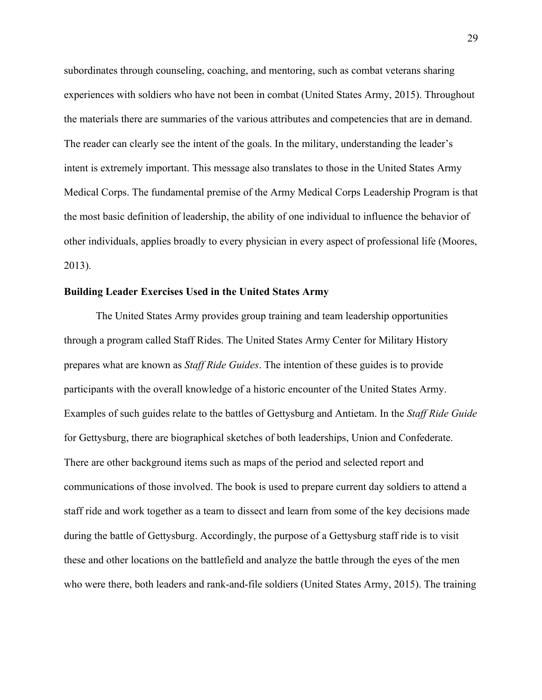subordinates through counseling, coaching, and mentoring, such as combat veterans sharing experiences with soldiers who have not been in combat (United States Army, 2015). Throughout the materials there are summaries of the various attributes and competencies that are in demand. The reader can clearly see the intent of the goals. In the military, understanding the leader's intent is extremely important. This message also translates to those in the United States Army Medical Corps. The fundamental premise of the Army Medical Corps Leadership Program is that the most basic definition of leadership, the ability of one individual to influence the behavior of other individuals, applies broadly to every physician in every aspect of professional life (Moores, 2013).

## **Building Leader Exercises Used in the United States Army**

The United States Army provides group training and team leadership opportunities through a program called Staff Rides. The United States Army Center for Military History prepares what are known as *Staff Ride Guides*. The intention of these guides is to provide participants with the overall knowledge of a historic encounter of the United States Army. Examples of such guides relate to the battles of Gettysburg and Antietam. In the *Staff Ride Guide* for Gettysburg, there are biographical sketches of both leaderships, Union and Confederate. There are other background items such as maps of the period and selected report and communications of those involved. The book is used to prepare current day soldiers to attend a staff ride and work together as a team to dissect and learn from some of the key decisions made during the battle of Gettysburg. Accordingly, the purpose of a Gettysburg staff ride is to visit these and other locations on the battlefield and analyze the battle through the eyes of the men who were there, both leaders and rank-and-file soldiers (United States Army, 2015). The training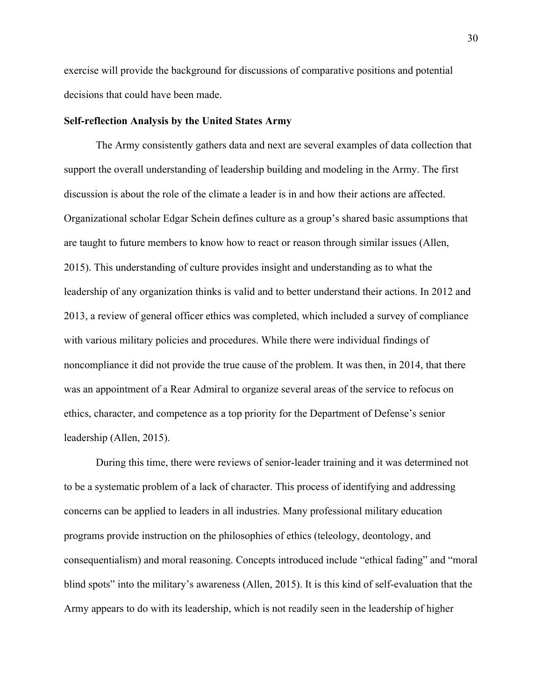exercise will provide the background for discussions of comparative positions and potential decisions that could have been made.

## **Self-reflection Analysis by the United States Army**

The Army consistently gathers data and next are several examples of data collection that support the overall understanding of leadership building and modeling in the Army. The first discussion is about the role of the climate a leader is in and how their actions are affected. Organizational scholar Edgar Schein defines culture as a group's shared basic assumptions that are taught to future members to know how to react or reason through similar issues (Allen, 2015). This understanding of culture provides insight and understanding as to what the leadership of any organization thinks is valid and to better understand their actions. In 2012 and 2013, a review of general officer ethics was completed, which included a survey of compliance with various military policies and procedures. While there were individual findings of noncompliance it did not provide the true cause of the problem. It was then, in 2014, that there was an appointment of a Rear Admiral to organize several areas of the service to refocus on ethics, character, and competence as a top priority for the Department of Defense's senior leadership (Allen, 2015).

During this time, there were reviews of senior-leader training and it was determined not to be a systematic problem of a lack of character. This process of identifying and addressing concerns can be applied to leaders in all industries. Many professional military education programs provide instruction on the philosophies of ethics (teleology, deontology, and consequentialism) and moral reasoning. Concepts introduced include "ethical fading" and "moral blind spots" into the military's awareness (Allen, 2015). It is this kind of self-evaluation that the Army appears to do with its leadership, which is not readily seen in the leadership of higher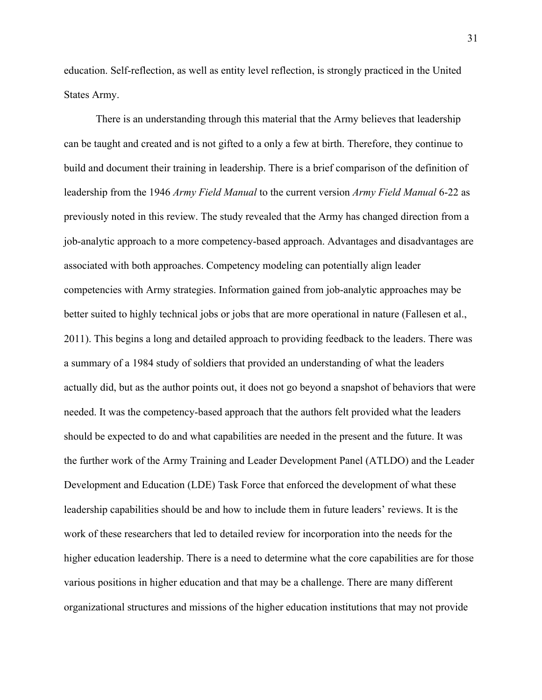education. Self-reflection, as well as entity level reflection, is strongly practiced in the United States Army.

There is an understanding through this material that the Army believes that leadership can be taught and created and is not gifted to a only a few at birth. Therefore, they continue to build and document their training in leadership. There is a brief comparison of the definition of leadership from the 1946 *Army Field Manual* to the current version *Army Field Manual* 6-22 as previously noted in this review. The study revealed that the Army has changed direction from a job-analytic approach to a more competency-based approach. Advantages and disadvantages are associated with both approaches. Competency modeling can potentially align leader competencies with Army strategies. Information gained from job-analytic approaches may be better suited to highly technical jobs or jobs that are more operational in nature (Fallesen et al., 2011). This begins a long and detailed approach to providing feedback to the leaders. There was a summary of a 1984 study of soldiers that provided an understanding of what the leaders actually did, but as the author points out, it does not go beyond a snapshot of behaviors that were needed. It was the competency-based approach that the authors felt provided what the leaders should be expected to do and what capabilities are needed in the present and the future. It was the further work of the Army Training and Leader Development Panel (ATLDO) and the Leader Development and Education (LDE) Task Force that enforced the development of what these leadership capabilities should be and how to include them in future leaders' reviews. It is the work of these researchers that led to detailed review for incorporation into the needs for the higher education leadership. There is a need to determine what the core capabilities are for those various positions in higher education and that may be a challenge. There are many different organizational structures and missions of the higher education institutions that may not provide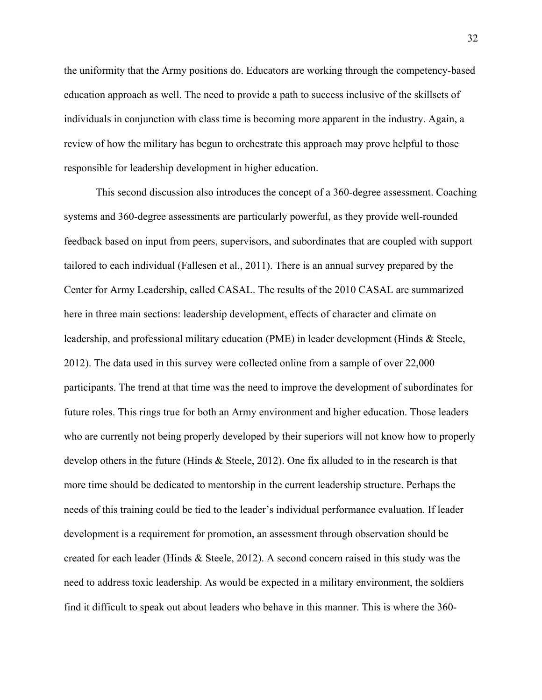the uniformity that the Army positions do. Educators are working through the competency-based education approach as well. The need to provide a path to success inclusive of the skillsets of individuals in conjunction with class time is becoming more apparent in the industry. Again, a review of how the military has begun to orchestrate this approach may prove helpful to those responsible for leadership development in higher education.

This second discussion also introduces the concept of a 360-degree assessment. Coaching systems and 360-degree assessments are particularly powerful, as they provide well-rounded feedback based on input from peers, supervisors, and subordinates that are coupled with support tailored to each individual (Fallesen et al., 2011). There is an annual survey prepared by the Center for Army Leadership, called CASAL. The results of the 2010 CASAL are summarized here in three main sections: leadership development, effects of character and climate on leadership, and professional military education (PME) in leader development (Hinds & Steele, 2012). The data used in this survey were collected online from a sample of over 22,000 participants. The trend at that time was the need to improve the development of subordinates for future roles. This rings true for both an Army environment and higher education. Those leaders who are currently not being properly developed by their superiors will not know how to properly develop others in the future (Hinds & Steele, 2012). One fix alluded to in the research is that more time should be dedicated to mentorship in the current leadership structure. Perhaps the needs of this training could be tied to the leader's individual performance evaluation. If leader development is a requirement for promotion, an assessment through observation should be created for each leader (Hinds & Steele, 2012). A second concern raised in this study was the need to address toxic leadership. As would be expected in a military environment, the soldiers find it difficult to speak out about leaders who behave in this manner. This is where the 360-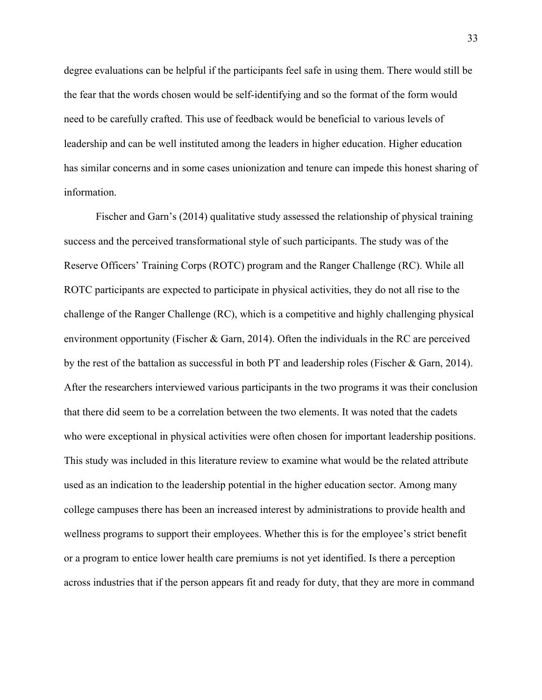degree evaluations can be helpful if the participants feel safe in using them. There would still be the fear that the words chosen would be self-identifying and so the format of the form would need to be carefully crafted. This use of feedback would be beneficial to various levels of leadership and can be well instituted among the leaders in higher education. Higher education has similar concerns and in some cases unionization and tenure can impede this honest sharing of information.

Fischer and Garn's (2014) qualitative study assessed the relationship of physical training success and the perceived transformational style of such participants. The study was of the Reserve Officers' Training Corps (ROTC) program and the Ranger Challenge (RC). While all ROTC participants are expected to participate in physical activities, they do not all rise to the challenge of the Ranger Challenge (RC), which is a competitive and highly challenging physical environment opportunity (Fischer & Garn, 2014). Often the individuals in the RC are perceived by the rest of the battalion as successful in both PT and leadership roles (Fischer & Garn, 2014). After the researchers interviewed various participants in the two programs it was their conclusion that there did seem to be a correlation between the two elements. It was noted that the cadets who were exceptional in physical activities were often chosen for important leadership positions. This study was included in this literature review to examine what would be the related attribute used as an indication to the leadership potential in the higher education sector. Among many college campuses there has been an increased interest by administrations to provide health and wellness programs to support their employees. Whether this is for the employee's strict benefit or a program to entice lower health care premiums is not yet identified. Is there a perception across industries that if the person appears fit and ready for duty, that they are more in command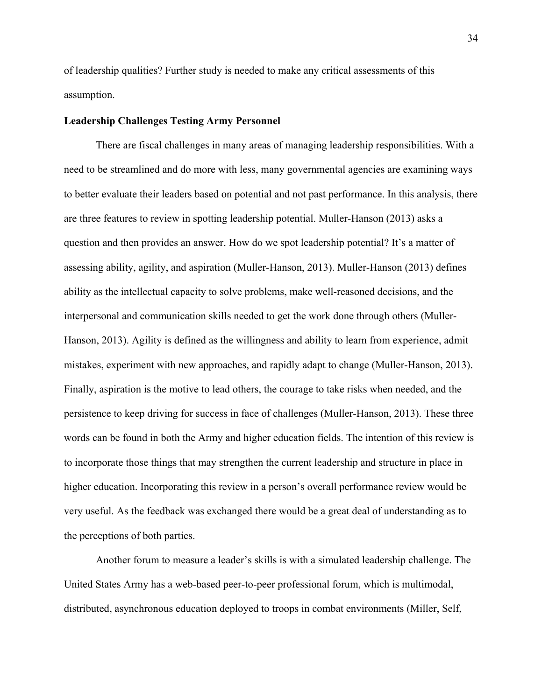of leadership qualities? Further study is needed to make any critical assessments of this assumption.

## **Leadership Challenges Testing Army Personnel**

There are fiscal challenges in many areas of managing leadership responsibilities. With a need to be streamlined and do more with less, many governmental agencies are examining ways to better evaluate their leaders based on potential and not past performance. In this analysis, there are three features to review in spotting leadership potential. Muller-Hanson (2013) asks a question and then provides an answer. How do we spot leadership potential? It's a matter of assessing ability, agility, and aspiration (Muller-Hanson, 2013). Muller-Hanson (2013) defines ability as the intellectual capacity to solve problems, make well-reasoned decisions, and the interpersonal and communication skills needed to get the work done through others (Muller-Hanson, 2013). Agility is defined as the willingness and ability to learn from experience, admit mistakes, experiment with new approaches, and rapidly adapt to change (Muller-Hanson, 2013). Finally, aspiration is the motive to lead others, the courage to take risks when needed, and the persistence to keep driving for success in face of challenges (Muller-Hanson, 2013). These three words can be found in both the Army and higher education fields. The intention of this review is to incorporate those things that may strengthen the current leadership and structure in place in higher education. Incorporating this review in a person's overall performance review would be very useful. As the feedback was exchanged there would be a great deal of understanding as to the perceptions of both parties.

Another forum to measure a leader's skills is with a simulated leadership challenge. The United States Army has a web-based peer-to-peer professional forum, which is multimodal, distributed, asynchronous education deployed to troops in combat environments (Miller, Self,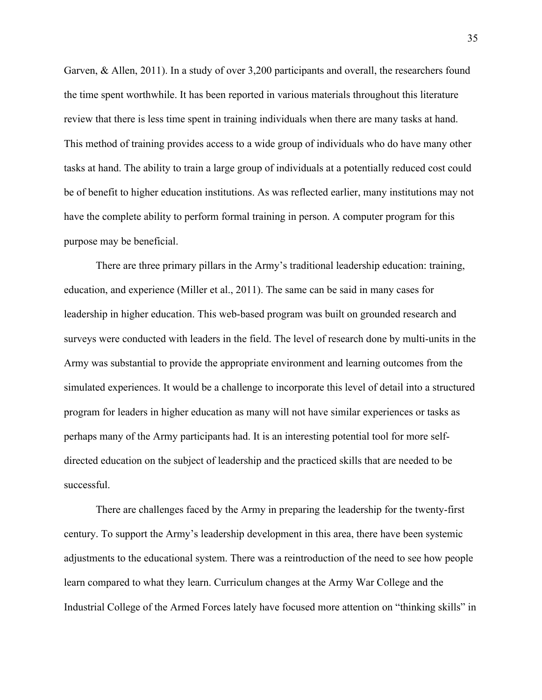Garven, & Allen, 2011). In a study of over 3,200 participants and overall, the researchers found the time spent worthwhile. It has been reported in various materials throughout this literature review that there is less time spent in training individuals when there are many tasks at hand. This method of training provides access to a wide group of individuals who do have many other tasks at hand. The ability to train a large group of individuals at a potentially reduced cost could be of benefit to higher education institutions. As was reflected earlier, many institutions may not have the complete ability to perform formal training in person. A computer program for this purpose may be beneficial.

There are three primary pillars in the Army's traditional leadership education: training, education, and experience (Miller et al., 2011). The same can be said in many cases for leadership in higher education. This web-based program was built on grounded research and surveys were conducted with leaders in the field. The level of research done by multi-units in the Army was substantial to provide the appropriate environment and learning outcomes from the simulated experiences. It would be a challenge to incorporate this level of detail into a structured program for leaders in higher education as many will not have similar experiences or tasks as perhaps many of the Army participants had. It is an interesting potential tool for more selfdirected education on the subject of leadership and the practiced skills that are needed to be successful.

There are challenges faced by the Army in preparing the leadership for the twenty-first century. To support the Army's leadership development in this area, there have been systemic adjustments to the educational system. There was a reintroduction of the need to see how people learn compared to what they learn. Curriculum changes at the Army War College and the Industrial College of the Armed Forces lately have focused more attention on "thinking skills" in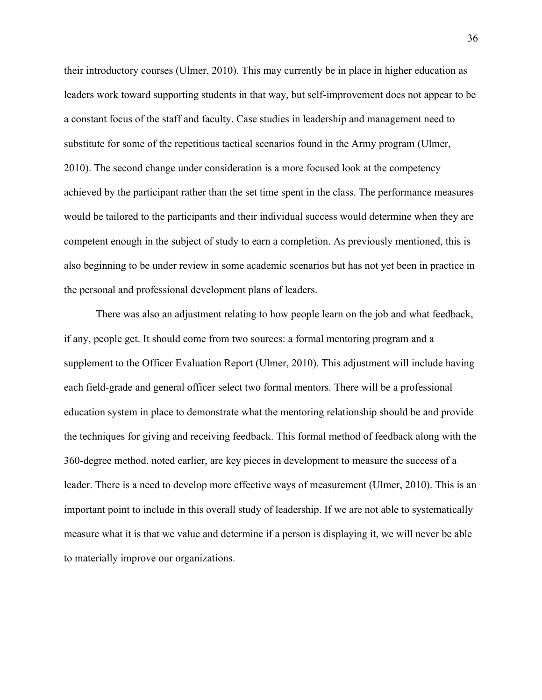their introductory courses (Ulmer, 2010). This may currently be in place in higher education as leaders work toward supporting students in that way, but self-improvement does not appear to be a constant focus of the staff and faculty. Case studies in leadership and management need to substitute for some of the repetitious tactical scenarios found in the Army program (Ulmer, 2010). The second change under consideration is a more focused look at the competency achieved by the participant rather than the set time spent in the class. The performance measures would be tailored to the participants and their individual success would determine when they are competent enough in the subject of study to earn a completion. As previously mentioned, this is also beginning to be under review in some academic scenarios but has not yet been in practice in the personal and professional development plans of leaders.

There was also an adjustment relating to how people learn on the job and what feedback, if any, people get. It should come from two sources: a formal mentoring program and a supplement to the Officer Evaluation Report (Ulmer, 2010). This adjustment will include having each field-grade and general officer select two formal mentors. There will be a professional education system in place to demonstrate what the mentoring relationship should be and provide the techniques for giving and receiving feedback. This formal method of feedback along with the 360-degree method, noted earlier, are key pieces in development to measure the success of a leader. There is a need to develop more effective ways of measurement (Ulmer, 2010). This is an important point to include in this overall study of leadership. If we are not able to systematically measure what it is that we value and determine if a person is displaying it, we will never be able to materially improve our organizations.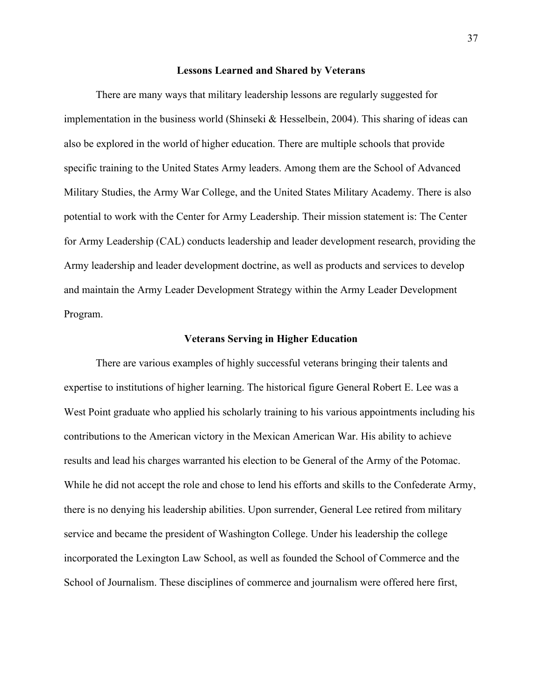#### **Lessons Learned and Shared by Veterans**

There are many ways that military leadership lessons are regularly suggested for implementation in the business world (Shinseki & Hesselbein, 2004). This sharing of ideas can also be explored in the world of higher education. There are multiple schools that provide specific training to the United States Army leaders. Among them are the School of Advanced Military Studies, the Army War College, and the United States Military Academy. There is also potential to work with the Center for Army Leadership. Their mission statement is: The Center for Army Leadership (CAL) conducts leadership and leader development research, providing the Army leadership and leader development doctrine, as well as products and services to develop and maintain the Army Leader Development Strategy within the Army Leader Development Program.

#### **Veterans Serving in Higher Education**

There are various examples of highly successful veterans bringing their talents and expertise to institutions of higher learning. The historical figure General Robert E. Lee was a West Point graduate who applied his scholarly training to his various appointments including his contributions to the American victory in the Mexican American War. His ability to achieve results and lead his charges warranted his election to be General of the Army of the Potomac. While he did not accept the role and chose to lend his efforts and skills to the Confederate Army, there is no denying his leadership abilities. Upon surrender, General Lee retired from military service and became the president of Washington College. Under his leadership the college incorporated the Lexington Law School, as well as founded the School of Commerce and the School of Journalism. These disciplines of commerce and journalism were offered here first,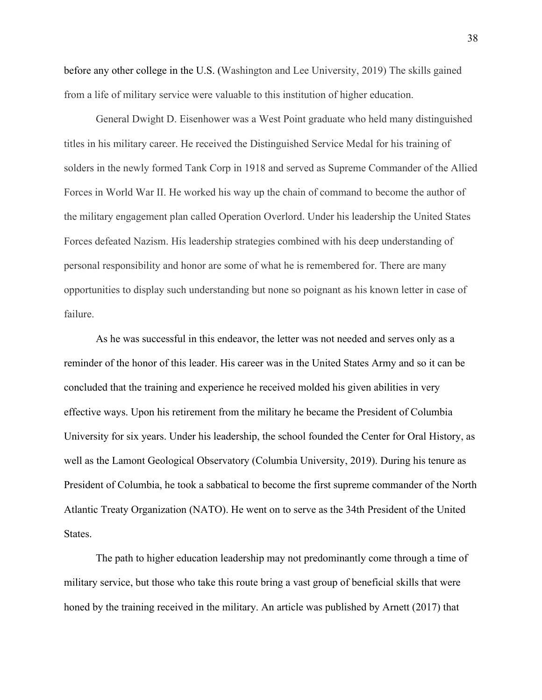before any other college in the U.S. (Washington and Lee University, 2019) The skills gained from a life of military service were valuable to this institution of higher education.

General Dwight D. Eisenhower was a West Point graduate who held many distinguished titles in his military career. He received the Distinguished Service Medal for his training of solders in the newly formed Tank Corp in 1918 and served as Supreme Commander of the Allied Forces in World War II. He worked his way up the chain of command to become the author of the military engagement plan called Operation Overlord. Under his leadership the United States Forces defeated Nazism. His leadership strategies combined with his deep understanding of personal responsibility and honor are some of what he is remembered for. There are many opportunities to display such understanding but none so poignant as his known letter in case of failure.

As he was successful in this endeavor, the letter was not needed and serves only as a reminder of the honor of this leader. His career was in the United States Army and so it can be concluded that the training and experience he received molded his given abilities in very effective ways. Upon his retirement from the military he became the President of Columbia University for six years. Under his leadership, the school founded the Center for Oral History, as well as the Lamont Geological Observatory (Columbia University, 2019). During his tenure as President of Columbia, he took a sabbatical to become the first supreme commander of the North Atlantic Treaty Organization (NATO). He went on to serve as the 34th President of the United States.

The path to higher education leadership may not predominantly come through a time of military service, but those who take this route bring a vast group of beneficial skills that were honed by the training received in the military. An article was published by Arnett (2017) that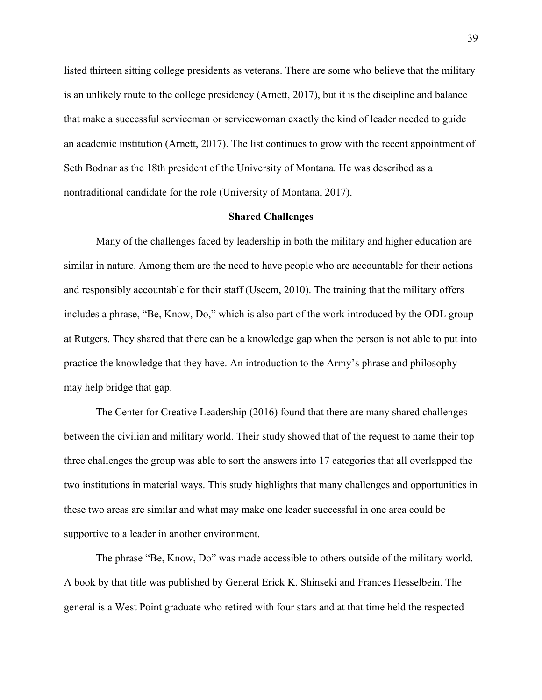listed thirteen sitting college presidents as veterans. There are some who believe that the military is an unlikely route to the college presidency (Arnett, 2017), but it is the discipline and balance that make a successful serviceman or servicewoman exactly the kind of leader needed to guide an academic institution (Arnett, 2017). The list continues to grow with the recent appointment of Seth Bodnar as the 18th president of the University of Montana. He was described as a nontraditional candidate for the role (University of Montana, 2017).

#### **Shared Challenges**

Many of the challenges faced by leadership in both the military and higher education are similar in nature. Among them are the need to have people who are accountable for their actions and responsibly accountable for their staff (Useem, 2010). The training that the military offers includes a phrase, "Be, Know, Do," which is also part of the work introduced by the ODL group at Rutgers. They shared that there can be a knowledge gap when the person is not able to put into practice the knowledge that they have. An introduction to the Army's phrase and philosophy may help bridge that gap.

The Center for Creative Leadership (2016) found that there are many shared challenges between the civilian and military world. Their study showed that of the request to name their top three challenges the group was able to sort the answers into 17 categories that all overlapped the two institutions in material ways. This study highlights that many challenges and opportunities in these two areas are similar and what may make one leader successful in one area could be supportive to a leader in another environment.

The phrase "Be, Know, Do" was made accessible to others outside of the military world. A book by that title was published by General Erick K. Shinseki and Frances Hesselbein. The general is a West Point graduate who retired with four stars and at that time held the respected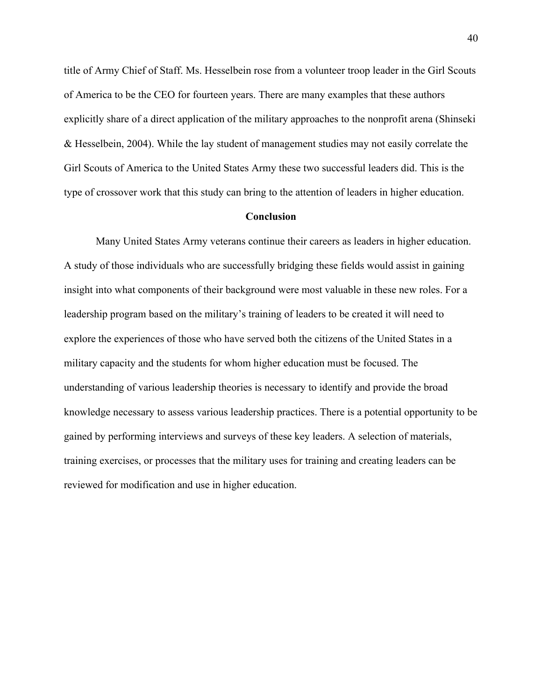title of Army Chief of Staff. Ms. Hesselbein rose from a volunteer troop leader in the Girl Scouts of America to be the CEO for fourteen years. There are many examples that these authors explicitly share of a direct application of the military approaches to the nonprofit arena (Shinseki & Hesselbein, 2004). While the lay student of management studies may not easily correlate the Girl Scouts of America to the United States Army these two successful leaders did. This is the type of crossover work that this study can bring to the attention of leaders in higher education.

## **Conclusion**

Many United States Army veterans continue their careers as leaders in higher education. A study of those individuals who are successfully bridging these fields would assist in gaining insight into what components of their background were most valuable in these new roles. For a leadership program based on the military's training of leaders to be created it will need to explore the experiences of those who have served both the citizens of the United States in a military capacity and the students for whom higher education must be focused. The understanding of various leadership theories is necessary to identify and provide the broad knowledge necessary to assess various leadership practices. There is a potential opportunity to be gained by performing interviews and surveys of these key leaders. A selection of materials, training exercises, or processes that the military uses for training and creating leaders can be reviewed for modification and use in higher education.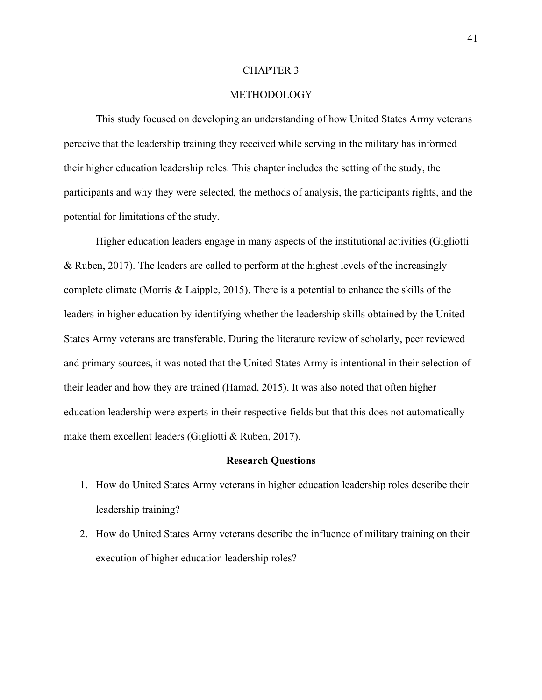### CHAPTER 3

# METHODOLOGY

This study focused on developing an understanding of how United States Army veterans perceive that the leadership training they received while serving in the military has informed their higher education leadership roles. This chapter includes the setting of the study, the participants and why they were selected, the methods of analysis, the participants rights, and the potential for limitations of the study.

Higher education leaders engage in many aspects of the institutional activities (Gigliotti & Ruben, 2017). The leaders are called to perform at the highest levels of the increasingly complete climate (Morris & Laipple, 2015). There is a potential to enhance the skills of the leaders in higher education by identifying whether the leadership skills obtained by the United States Army veterans are transferable. During the literature review of scholarly, peer reviewed and primary sources, it was noted that the United States Army is intentional in their selection of their leader and how they are trained (Hamad, 2015). It was also noted that often higher education leadership were experts in their respective fields but that this does not automatically make them excellent leaders (Gigliotti & Ruben, 2017).

#### **Research Questions**

- 1. How do United States Army veterans in higher education leadership roles describe their leadership training?
- 2. How do United States Army veterans describe the influence of military training on their execution of higher education leadership roles?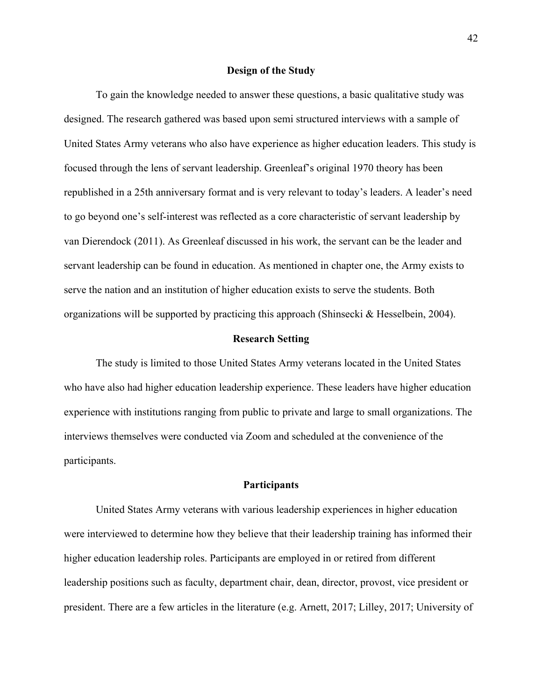#### **Design of the Study**

To gain the knowledge needed to answer these questions, a basic qualitative study was designed. The research gathered was based upon semi structured interviews with a sample of United States Army veterans who also have experience as higher education leaders. This study is focused through the lens of servant leadership. Greenleaf's original 1970 theory has been republished in a 25th anniversary format and is very relevant to today's leaders. A leader's need to go beyond one's self-interest was reflected as a core characteristic of servant leadership by van Dierendock (2011). As Greenleaf discussed in his work, the servant can be the leader and servant leadership can be found in education. As mentioned in chapter one, the Army exists to serve the nation and an institution of higher education exists to serve the students. Both organizations will be supported by practicing this approach (Shinsecki & Hesselbein, 2004).

### **Research Setting**

The study is limited to those United States Army veterans located in the United States who have also had higher education leadership experience. These leaders have higher education experience with institutions ranging from public to private and large to small organizations. The interviews themselves were conducted via Zoom and scheduled at the convenience of the participants.

## **Participants**

United States Army veterans with various leadership experiences in higher education were interviewed to determine how they believe that their leadership training has informed their higher education leadership roles. Participants are employed in or retired from different leadership positions such as faculty, department chair, dean, director, provost, vice president or president. There are a few articles in the literature (e.g. Arnett, 2017; Lilley, 2017; University of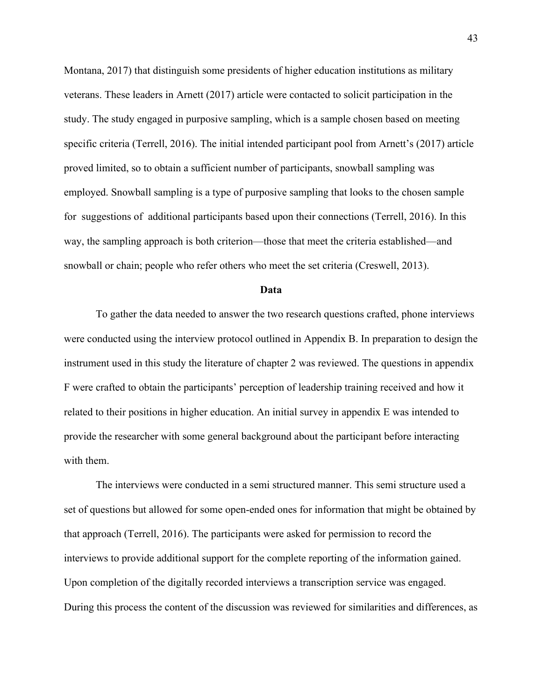Montana, 2017) that distinguish some presidents of higher education institutions as military veterans. These leaders in Arnett (2017) article were contacted to solicit participation in the study. The study engaged in purposive sampling, which is a sample chosen based on meeting specific criteria (Terrell, 2016). The initial intended participant pool from Arnett's (2017) article proved limited, so to obtain a sufficient number of participants, snowball sampling was employed. Snowball sampling is a type of purposive sampling that looks to the chosen sample for suggestions of additional participants based upon their connections (Terrell, 2016). In this way, the sampling approach is both criterion—those that meet the criteria established—and snowball or chain; people who refer others who meet the set criteria (Creswell, 2013).

#### **Data**

To gather the data needed to answer the two research questions crafted, phone interviews were conducted using the interview protocol outlined in Appendix B. In preparation to design the instrument used in this study the literature of chapter 2 was reviewed. The questions in appendix F were crafted to obtain the participants' perception of leadership training received and how it related to their positions in higher education. An initial survey in appendix E was intended to provide the researcher with some general background about the participant before interacting with them.

The interviews were conducted in a semi structured manner. This semi structure used a set of questions but allowed for some open-ended ones for information that might be obtained by that approach (Terrell, 2016). The participants were asked for permission to record the interviews to provide additional support for the complete reporting of the information gained. Upon completion of the digitally recorded interviews a transcription service was engaged. During this process the content of the discussion was reviewed for similarities and differences, as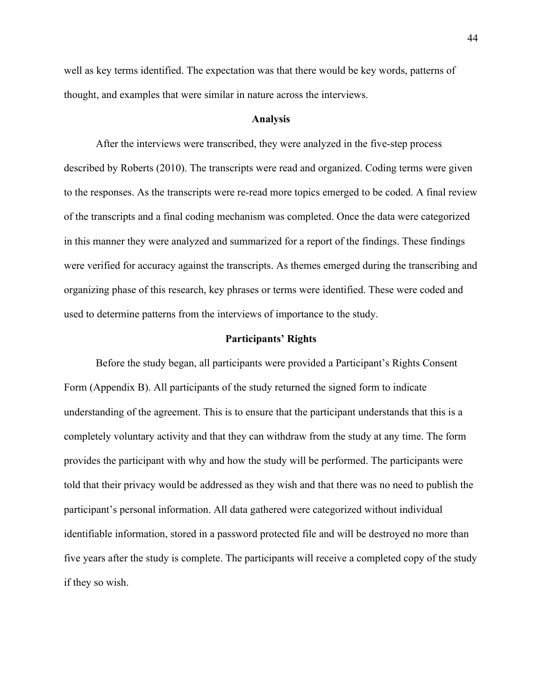well as key terms identified. The expectation was that there would be key words, patterns of thought, and examples that were similar in nature across the interviews.

#### **Analysis**

After the interviews were transcribed, they were analyzed in the five-step process described by Roberts (2010). The transcripts were read and organized. Coding terms were given to the responses. As the transcripts were re-read more topics emerged to be coded. A final review of the transcripts and a final coding mechanism was completed. Once the data were categorized in this manner they were analyzed and summarized for a report of the findings. These findings were verified for accuracy against the transcripts. As themes emerged during the transcribing and organizing phase of this research, key phrases or terms were identified. These were coded and used to determine patterns from the interviews of importance to the study.

#### **Participants' Rights**

Before the study began, all participants were provided a Participant's Rights Consent Form (Appendix B). All participants of the study returned the signed form to indicate understanding of the agreement. This is to ensure that the participant understands that this is a completely voluntary activity and that they can withdraw from the study at any time. The form provides the participant with why and how the study will be performed. The participants were told that their privacy would be addressed as they wish and that there was no need to publish the participant's personal information. All data gathered were categorized without individual identifiable information, stored in a password protected file and will be destroyed no more than five years after the study is complete. The participants will receive a completed copy of the study if they so wish.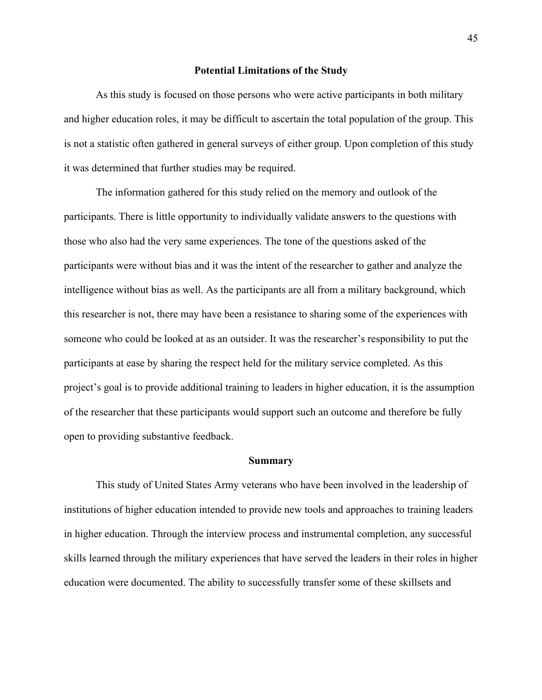#### **Potential Limitations of the Study**

As this study is focused on those persons who were active participants in both military and higher education roles, it may be difficult to ascertain the total population of the group. This is not a statistic often gathered in general surveys of either group. Upon completion of this study it was determined that further studies may be required.

The information gathered for this study relied on the memory and outlook of the participants. There is little opportunity to individually validate answers to the questions with those who also had the very same experiences. The tone of the questions asked of the participants were without bias and it was the intent of the researcher to gather and analyze the intelligence without bias as well. As the participants are all from a military background, which this researcher is not, there may have been a resistance to sharing some of the experiences with someone who could be looked at as an outsider. It was the researcher's responsibility to put the participants at ease by sharing the respect held for the military service completed. As this project's goal is to provide additional training to leaders in higher education, it is the assumption of the researcher that these participants would support such an outcome and therefore be fully open to providing substantive feedback.

#### **Summary**

This study of United States Army veterans who have been involved in the leadership of institutions of higher education intended to provide new tools and approaches to training leaders in higher education. Through the interview process and instrumental completion, any successful skills learned through the military experiences that have served the leaders in their roles in higher education were documented. The ability to successfully transfer some of these skillsets and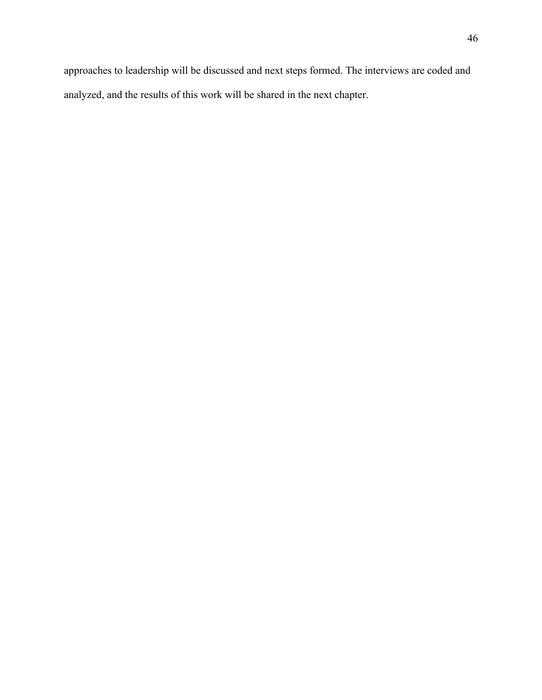approaches to leadership will be discussed and next steps formed. The interviews are coded and analyzed, and the results of this work will be shared in the next chapter.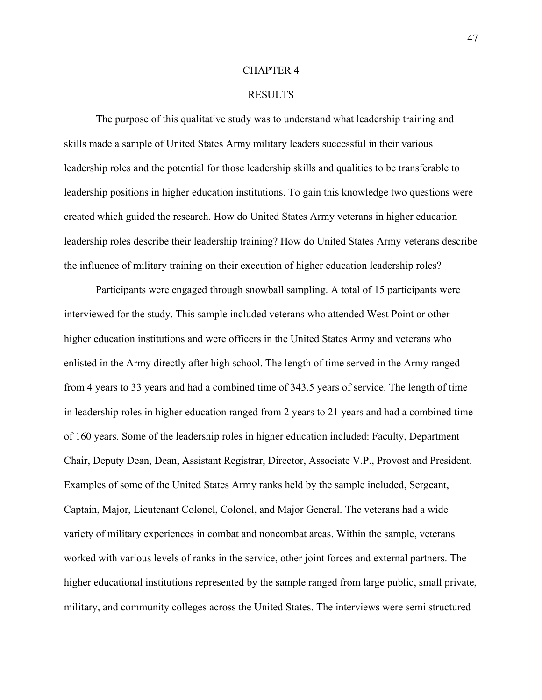### CHAPTER 4

## RESULTS

The purpose of this qualitative study was to understand what leadership training and skills made a sample of United States Army military leaders successful in their various leadership roles and the potential for those leadership skills and qualities to be transferable to leadership positions in higher education institutions. To gain this knowledge two questions were created which guided the research. How do United States Army veterans in higher education leadership roles describe their leadership training? How do United States Army veterans describe the influence of military training on their execution of higher education leadership roles?

Participants were engaged through snowball sampling. A total of 15 participants were interviewed for the study. This sample included veterans who attended West Point or other higher education institutions and were officers in the United States Army and veterans who enlisted in the Army directly after high school. The length of time served in the Army ranged from 4 years to 33 years and had a combined time of 343.5 years of service. The length of time in leadership roles in higher education ranged from 2 years to 21 years and had a combined time of 160 years. Some of the leadership roles in higher education included: Faculty, Department Chair, Deputy Dean, Dean, Assistant Registrar, Director, Associate V.P., Provost and President. Examples of some of the United States Army ranks held by the sample included, Sergeant, Captain, Major, Lieutenant Colonel, Colonel, and Major General. The veterans had a wide variety of military experiences in combat and noncombat areas. Within the sample, veterans worked with various levels of ranks in the service, other joint forces and external partners. The higher educational institutions represented by the sample ranged from large public, small private, military, and community colleges across the United States. The interviews were semi structured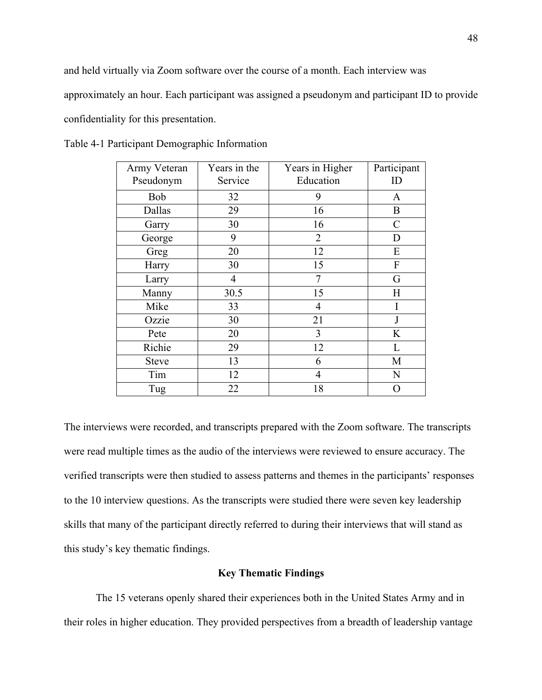and held virtually via Zoom software over the course of a month. Each interview was approximately an hour. Each participant was assigned a pseudonym and participant ID to provide confidentiality for this presentation.

| Army Veteran<br>Pseudonym | Years in the<br>Service | Years in Higher<br>Education | Participant<br>ID |
|---------------------------|-------------------------|------------------------------|-------------------|
| Bob                       | 32                      | 9                            | A                 |
| Dallas                    | 29                      | 16                           | B                 |
| Garry                     | 30                      | 16                           | $\mathcal{C}$     |
| George                    | 9                       | $\overline{2}$               | D                 |
| Greg                      | 20                      | 12                           | ${\bf E}$         |
| Harry                     | 30                      | 15                           | ${\bf F}$         |
| Larry                     | 4                       | 7                            | G                 |
| Manny                     | 30.5                    | 15                           | H                 |
| Mike                      | 33                      | 4                            |                   |
| Ozzie                     | 30                      | 21                           | J                 |
| Pete                      | 20                      | 3                            | K                 |
| Richie                    | 29                      | 12                           | L                 |
| <b>Steve</b>              | 13                      | 6                            | М                 |
| Tim                       | 12                      | 4                            | $\mathbf N$       |
| Tug                       | 22                      | 18                           | O                 |

Table 4-1 Participant Demographic Information

The interviews were recorded, and transcripts prepared with the Zoom software. The transcripts were read multiple times as the audio of the interviews were reviewed to ensure accuracy. The verified transcripts were then studied to assess patterns and themes in the participants' responses to the 10 interview questions. As the transcripts were studied there were seven key leadership skills that many of the participant directly referred to during their interviews that will stand as this study's key thematic findings.

## **Key Thematic Findings**

The 15 veterans openly shared their experiences both in the United States Army and in their roles in higher education. They provided perspectives from a breadth of leadership vantage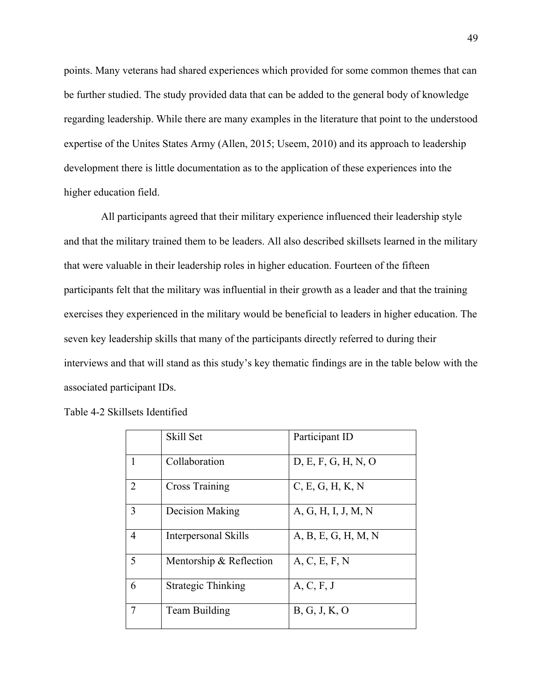points. Many veterans had shared experiences which provided for some common themes that can be further studied. The study provided data that can be added to the general body of knowledge regarding leadership. While there are many examples in the literature that point to the understood expertise of the Unites States Army (Allen, 2015; Useem, 2010) and its approach to leadership development there is little documentation as to the application of these experiences into the higher education field.

 All participants agreed that their military experience influenced their leadership style and that the military trained them to be leaders. All also described skillsets learned in the military that were valuable in their leadership roles in higher education. Fourteen of the fifteen participants felt that the military was influential in their growth as a leader and that the training exercises they experienced in the military would be beneficial to leaders in higher education. The seven key leadership skills that many of the participants directly referred to during their interviews and that will stand as this study's key thematic findings are in the table below with the associated participant IDs.

|   | Skill Set                   | Participant ID      |
|---|-----------------------------|---------------------|
| 1 | Collaboration               | D, E, F, G, H, N, O |
| 2 | <b>Cross Training</b>       | C, E, G, H, K, N    |
| 3 | Decision Making             | A, G, H, I, J, M, N |
| 4 | <b>Interpersonal Skills</b> | A, B, E, G, H, M, N |
| 5 | Mentorship & Reflection     | A, C, E, F, N       |
| 6 | Strategic Thinking          | A, C, F, J          |
| 7 | Team Building               | B, G, J, K, O       |

|  |  | Table 4-2 Skillsets Identified |
|--|--|--------------------------------|
|--|--|--------------------------------|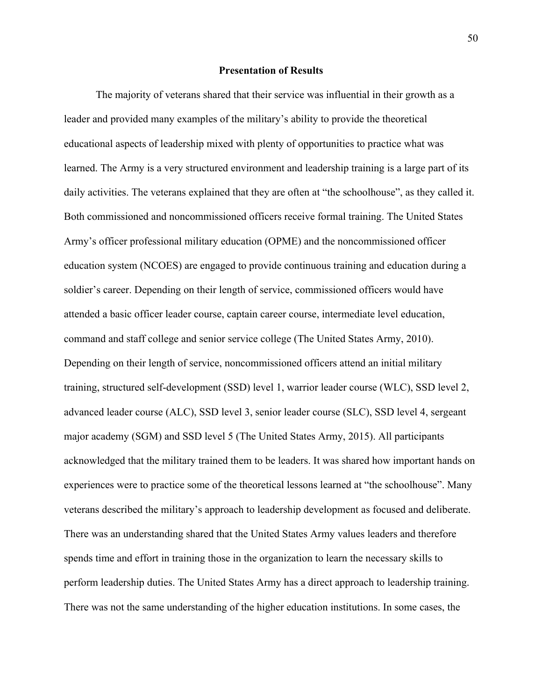## **Presentation of Results**

The majority of veterans shared that their service was influential in their growth as a leader and provided many examples of the military's ability to provide the theoretical educational aspects of leadership mixed with plenty of opportunities to practice what was learned. The Army is a very structured environment and leadership training is a large part of its daily activities. The veterans explained that they are often at "the schoolhouse", as they called it. Both commissioned and noncommissioned officers receive formal training. The United States Army's officer professional military education (OPME) and the noncommissioned officer education system (NCOES) are engaged to provide continuous training and education during a soldier's career. Depending on their length of service, commissioned officers would have attended a basic officer leader course, captain career course, intermediate level education, command and staff college and senior service college (The United States Army, 2010). Depending on their length of service, noncommissioned officers attend an initial military training, structured self-development (SSD) level 1, warrior leader course (WLC), SSD level 2, advanced leader course (ALC), SSD level 3, senior leader course (SLC), SSD level 4, sergeant major academy (SGM) and SSD level 5 (The United States Army, 2015). All participants acknowledged that the military trained them to be leaders. It was shared how important hands on experiences were to practice some of the theoretical lessons learned at "the schoolhouse". Many veterans described the military's approach to leadership development as focused and deliberate. There was an understanding shared that the United States Army values leaders and therefore spends time and effort in training those in the organization to learn the necessary skills to perform leadership duties. The United States Army has a direct approach to leadership training. There was not the same understanding of the higher education institutions. In some cases, the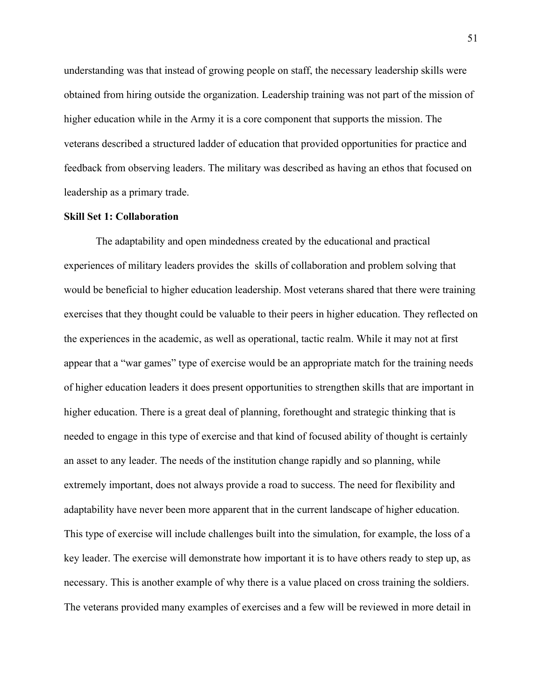understanding was that instead of growing people on staff, the necessary leadership skills were obtained from hiring outside the organization. Leadership training was not part of the mission of higher education while in the Army it is a core component that supports the mission. The veterans described a structured ladder of education that provided opportunities for practice and feedback from observing leaders. The military was described as having an ethos that focused on leadership as a primary trade.

## **Skill Set 1: Collaboration**

The adaptability and open mindedness created by the educational and practical experiences of military leaders provides the skills of collaboration and problem solving that would be beneficial to higher education leadership. Most veterans shared that there were training exercises that they thought could be valuable to their peers in higher education. They reflected on the experiences in the academic, as well as operational, tactic realm. While it may not at first appear that a "war games" type of exercise would be an appropriate match for the training needs of higher education leaders it does present opportunities to strengthen skills that are important in higher education. There is a great deal of planning, forethought and strategic thinking that is needed to engage in this type of exercise and that kind of focused ability of thought is certainly an asset to any leader. The needs of the institution change rapidly and so planning, while extremely important, does not always provide a road to success. The need for flexibility and adaptability have never been more apparent that in the current landscape of higher education. This type of exercise will include challenges built into the simulation, for example, the loss of a key leader. The exercise will demonstrate how important it is to have others ready to step up, as necessary. This is another example of why there is a value placed on cross training the soldiers. The veterans provided many examples of exercises and a few will be reviewed in more detail in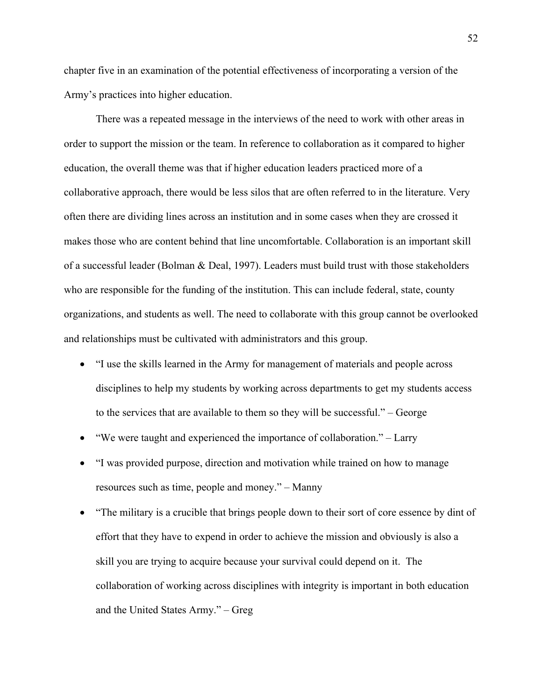chapter five in an examination of the potential effectiveness of incorporating a version of the Army's practices into higher education.

There was a repeated message in the interviews of the need to work with other areas in order to support the mission or the team. In reference to collaboration as it compared to higher education, the overall theme was that if higher education leaders practiced more of a collaborative approach, there would be less silos that are often referred to in the literature. Very often there are dividing lines across an institution and in some cases when they are crossed it makes those who are content behind that line uncomfortable. Collaboration is an important skill of a successful leader (Bolman & Deal, 1997). Leaders must build trust with those stakeholders who are responsible for the funding of the institution. This can include federal, state, county organizations, and students as well. The need to collaborate with this group cannot be overlooked and relationships must be cultivated with administrators and this group.

- "I use the skills learned in the Army for management of materials and people across disciplines to help my students by working across departments to get my students access to the services that are available to them so they will be successful." – George
- "We were taught and experienced the importance of collaboration." Larry
- "I was provided purpose, direction and motivation while trained on how to manage resources such as time, people and money." – Manny
- "The military is a crucible that brings people down to their sort of core essence by dint of effort that they have to expend in order to achieve the mission and obviously is also a skill you are trying to acquire because your survival could depend on it. The collaboration of working across disciplines with integrity is important in both education and the United States Army." – Greg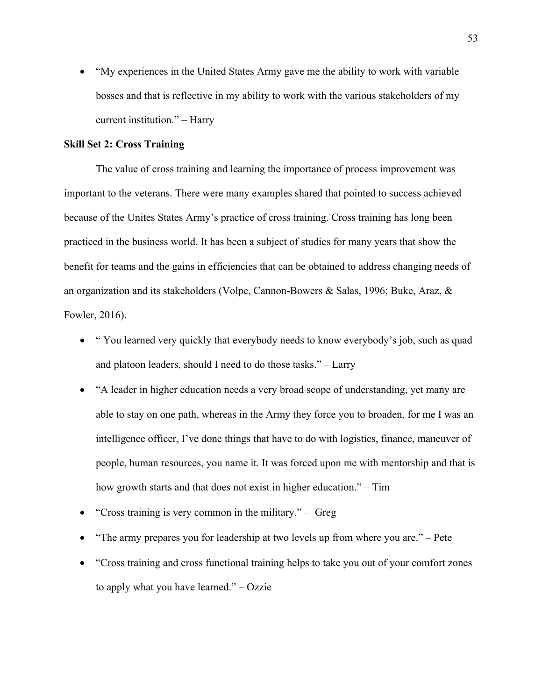• "My experiences in the United States Army gave me the ability to work with variable bosses and that is reflective in my ability to work with the various stakeholders of my current institution." – Harry

#### **Skill Set 2: Cross Training**

The value of cross training and learning the importance of process improvement was important to the veterans. There were many examples shared that pointed to success achieved because of the Unites States Army's practice of cross training. Cross training has long been practiced in the business world. It has been a subject of studies for many years that show the benefit for teams and the gains in efficiencies that can be obtained to address changing needs of an organization and its stakeholders (Volpe, Cannon-Bowers & Salas, 1996; Buke, Araz, & Fowler, 2016).

- " You learned very quickly that everybody needs to know everybody's job, such as quad and platoon leaders, should I need to do those tasks." – Larry
- "A leader in higher education needs a very broad scope of understanding, yet many are able to stay on one path, whereas in the Army they force you to broaden, for me I was an intelligence officer, I've done things that have to do with logistics, finance, maneuver of people, human resources, you name it. It was forced upon me with mentorship and that is how growth starts and that does not exist in higher education." – Tim
- "Cross training is very common in the military." Greg
- "The army prepares you for leadership at two levels up from where you are." Pete
- "Cross training and cross functional training helps to take you out of your comfort zones to apply what you have learned." – Ozzie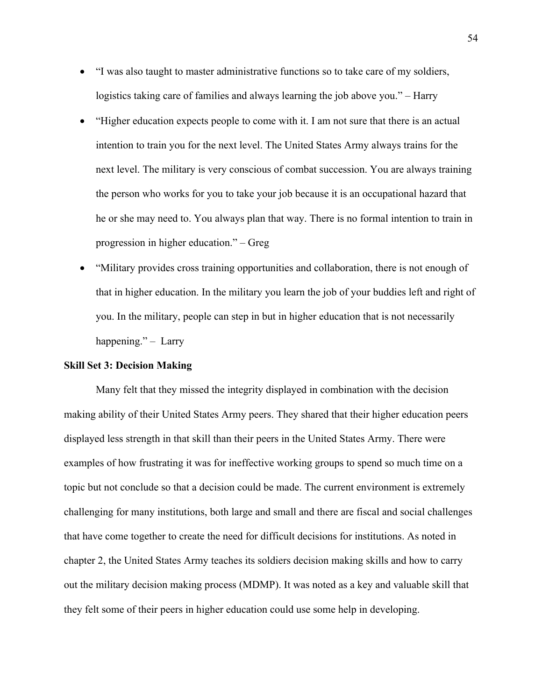- "I was also taught to master administrative functions so to take care of my soldiers, logistics taking care of families and always learning the job above you." – Harry
- "Higher education expects people to come with it. I am not sure that there is an actual intention to train you for the next level. The United States Army always trains for the next level. The military is very conscious of combat succession. You are always training the person who works for you to take your job because it is an occupational hazard that he or she may need to. You always plan that way. There is no formal intention to train in progression in higher education." – Greg
- "Military provides cross training opportunities and collaboration, there is not enough of that in higher education. In the military you learn the job of your buddies left and right of you. In the military, people can step in but in higher education that is not necessarily happening." – Larry

## **Skill Set 3: Decision Making**

Many felt that they missed the integrity displayed in combination with the decision making ability of their United States Army peers. They shared that their higher education peers displayed less strength in that skill than their peers in the United States Army. There were examples of how frustrating it was for ineffective working groups to spend so much time on a topic but not conclude so that a decision could be made. The current environment is extremely challenging for many institutions, both large and small and there are fiscal and social challenges that have come together to create the need for difficult decisions for institutions. As noted in chapter 2, the United States Army teaches its soldiers decision making skills and how to carry out the military decision making process (MDMP). It was noted as a key and valuable skill that they felt some of their peers in higher education could use some help in developing.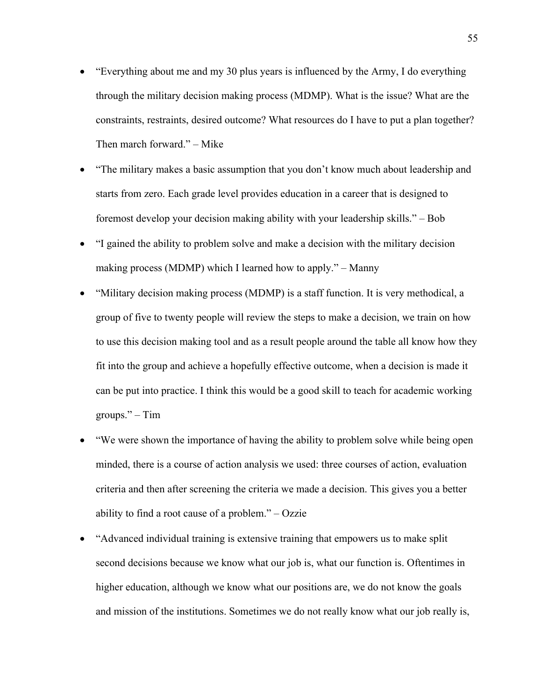- "Everything about me and my 30 plus years is influenced by the Army, I do everything through the military decision making process (MDMP). What is the issue? What are the constraints, restraints, desired outcome? What resources do I have to put a plan together? Then march forward." – Mike
- "The military makes a basic assumption that you don't know much about leadership and starts from zero. Each grade level provides education in a career that is designed to foremost develop your decision making ability with your leadership skills." – Bob
- "I gained the ability to problem solve and make a decision with the military decision making process (MDMP) which I learned how to apply." – Manny
- "Military decision making process (MDMP) is a staff function. It is very methodical, a group of five to twenty people will review the steps to make a decision, we train on how to use this decision making tool and as a result people around the table all know how they fit into the group and achieve a hopefully effective outcome, when a decision is made it can be put into practice. I think this would be a good skill to teach for academic working  $groups.''$  – Tim
- "We were shown the importance of having the ability to problem solve while being open minded, there is a course of action analysis we used: three courses of action, evaluation criteria and then after screening the criteria we made a decision. This gives you a better ability to find a root cause of a problem." – Ozzie
- "Advanced individual training is extensive training that empowers us to make split second decisions because we know what our job is, what our function is. Oftentimes in higher education, although we know what our positions are, we do not know the goals and mission of the institutions. Sometimes we do not really know what our job really is,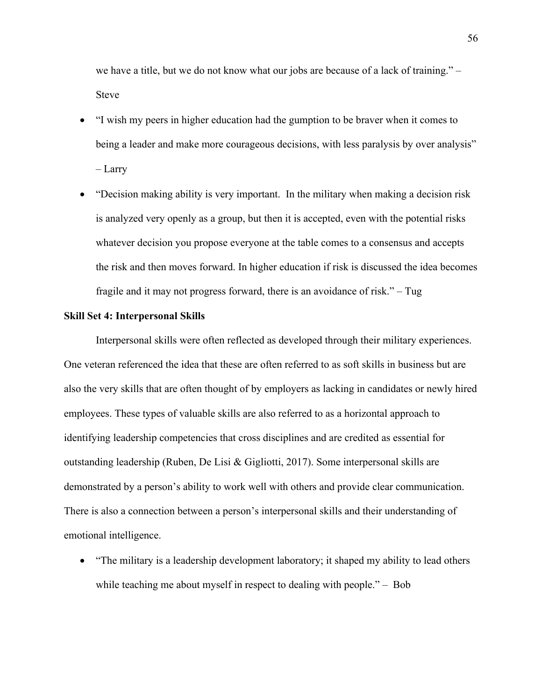we have a title, but we do not know what our jobs are because of a lack of training." – Steve

• "I wish my peers in higher education had the gumption to be braver when it comes to being a leader and make more courageous decisions, with less paralysis by over analysis"

– Larry

• "Decision making ability is very important. In the military when making a decision risk is analyzed very openly as a group, but then it is accepted, even with the potential risks whatever decision you propose everyone at the table comes to a consensus and accepts the risk and then moves forward. In higher education if risk is discussed the idea becomes fragile and it may not progress forward, there is an avoidance of risk." – Tug

### **Skill Set 4: Interpersonal Skills**

Interpersonal skills were often reflected as developed through their military experiences. One veteran referenced the idea that these are often referred to as soft skills in business but are also the very skills that are often thought of by employers as lacking in candidates or newly hired employees. These types of valuable skills are also referred to as a horizontal approach to identifying leadership competencies that cross disciplines and are credited as essential for outstanding leadership (Ruben, De Lisi & Gigliotti, 2017). Some interpersonal skills are demonstrated by a person's ability to work well with others and provide clear communication. There is also a connection between a person's interpersonal skills and their understanding of emotional intelligence.

• "The military is a leadership development laboratory; it shaped my ability to lead others while teaching me about myself in respect to dealing with people." – Bob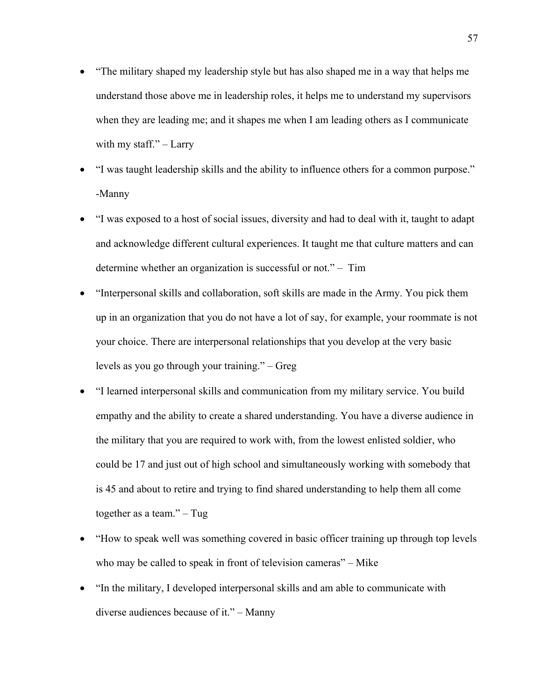- "The military shaped my leadership style but has also shaped me in a way that helps me understand those above me in leadership roles, it helps me to understand my supervisors when they are leading me; and it shapes me when I am leading others as I communicate with my staff." $-$  Larry
- "I was taught leadership skills and the ability to influence others for a common purpose." -Manny
- "I was exposed to a host of social issues, diversity and had to deal with it, taught to adapt and acknowledge different cultural experiences. It taught me that culture matters and can determine whether an organization is successful or not." – Tim
- "Interpersonal skills and collaboration, soft skills are made in the Army. You pick them up in an organization that you do not have a lot of say, for example, your roommate is not your choice. There are interpersonal relationships that you develop at the very basic levels as you go through your training." – Greg
- "I learned interpersonal skills and communication from my military service. You build empathy and the ability to create a shared understanding. You have a diverse audience in the military that you are required to work with, from the lowest enlisted soldier, who could be 17 and just out of high school and simultaneously working with somebody that is 45 and about to retire and trying to find shared understanding to help them all come together as a team." – Tug
- "How to speak well was something covered in basic officer training up through top levels who may be called to speak in front of television cameras" – Mike
- "In the military, I developed interpersonal skills and am able to communicate with diverse audiences because of it." – Manny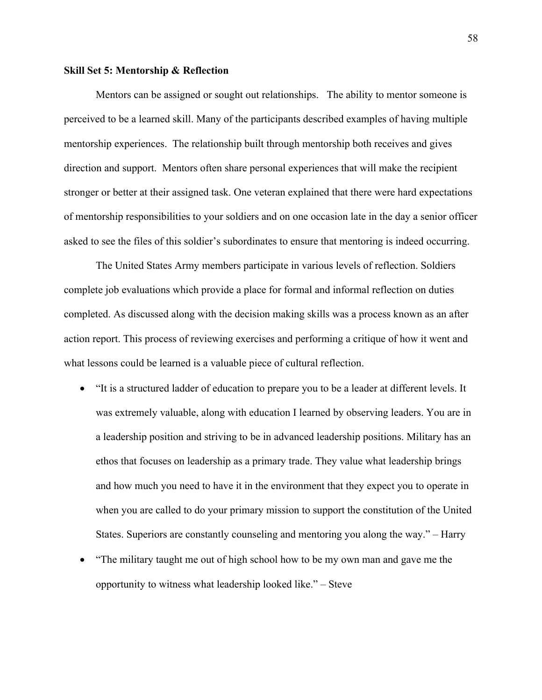### **Skill Set 5: Mentorship & Reflection**

Mentors can be assigned or sought out relationships. The ability to mentor someone is perceived to be a learned skill. Many of the participants described examples of having multiple mentorship experiences. The relationship built through mentorship both receives and gives direction and support. Mentors often share personal experiences that will make the recipient stronger or better at their assigned task. One veteran explained that there were hard expectations of mentorship responsibilities to your soldiers and on one occasion late in the day a senior officer asked to see the files of this soldier's subordinates to ensure that mentoring is indeed occurring.

The United States Army members participate in various levels of reflection. Soldiers complete job evaluations which provide a place for formal and informal reflection on duties completed. As discussed along with the decision making skills was a process known as an after action report. This process of reviewing exercises and performing a critique of how it went and what lessons could be learned is a valuable piece of cultural reflection.

- "It is a structured ladder of education to prepare you to be a leader at different levels. It was extremely valuable, along with education I learned by observing leaders. You are in a leadership position and striving to be in advanced leadership positions. Military has an ethos that focuses on leadership as a primary trade. They value what leadership brings and how much you need to have it in the environment that they expect you to operate in when you are called to do your primary mission to support the constitution of the United States. Superiors are constantly counseling and mentoring you along the way." – Harry
- "The military taught me out of high school how to be my own man and gave me the opportunity to witness what leadership looked like." – Steve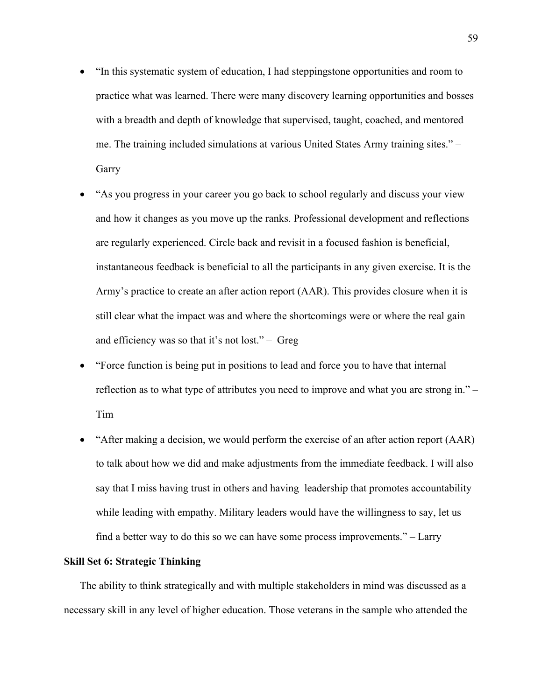- "In this systematic system of education, I had steppingstone opportunities and room to practice what was learned. There were many discovery learning opportunities and bosses with a breadth and depth of knowledge that supervised, taught, coached, and mentored me. The training included simulations at various United States Army training sites." – Garry
- "As you progress in your career you go back to school regularly and discuss your view and how it changes as you move up the ranks. Professional development and reflections are regularly experienced. Circle back and revisit in a focused fashion is beneficial, instantaneous feedback is beneficial to all the participants in any given exercise. It is the Army's practice to create an after action report (AAR). This provides closure when it is still clear what the impact was and where the shortcomings were or where the real gain and efficiency was so that it's not lost." – Greg
- "Force function is being put in positions to lead and force you to have that internal reflection as to what type of attributes you need to improve and what you are strong in." – Tim
- "After making a decision, we would perform the exercise of an after action report (AAR) to talk about how we did and make adjustments from the immediate feedback. I will also say that I miss having trust in others and having leadership that promotes accountability while leading with empathy. Military leaders would have the willingness to say, let us find a better way to do this so we can have some process improvements." – Larry

# **Skill Set 6: Strategic Thinking**

The ability to think strategically and with multiple stakeholders in mind was discussed as a necessary skill in any level of higher education. Those veterans in the sample who attended the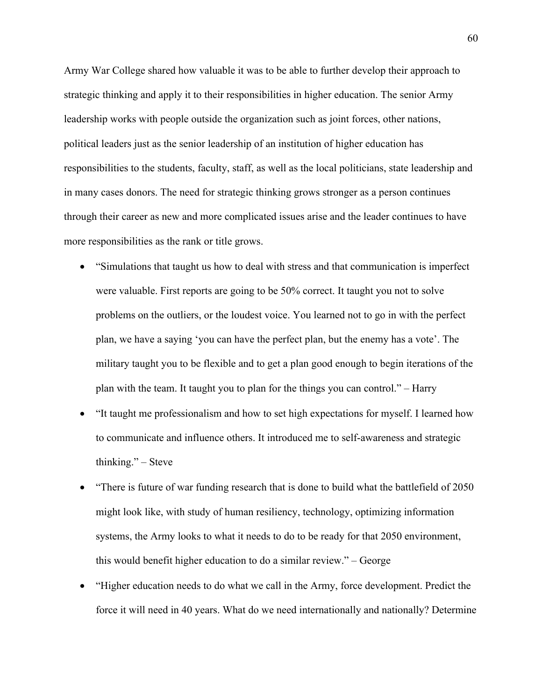Army War College shared how valuable it was to be able to further develop their approach to strategic thinking and apply it to their responsibilities in higher education. The senior Army leadership works with people outside the organization such as joint forces, other nations, political leaders just as the senior leadership of an institution of higher education has responsibilities to the students, faculty, staff, as well as the local politicians, state leadership and in many cases donors. The need for strategic thinking grows stronger as a person continues through their career as new and more complicated issues arise and the leader continues to have more responsibilities as the rank or title grows.

- "Simulations that taught us how to deal with stress and that communication is imperfect were valuable. First reports are going to be 50% correct. It taught you not to solve problems on the outliers, or the loudest voice. You learned not to go in with the perfect plan, we have a saying 'you can have the perfect plan, but the enemy has a vote'. The military taught you to be flexible and to get a plan good enough to begin iterations of the plan with the team. It taught you to plan for the things you can control." – Harry
- "It taught me professionalism and how to set high expectations for myself. I learned how to communicate and influence others. It introduced me to self-awareness and strategic thinking." – Steve
- "There is future of war funding research that is done to build what the battlefield of 2050 might look like, with study of human resiliency, technology, optimizing information systems, the Army looks to what it needs to do to be ready for that 2050 environment, this would benefit higher education to do a similar review." – George
- "Higher education needs to do what we call in the Army, force development. Predict the force it will need in 40 years. What do we need internationally and nationally? Determine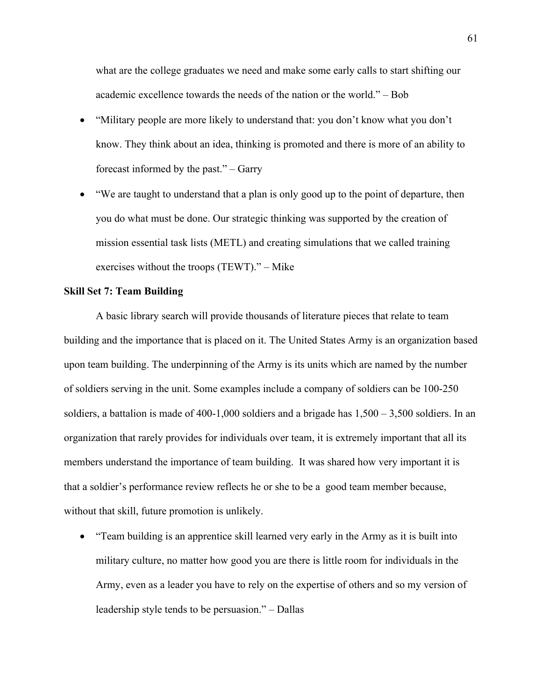what are the college graduates we need and make some early calls to start shifting our academic excellence towards the needs of the nation or the world." – Bob

- "Military people are more likely to understand that: you don't know what you don't know. They think about an idea, thinking is promoted and there is more of an ability to forecast informed by the past." – Garry
- "We are taught to understand that a plan is only good up to the point of departure, then you do what must be done. Our strategic thinking was supported by the creation of mission essential task lists (METL) and creating simulations that we called training exercises without the troops (TEWT)." – Mike

## **Skill Set 7: Team Building**

A basic library search will provide thousands of literature pieces that relate to team building and the importance that is placed on it. The United States Army is an organization based upon team building. The underpinning of the Army is its units which are named by the number of soldiers serving in the unit. Some examples include a company of soldiers can be 100-250 soldiers, a battalion is made of 400-1,000 soldiers and a brigade has 1,500 – 3,500 soldiers. In an organization that rarely provides for individuals over team, it is extremely important that all its members understand the importance of team building. It was shared how very important it is that a soldier's performance review reflects he or she to be a good team member because, without that skill, future promotion is unlikely.

• "Team building is an apprentice skill learned very early in the Army as it is built into military culture, no matter how good you are there is little room for individuals in the Army, even as a leader you have to rely on the expertise of others and so my version of leadership style tends to be persuasion." – Dallas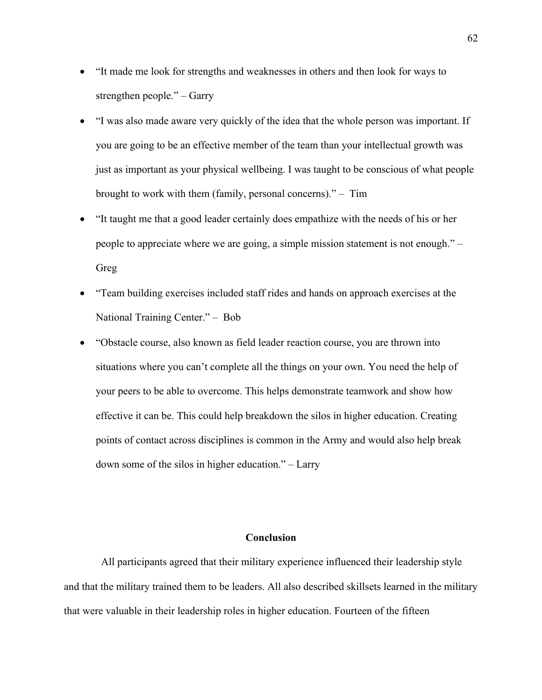- "It made me look for strengths and weaknesses in others and then look for ways to strengthen people." – Garry
- "I was also made aware very quickly of the idea that the whole person was important. If you are going to be an effective member of the team than your intellectual growth was just as important as your physical wellbeing. I was taught to be conscious of what people brought to work with them (family, personal concerns)." – Tim
- "It taught me that a good leader certainly does empathize with the needs of his or her people to appreciate where we are going, a simple mission statement is not enough." – Greg
- "Team building exercises included staff rides and hands on approach exercises at the National Training Center." – Bob
- "Obstacle course, also known as field leader reaction course, you are thrown into situations where you can't complete all the things on your own. You need the help of your peers to be able to overcome. This helps demonstrate teamwork and show how effective it can be. This could help breakdown the silos in higher education. Creating points of contact across disciplines is common in the Army and would also help break down some of the silos in higher education." – Larry

### **Conclusion**

 All participants agreed that their military experience influenced their leadership style and that the military trained them to be leaders. All also described skillsets learned in the military that were valuable in their leadership roles in higher education. Fourteen of the fifteen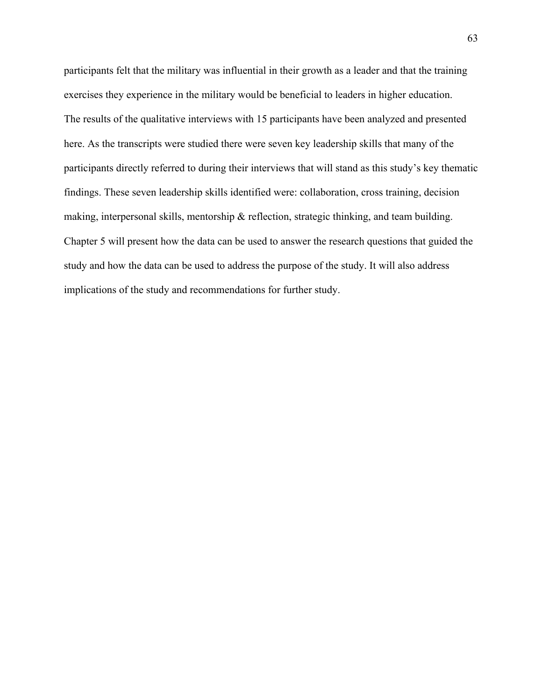participants felt that the military was influential in their growth as a leader and that the training exercises they experience in the military would be beneficial to leaders in higher education. The results of the qualitative interviews with 15 participants have been analyzed and presented here. As the transcripts were studied there were seven key leadership skills that many of the participants directly referred to during their interviews that will stand as this study's key thematic findings. These seven leadership skills identified were: collaboration, cross training, decision making, interpersonal skills, mentorship & reflection, strategic thinking, and team building. Chapter 5 will present how the data can be used to answer the research questions that guided the study and how the data can be used to address the purpose of the study. It will also address implications of the study and recommendations for further study.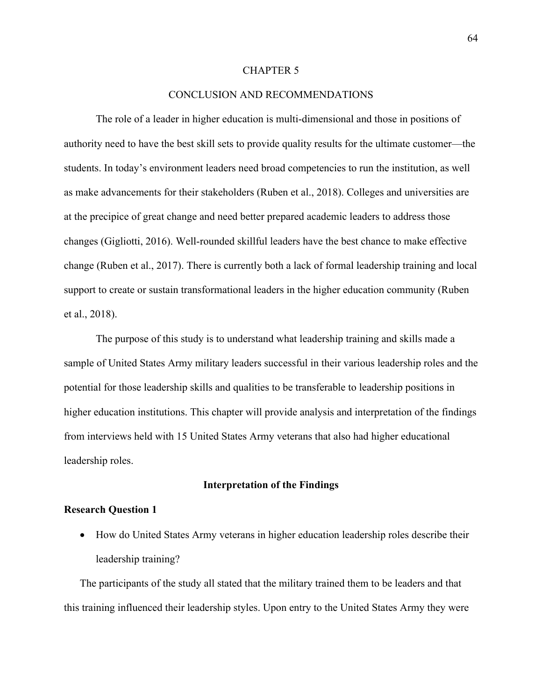#### CHAPTER 5

#### CONCLUSION AND RECOMMENDATIONS

The role of a leader in higher education is multi-dimensional and those in positions of authority need to have the best skill sets to provide quality results for the ultimate customer—the students. In today's environment leaders need broad competencies to run the institution, as well as make advancements for their stakeholders (Ruben et al., 2018). Colleges and universities are at the precipice of great change and need better prepared academic leaders to address those changes (Gigliotti, 2016). Well-rounded skillful leaders have the best chance to make effective change (Ruben et al., 2017). There is currently both a lack of formal leadership training and local support to create or sustain transformational leaders in the higher education community (Ruben et al., 2018).

The purpose of this study is to understand what leadership training and skills made a sample of United States Army military leaders successful in their various leadership roles and the potential for those leadership skills and qualities to be transferable to leadership positions in higher education institutions. This chapter will provide analysis and interpretation of the findings from interviews held with 15 United States Army veterans that also had higher educational leadership roles.

#### **Interpretation of the Findings**

#### **Research Question 1**

• How do United States Army veterans in higher education leadership roles describe their leadership training?

The participants of the study all stated that the military trained them to be leaders and that this training influenced their leadership styles. Upon entry to the United States Army they were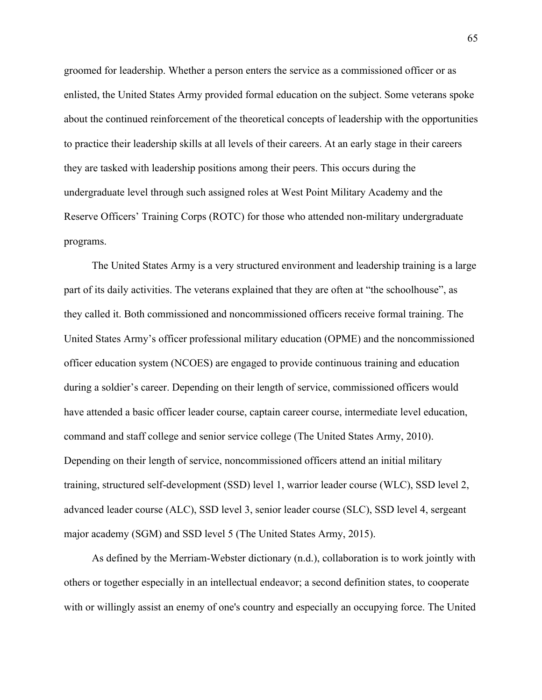groomed for leadership. Whether a person enters the service as a commissioned officer or as enlisted, the United States Army provided formal education on the subject. Some veterans spoke about the continued reinforcement of the theoretical concepts of leadership with the opportunities to practice their leadership skills at all levels of their careers. At an early stage in their careers they are tasked with leadership positions among their peers. This occurs during the undergraduate level through such assigned roles at West Point Military Academy and the Reserve Officers' Training Corps (ROTC) for those who attended non-military undergraduate programs.

The United States Army is a very structured environment and leadership training is a large part of its daily activities. The veterans explained that they are often at "the schoolhouse", as they called it. Both commissioned and noncommissioned officers receive formal training. The United States Army's officer professional military education (OPME) and the noncommissioned officer education system (NCOES) are engaged to provide continuous training and education during a soldier's career. Depending on their length of service, commissioned officers would have attended a basic officer leader course, captain career course, intermediate level education, command and staff college and senior service college (The United States Army, 2010). Depending on their length of service, noncommissioned officers attend an initial military training, structured self-development (SSD) level 1, warrior leader course (WLC), SSD level 2, advanced leader course (ALC), SSD level 3, senior leader course (SLC), SSD level 4, sergeant major academy (SGM) and SSD level 5 (The United States Army, 2015).

As defined by the Merriam-Webster dictionary (n.d.), collaboration is to work jointly with others or together especially in an intellectual endeavor; a second definition states, to cooperate with or willingly assist an enemy of one's country and especially an occupying force. The United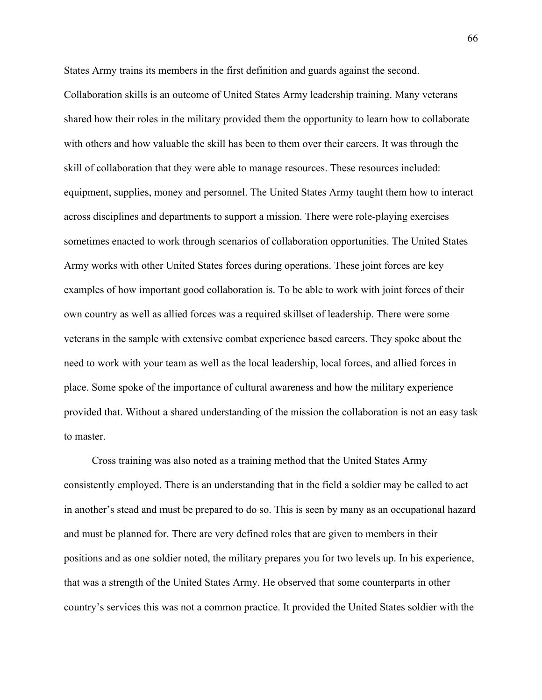States Army trains its members in the first definition and guards against the second. Collaboration skills is an outcome of United States Army leadership training. Many veterans shared how their roles in the military provided them the opportunity to learn how to collaborate with others and how valuable the skill has been to them over their careers. It was through the skill of collaboration that they were able to manage resources. These resources included: equipment, supplies, money and personnel. The United States Army taught them how to interact across disciplines and departments to support a mission. There were role-playing exercises sometimes enacted to work through scenarios of collaboration opportunities. The United States Army works with other United States forces during operations. These joint forces are key examples of how important good collaboration is. To be able to work with joint forces of their own country as well as allied forces was a required skillset of leadership. There were some veterans in the sample with extensive combat experience based careers. They spoke about the need to work with your team as well as the local leadership, local forces, and allied forces in place. Some spoke of the importance of cultural awareness and how the military experience provided that. Without a shared understanding of the mission the collaboration is not an easy task to master.

Cross training was also noted as a training method that the United States Army consistently employed. There is an understanding that in the field a soldier may be called to act in another's stead and must be prepared to do so. This is seen by many as an occupational hazard and must be planned for. There are very defined roles that are given to members in their positions and as one soldier noted, the military prepares you for two levels up. In his experience, that was a strength of the United States Army. He observed that some counterparts in other country's services this was not a common practice. It provided the United States soldier with the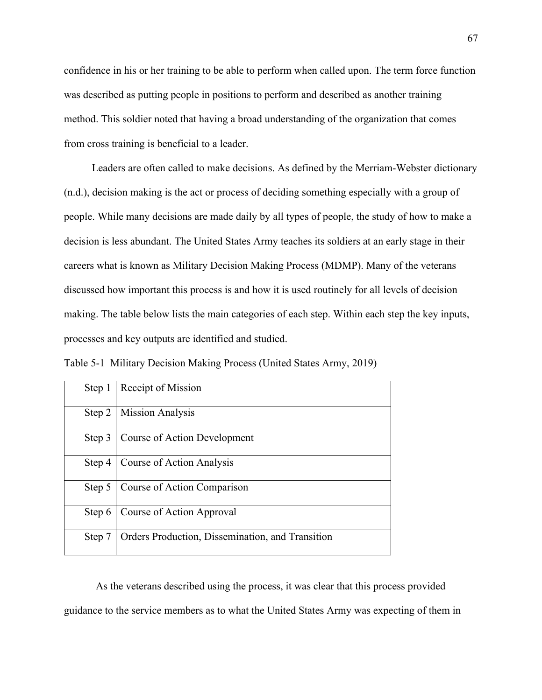confidence in his or her training to be able to perform when called upon. The term force function was described as putting people in positions to perform and described as another training method. This soldier noted that having a broad understanding of the organization that comes from cross training is beneficial to a leader.

Leaders are often called to make decisions. As defined by the Merriam-Webster dictionary (n.d.), decision making is the act or process of deciding something especially with a group of people. While many decisions are made daily by all types of people, the study of how to make a decision is less abundant. The United States Army teaches its soldiers at an early stage in their careers what is known as Military Decision Making Process (MDMP). Many of the veterans discussed how important this process is and how it is used routinely for all levels of decision making. The table below lists the main categories of each step. Within each step the key inputs, processes and key outputs are identified and studied.

Table 5-1 Military Decision Making Process (United States Army, 2019)

| Step 1 | Receipt of Mission                               |
|--------|--------------------------------------------------|
| Step 2 | <b>Mission Analysis</b>                          |
| Step 3 | Course of Action Development                     |
| Step 4 | Course of Action Analysis                        |
| Step 5 | Course of Action Comparison                      |
| Step 6 | Course of Action Approval                        |
| Step 7 | Orders Production, Dissemination, and Transition |

As the veterans described using the process, it was clear that this process provided guidance to the service members as to what the United States Army was expecting of them in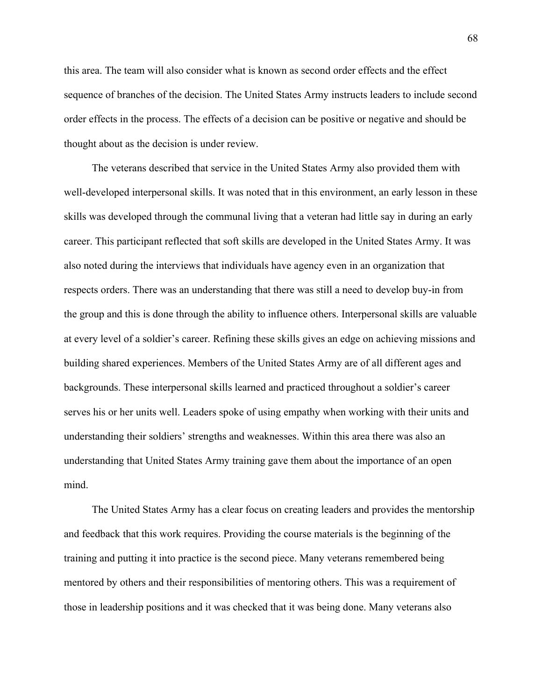this area. The team will also consider what is known as second order effects and the effect sequence of branches of the decision. The United States Army instructs leaders to include second order effects in the process. The effects of a decision can be positive or negative and should be thought about as the decision is under review.

The veterans described that service in the United States Army also provided them with well-developed interpersonal skills. It was noted that in this environment, an early lesson in these skills was developed through the communal living that a veteran had little say in during an early career. This participant reflected that soft skills are developed in the United States Army. It was also noted during the interviews that individuals have agency even in an organization that respects orders. There was an understanding that there was still a need to develop buy-in from the group and this is done through the ability to influence others. Interpersonal skills are valuable at every level of a soldier's career. Refining these skills gives an edge on achieving missions and building shared experiences. Members of the United States Army are of all different ages and backgrounds. These interpersonal skills learned and practiced throughout a soldier's career serves his or her units well. Leaders spoke of using empathy when working with their units and understanding their soldiers' strengths and weaknesses. Within this area there was also an understanding that United States Army training gave them about the importance of an open mind.

The United States Army has a clear focus on creating leaders and provides the mentorship and feedback that this work requires. Providing the course materials is the beginning of the training and putting it into practice is the second piece. Many veterans remembered being mentored by others and their responsibilities of mentoring others. This was a requirement of those in leadership positions and it was checked that it was being done. Many veterans also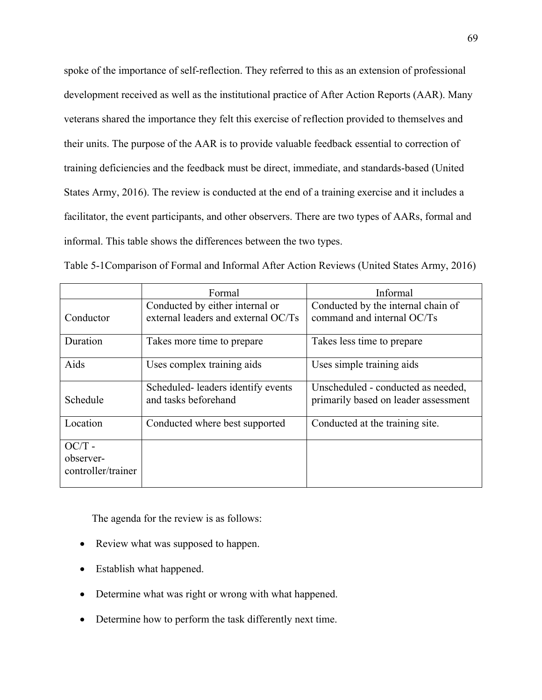spoke of the importance of self-reflection. They referred to this as an extension of professional development received as well as the institutional practice of After Action Reports (AAR). Many veterans shared the importance they felt this exercise of reflection provided to themselves and their units. The purpose of the AAR is to provide valuable feedback essential to correction of training deficiencies and the feedback must be direct, immediate, and standards-based (United States Army, 2016). The review is conducted at the end of a training exercise and it includes a facilitator, the event participants, and other observers. There are two types of AARs, formal and informal. This table shows the differences between the two types.

Table 5-1Comparison of Formal and Informal After Action Reviews (United States Army, 2016)

|                                             | Formal                                                                 | Informal                                                                   |
|---------------------------------------------|------------------------------------------------------------------------|----------------------------------------------------------------------------|
| Conductor                                   | Conducted by either internal or<br>external leaders and external OC/Ts | Conducted by the internal chain of<br>command and internal OC/Ts           |
| Duration                                    | Takes more time to prepare                                             | Takes less time to prepare                                                 |
| Aids                                        | Uses complex training aids                                             | Uses simple training aids                                                  |
| Schedule                                    | Scheduled-leaders identify events<br>and tasks beforehand              | Unscheduled - conducted as needed,<br>primarily based on leader assessment |
| Location                                    | Conducted where best supported                                         | Conducted at the training site.                                            |
| $OC/T -$<br>observer-<br>controller/trainer |                                                                        |                                                                            |

The agenda for the review is as follows:

- Review what was supposed to happen.
- Establish what happened.
- Determine what was right or wrong with what happened.
- Determine how to perform the task differently next time.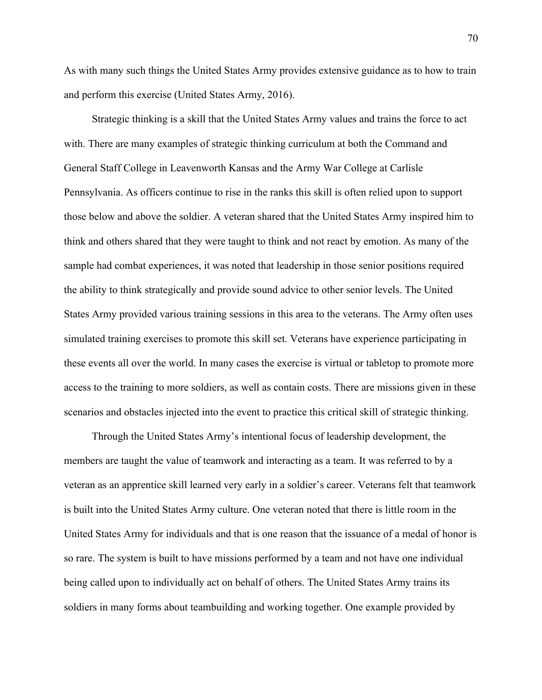As with many such things the United States Army provides extensive guidance as to how to train and perform this exercise (United States Army, 2016).

Strategic thinking is a skill that the United States Army values and trains the force to act with. There are many examples of strategic thinking curriculum at both the Command and General Staff College in Leavenworth Kansas and the Army War College at Carlisle Pennsylvania. As officers continue to rise in the ranks this skill is often relied upon to support those below and above the soldier. A veteran shared that the United States Army inspired him to think and others shared that they were taught to think and not react by emotion. As many of the sample had combat experiences, it was noted that leadership in those senior positions required the ability to think strategically and provide sound advice to other senior levels. The United States Army provided various training sessions in this area to the veterans. The Army often uses simulated training exercises to promote this skill set. Veterans have experience participating in these events all over the world. In many cases the exercise is virtual or tabletop to promote more access to the training to more soldiers, as well as contain costs. There are missions given in these scenarios and obstacles injected into the event to practice this critical skill of strategic thinking.

Through the United States Army's intentional focus of leadership development, the members are taught the value of teamwork and interacting as a team. It was referred to by a veteran as an apprentice skill learned very early in a soldier's career. Veterans felt that teamwork is built into the United States Army culture. One veteran noted that there is little room in the United States Army for individuals and that is one reason that the issuance of a medal of honor is so rare. The system is built to have missions performed by a team and not have one individual being called upon to individually act on behalf of others. The United States Army trains its soldiers in many forms about teambuilding and working together. One example provided by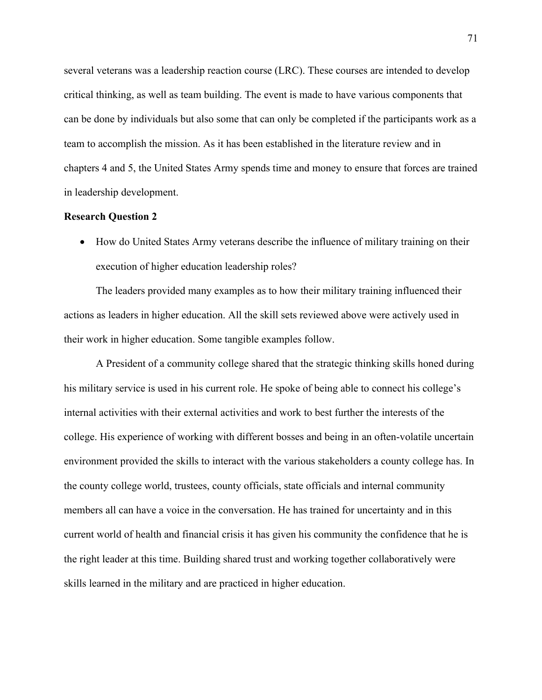several veterans was a leadership reaction course (LRC). These courses are intended to develop critical thinking, as well as team building. The event is made to have various components that can be done by individuals but also some that can only be completed if the participants work as a team to accomplish the mission. As it has been established in the literature review and in chapters 4 and 5, the United States Army spends time and money to ensure that forces are trained in leadership development.

#### **Research Question 2**

• How do United States Army veterans describe the influence of military training on their execution of higher education leadership roles?

The leaders provided many examples as to how their military training influenced their actions as leaders in higher education. All the skill sets reviewed above were actively used in their work in higher education. Some tangible examples follow.

A President of a community college shared that the strategic thinking skills honed during his military service is used in his current role. He spoke of being able to connect his college's internal activities with their external activities and work to best further the interests of the college. His experience of working with different bosses and being in an often-volatile uncertain environment provided the skills to interact with the various stakeholders a county college has. In the county college world, trustees, county officials, state officials and internal community members all can have a voice in the conversation. He has trained for uncertainty and in this current world of health and financial crisis it has given his community the confidence that he is the right leader at this time. Building shared trust and working together collaboratively were skills learned in the military and are practiced in higher education.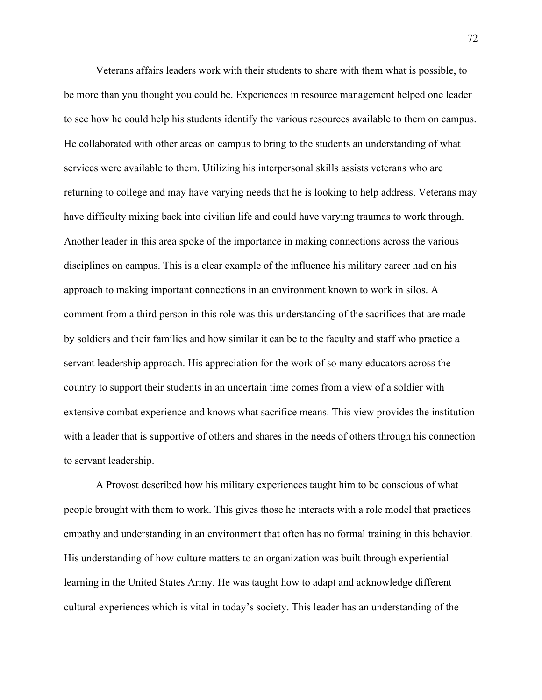Veterans affairs leaders work with their students to share with them what is possible, to be more than you thought you could be. Experiences in resource management helped one leader to see how he could help his students identify the various resources available to them on campus. He collaborated with other areas on campus to bring to the students an understanding of what services were available to them. Utilizing his interpersonal skills assists veterans who are returning to college and may have varying needs that he is looking to help address. Veterans may have difficulty mixing back into civilian life and could have varying traumas to work through. Another leader in this area spoke of the importance in making connections across the various disciplines on campus. This is a clear example of the influence his military career had on his approach to making important connections in an environment known to work in silos. A comment from a third person in this role was this understanding of the sacrifices that are made by soldiers and their families and how similar it can be to the faculty and staff who practice a servant leadership approach. His appreciation for the work of so many educators across the country to support their students in an uncertain time comes from a view of a soldier with extensive combat experience and knows what sacrifice means. This view provides the institution with a leader that is supportive of others and shares in the needs of others through his connection to servant leadership.

A Provost described how his military experiences taught him to be conscious of what people brought with them to work. This gives those he interacts with a role model that practices empathy and understanding in an environment that often has no formal training in this behavior. His understanding of how culture matters to an organization was built through experiential learning in the United States Army. He was taught how to adapt and acknowledge different cultural experiences which is vital in today's society. This leader has an understanding of the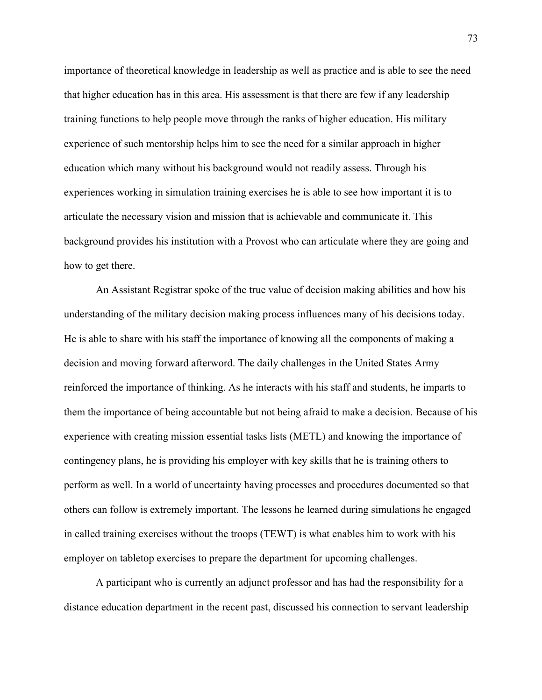importance of theoretical knowledge in leadership as well as practice and is able to see the need that higher education has in this area. His assessment is that there are few if any leadership training functions to help people move through the ranks of higher education. His military experience of such mentorship helps him to see the need for a similar approach in higher education which many without his background would not readily assess. Through his experiences working in simulation training exercises he is able to see how important it is to articulate the necessary vision and mission that is achievable and communicate it. This background provides his institution with a Provost who can articulate where they are going and how to get there.

An Assistant Registrar spoke of the true value of decision making abilities and how his understanding of the military decision making process influences many of his decisions today. He is able to share with his staff the importance of knowing all the components of making a decision and moving forward afterword. The daily challenges in the United States Army reinforced the importance of thinking. As he interacts with his staff and students, he imparts to them the importance of being accountable but not being afraid to make a decision. Because of his experience with creating mission essential tasks lists (METL) and knowing the importance of contingency plans, he is providing his employer with key skills that he is training others to perform as well. In a world of uncertainty having processes and procedures documented so that others can follow is extremely important. The lessons he learned during simulations he engaged in called training exercises without the troops (TEWT) is what enables him to work with his employer on tabletop exercises to prepare the department for upcoming challenges.

A participant who is currently an adjunct professor and has had the responsibility for a distance education department in the recent past, discussed his connection to servant leadership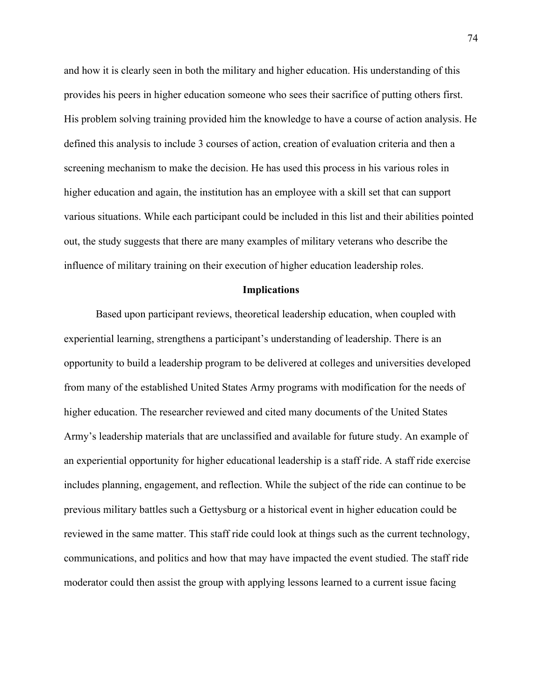and how it is clearly seen in both the military and higher education. His understanding of this provides his peers in higher education someone who sees their sacrifice of putting others first. His problem solving training provided him the knowledge to have a course of action analysis. He defined this analysis to include 3 courses of action, creation of evaluation criteria and then a screening mechanism to make the decision. He has used this process in his various roles in higher education and again, the institution has an employee with a skill set that can support various situations. While each participant could be included in this list and their abilities pointed out, the study suggests that there are many examples of military veterans who describe the influence of military training on their execution of higher education leadership roles.

#### **Implications**

Based upon participant reviews, theoretical leadership education, when coupled with experiential learning, strengthens a participant's understanding of leadership. There is an opportunity to build a leadership program to be delivered at colleges and universities developed from many of the established United States Army programs with modification for the needs of higher education. The researcher reviewed and cited many documents of the United States Army's leadership materials that are unclassified and available for future study. An example of an experiential opportunity for higher educational leadership is a staff ride. A staff ride exercise includes planning, engagement, and reflection. While the subject of the ride can continue to be previous military battles such a Gettysburg or a historical event in higher education could be reviewed in the same matter. This staff ride could look at things such as the current technology, communications, and politics and how that may have impacted the event studied. The staff ride moderator could then assist the group with applying lessons learned to a current issue facing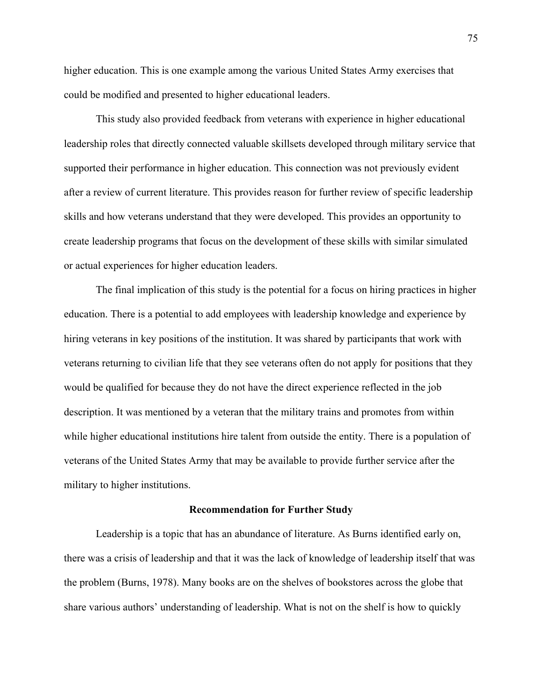higher education. This is one example among the various United States Army exercises that could be modified and presented to higher educational leaders.

This study also provided feedback from veterans with experience in higher educational leadership roles that directly connected valuable skillsets developed through military service that supported their performance in higher education. This connection was not previously evident after a review of current literature. This provides reason for further review of specific leadership skills and how veterans understand that they were developed. This provides an opportunity to create leadership programs that focus on the development of these skills with similar simulated or actual experiences for higher education leaders.

The final implication of this study is the potential for a focus on hiring practices in higher education. There is a potential to add employees with leadership knowledge and experience by hiring veterans in key positions of the institution. It was shared by participants that work with veterans returning to civilian life that they see veterans often do not apply for positions that they would be qualified for because they do not have the direct experience reflected in the job description. It was mentioned by a veteran that the military trains and promotes from within while higher educational institutions hire talent from outside the entity. There is a population of veterans of the United States Army that may be available to provide further service after the military to higher institutions.

#### **Recommendation for Further Study**

Leadership is a topic that has an abundance of literature. As Burns identified early on, there was a crisis of leadership and that it was the lack of knowledge of leadership itself that was the problem (Burns, 1978). Many books are on the shelves of bookstores across the globe that share various authors' understanding of leadership. What is not on the shelf is how to quickly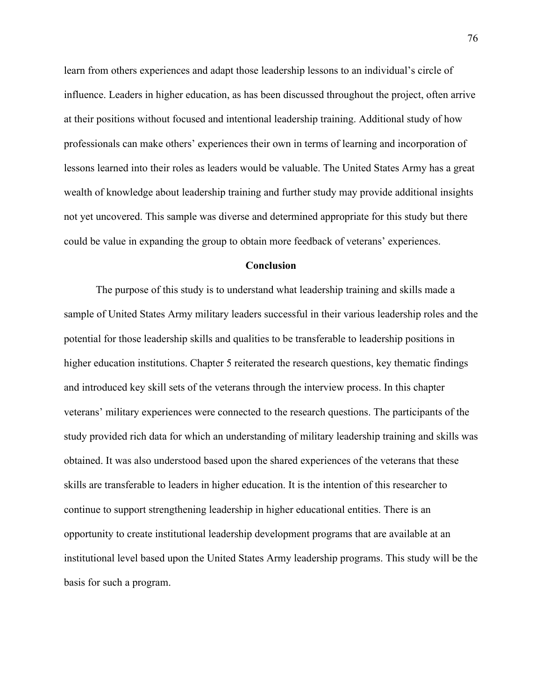learn from others experiences and adapt those leadership lessons to an individual's circle of influence. Leaders in higher education, as has been discussed throughout the project, often arrive at their positions without focused and intentional leadership training. Additional study of how professionals can make others' experiences their own in terms of learning and incorporation of lessons learned into their roles as leaders would be valuable. The United States Army has a great wealth of knowledge about leadership training and further study may provide additional insights not yet uncovered. This sample was diverse and determined appropriate for this study but there could be value in expanding the group to obtain more feedback of veterans' experiences.

#### **Conclusion**

The purpose of this study is to understand what leadership training and skills made a sample of United States Army military leaders successful in their various leadership roles and the potential for those leadership skills and qualities to be transferable to leadership positions in higher education institutions. Chapter 5 reiterated the research questions, key thematic findings and introduced key skill sets of the veterans through the interview process. In this chapter veterans' military experiences were connected to the research questions. The participants of the study provided rich data for which an understanding of military leadership training and skills was obtained. It was also understood based upon the shared experiences of the veterans that these skills are transferable to leaders in higher education. It is the intention of this researcher to continue to support strengthening leadership in higher educational entities. There is an opportunity to create institutional leadership development programs that are available at an institutional level based upon the United States Army leadership programs. This study will be the basis for such a program.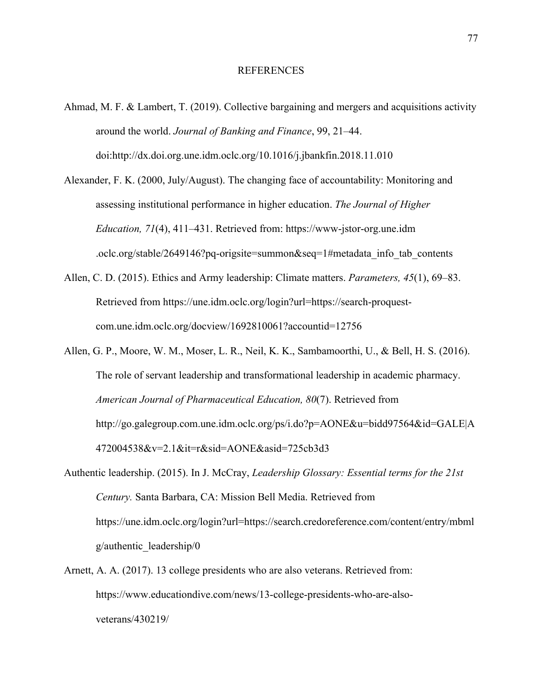#### REFERENCES

- Ahmad, M. F. & Lambert, T. (2019). Collective bargaining and mergers and acquisitions activity around the world. *Journal of Banking and Finance*, 99, 21–44. doi:http://dx.doi.org.une.idm.oclc.org/10.1016/j.jbankfin.2018.11.010
- Alexander, F. K. (2000, July/August). The changing face of accountability: Monitoring and assessing institutional performance in higher education. *The Journal of Higher Education, 71*(4), 411–431. Retrieved from: https://www-jstor-org.une.idm .oclc.org/stable/2649146?pq-origsite=summon&seq=1#metadata\_info\_tab\_contents
- Allen, C. D. (2015). Ethics and Army leadership: Climate matters. *Parameters, 45*(1), 69–83. Retrieved from https://une.idm.oclc.org/login?url=https://search-proquestcom.une.idm.oclc.org/docview/1692810061?accountid=12756
- Allen, G. P., Moore, W. M., Moser, L. R., Neil, K. K., Sambamoorthi, U., & Bell, H. S. (2016). The role of servant leadership and transformational leadership in academic pharmacy. *American Journal of Pharmaceutical Education, 80*(7). Retrieved from http://go.galegroup.com.une.idm.oclc.org/ps/i.do?p=AONE&u=bidd97564&id=GALE|A 472004538&v=2.1&it=r&sid=AONE&asid=725cb3d3
- Authentic leadership. (2015). In J. McCray, *Leadership Glossary: Essential terms for the 21st Century.* Santa Barbara, CA: Mission Bell Media. Retrieved from https://une.idm.oclc.org/login?url=https://search.credoreference.com/content/entry/mbml g/authentic\_leadership/0
- Arnett, A. A. (2017). 13 college presidents who are also veterans. Retrieved from: https://www.educationdive.com/news/13-college-presidents-who-are-alsoveterans/430219/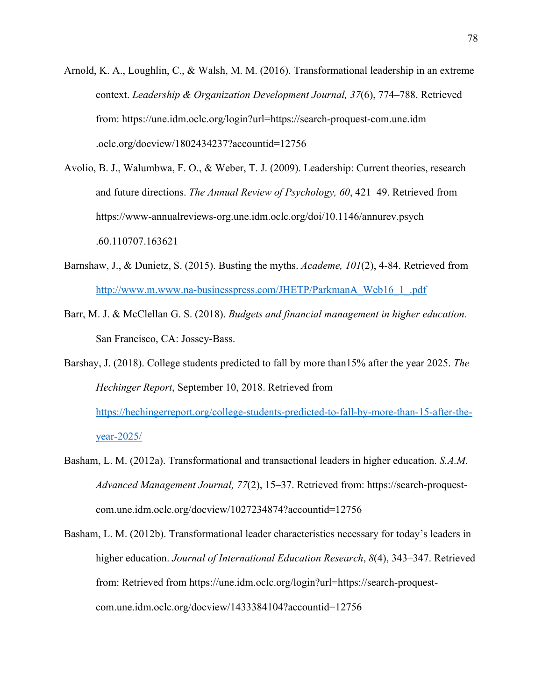- Arnold, K. A., Loughlin, C., & Walsh, M. M. (2016). Transformational leadership in an extreme context. *Leadership & Organization Development Journal, 37*(6), 774–788. Retrieved from: https://une.idm.oclc.org/login?url=https://search-proquest-com.une.idm .oclc.org/docview/1802434237?accountid=12756
- Avolio, B. J., Walumbwa, F. O., & Weber, T. J. (2009). Leadership: Current theories, research and future directions. *The Annual Review of Psychology, 60*, 421–49. Retrieved from https://www-annualreviews-org.une.idm.oclc.org/doi/10.1146/annurev.psych .60.110707.163621
- Barnshaw, J., & Dunietz, S. (2015). Busting the myths. *Academe, 101*(2), 4-84. Retrieved from http://www.m.www.na-businesspress.com/JHETP/ParkmanA\_Web16\_1\_.pdf
- Barr, M. J. & McClellan G. S. (2018). *Budgets and financial management in higher education.*  San Francisco, CA: Jossey-Bass.
- Barshay, J. (2018). College students predicted to fall by more than15% after the year 2025. *The Hechinger Report*, September 10, 2018. Retrieved from https://hechingerreport.org/college-students-predicted-to-fall-by-more-than-15-after-theyear-2025/
- Basham, L. M. (2012a). Transformational and transactional leaders in higher education. *S.A.M. Advanced Management Journal, 77*(2), 15–37. Retrieved from: https://search-proquestcom.une.idm.oclc.org/docview/1027234874?accountid=12756
- Basham, L. M. (2012b). Transformational leader characteristics necessary for today's leaders in higher education. *Journal of International Education Research*, *8*(4), 343–347. Retrieved from: Retrieved from https://une.idm.oclc.org/login?url=https://search-proquestcom.une.idm.oclc.org/docview/1433384104?accountid=12756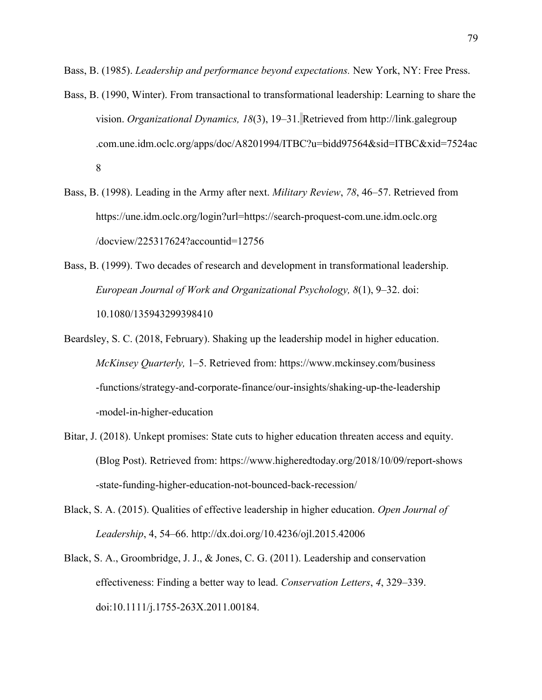Bass, B. (1985). *Leadership and performance beyond expectations.* New York, NY: Free Press.

- Bass, B. (1990, Winter). From transactional to transformational leadership: Learning to share the vision. *Organizational Dynamics, 18*(3), 19–31. Retrieved from http://link.galegroup .com.une.idm.oclc.org/apps/doc/A8201994/ITBC?u=bidd97564&sid=ITBC&xid=7524ac 8
- Bass, B. (1998). Leading in the Army after next. *Military Review*, *78*, 46–57. Retrieved from https://une.idm.oclc.org/login?url=https://search-proquest-com.une.idm.oclc.org /docview/225317624?accountid=12756
- Bass, B. (1999). Two decades of research and development in transformational leadership. *European Journal of Work and Organizational Psychology, 8*(1), 9–32. doi: 10.1080/135943299398410
- Beardsley, S. C. (2018, February). Shaking up the leadership model in higher education. *McKinsey Quarterly,* 1–5. Retrieved from: https://www.mckinsey.com/business -functions/strategy-and-corporate-finance/our-insights/shaking-up-the-leadership -model-in-higher-education
- Bitar, J. (2018). Unkept promises: State cuts to higher education threaten access and equity. (Blog Post). Retrieved from: https://www.higheredtoday.org/2018/10/09/report-shows -state-funding-higher-education-not-bounced-back-recession/
- Black, S. A. (2015). Qualities of effective leadership in higher education. *Open Journal of Leadership*, 4, 54–66. http://dx.doi.org/10.4236/ojl.2015.42006
- Black, S. A., Groombridge, J. J., & Jones, C. G. (2011). Leadership and conservation effectiveness: Finding a better way to lead. *Conservation Letters*, *4*, 329–339. doi:10.1111/j.1755-263X.2011.00184.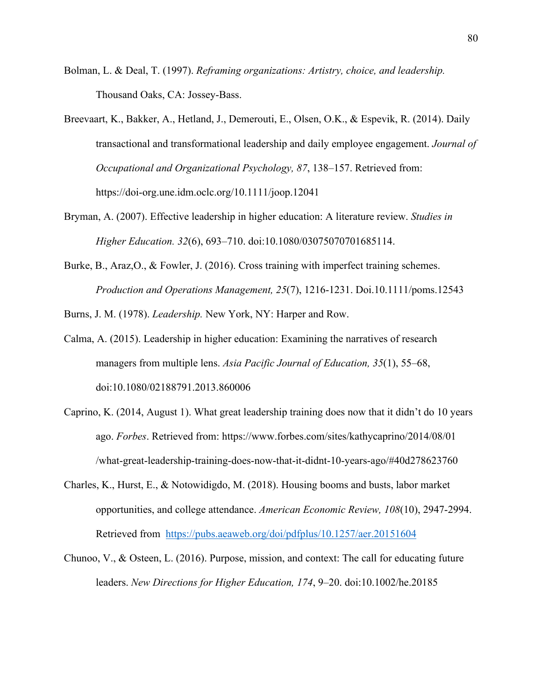- Bolman, L. & Deal, T. (1997). *Reframing organizations: Artistry, choice, and leadership.* Thousand Oaks, CA: Jossey-Bass.
- Breevaart, K., Bakker, A., Hetland, J., Demerouti, E., Olsen, O.K., & Espevik, R. (2014). Daily transactional and transformational leadership and daily employee engagement. *Journal of Occupational and Organizational Psychology, 87*, 138–157. Retrieved from: https://doi-org.une.idm.oclc.org/10.1111/joop.12041
- Bryman, A. (2007). Effective leadership in higher education: A literature review. *Studies in Higher Education. 32*(6), 693–710. doi:10.1080/03075070701685114.
- Burke, B., Araz, O., & Fowler, J. (2016). Cross training with imperfect training schemes. *Production and Operations Management, 25*(7), 1216-1231. Doi.10.1111/poms.12543

Burns, J. M. (1978). *Leadership.* New York, NY: Harper and Row.

- Calma, A. (2015). Leadership in higher education: Examining the narratives of research managers from multiple lens. *Asia Pacific Journal of Education, 35*(1), 55–68, doi:10.1080/02188791.2013.860006
- Caprino, K. (2014, August 1). What great leadership training does now that it didn't do 10 years ago. *Forbes*. Retrieved from: https://www.forbes.com/sites/kathycaprino/2014/08/01 /what-great-leadership-training-does-now-that-it-didnt-10-years-ago/#40d278623760
- Charles, K., Hurst, E., & Notowidigdo, M. (2018). Housing booms and busts, labor market opportunities, and college attendance. *American Economic Review, 108*(10), 2947-2994. Retrieved from https://pubs.aeaweb.org/doi/pdfplus/10.1257/aer.20151604
- Chunoo, V., & Osteen, L. (2016). Purpose, mission, and context: The call for educating future leaders. *New Directions for Higher Education, 174*, 9–20. doi:10.1002/he.20185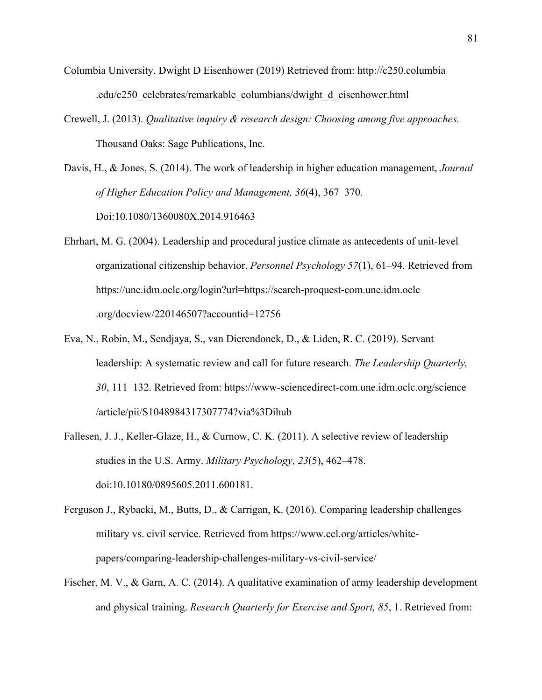- Columbia University. Dwight D Eisenhower (2019) Retrieved from: http://c250.columbia .edu/c250\_celebrates/remarkable\_columbians/dwight\_d\_eisenhower.html
- Crewell, J. (2013). *Qualitative inquiry & research design: Choosing among five approaches.*  Thousand Oaks: Sage Publications, Inc.
- Davis, H., & Jones, S. (2014). The work of leadership in higher education management, *Journal of Higher Education Policy and Management, 36*(4), 367–370. Doi:10.1080/1360080X.2014.916463
- Ehrhart, M. G. (2004). Leadership and procedural justice climate as antecedents of unit-level organizational citizenship behavior. *Personnel Psychology 57*(1), 61–94. Retrieved from https://une.idm.oclc.org/login?url=https://search-proquest-com.une.idm.oclc .org/docview/220146507?accountid=12756
- Eva, N., Robin, M., Sendjaya, S., van Dierendonck, D., & Liden, R. C. (2019). Servant leadership: A systematic review and call for future research. *The Leadership Quarterly, 30*, 111–132. Retrieved from: https://www-sciencedirect-com.une.idm.oclc.org/science /article/pii/S1048984317307774?via%3Dihub
- Fallesen, J. J., Keller-Glaze, H., & Curnow, C. K. (2011). A selective review of leadership studies in the U.S. Army. *Military Psychology, 23*(5), 462–478. doi:10.10180/0895605.2011.600181.
- Ferguson J., Rybacki, M., Butts, D., & Carrigan, K. (2016). Comparing leadership challenges military vs. civil service. Retrieved from https://www.ccl.org/articles/whitepapers/comparing-leadership-challenges-military-vs-civil-service/
- Fischer, M. V., & Garn, A. C. (2014). A qualitative examination of army leadership development and physical training. *Research Quarterly for Exercise and Sport, 85*, 1. Retrieved from: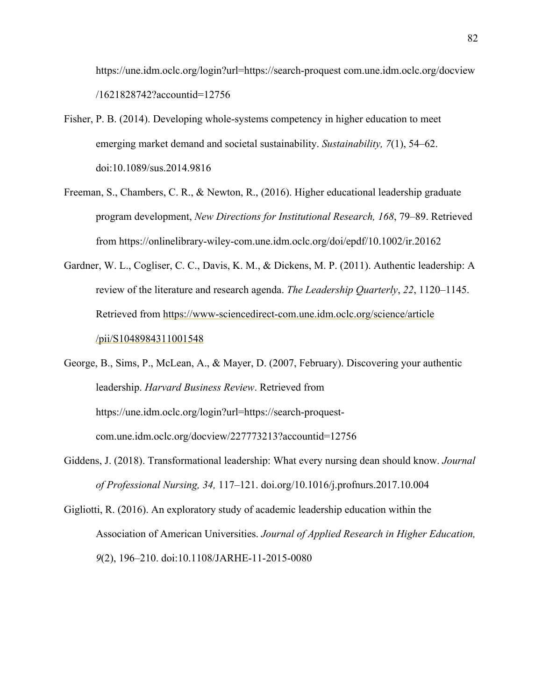https://une.idm.oclc.org/login?url=https://search-proquest com.une.idm.oclc.org/docview /1621828742?accountid=12756

- Fisher, P. B. (2014). Developing whole-systems competency in higher education to meet emerging market demand and societal sustainability. *Sustainability, 7*(1), 54–62. doi:10.1089/sus.2014.9816
- Freeman, S., Chambers, C. R., & Newton, R., (2016). Higher educational leadership graduate program development, *New Directions for Institutional Research, 168*, 79–89. Retrieved from https://onlinelibrary-wiley-com.une.idm.oclc.org/doi/epdf/10.1002/ir.20162
- Gardner, W. L., Cogliser, C. C., Davis, K. M., & Dickens, M. P. (2011). Authentic leadership: A review of the literature and research agenda. *The Leadership Quarterly*, *22*, 1120–1145. Retrieved from https://www-sciencedirect-com.une.idm.oclc.org/science/article /pii/S1048984311001548

George, B., Sims, P., McLean, A., & Mayer, D. (2007, February). Discovering your authentic leadership. *Harvard Business Review*. Retrieved from https://une.idm.oclc.org/login?url=https://search-proquestcom.une.idm.oclc.org/docview/227773213?accountid=12756

Giddens, J. (2018). Transformational leadership: What every nursing dean should know. *Journal of Professional Nursing, 34,* 117–121. doi.org/10.1016/j.profnurs.2017.10.004

Gigliotti, R. (2016). An exploratory study of academic leadership education within the Association of American Universities. *Journal of Applied Research in Higher Education, 9*(2), 196–210. doi:10.1108/JARHE-11-2015-0080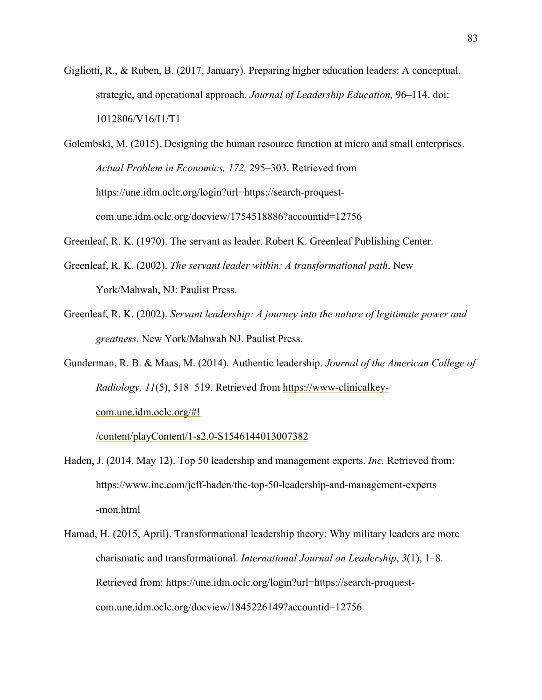Gigliotti, R., & Ruben, B. (2017, January). Preparing higher education leaders: A conceptual, strategic, and operational approach. *Journal of Leadership Education,* 96–114. doi: 1012806/V16/I1/T1

Golembski, M. (2015). Designing the human resource function at micro and small enterprises. *Actual Problem in Economics, 172,* 295–303. Retrieved from https://une.idm.oclc.org/login?url=https://search-proquestcom.une.idm.oclc.org/docview/1754518886?accountid=12756

- Greenleaf, R. K. (1970). The servant as leader. Robert K. Greenleaf Publishing Center.
- Greenleaf, R. K. (2002). *The servant leader within: A transformational path*. New York/Mahwah, NJ: Paulist Press.
- Greenleaf, R. K. (2002). *Servant leadership: A journey into the nature of legitimate power and greatness.* New York/Mahwah NJ. Paulist Press.
- Gunderman, R. B. & Maas, M. (2014). Authentic leadership. *Journal of the American College of Radiology, 11*(5), 518–519. Retrieved from https://www-clinicalkeycom.une.idm.oclc.org/#!

/content/playContent/1-s2.0-S1546144013007382

- Haden, J. (2014, May 12). Top 50 leadership and management experts. *Inc.* Retrieved from: https://www.inc.com/jeff-haden/the-top-50-leadership-and-management-experts -mon.html
- Hamad, H. (2015, April). Transformational leadership theory: Why military leaders are more charismatic and transformational. *International Journal on Leadership*, *3*(1), 1–8. Retrieved from: https://une.idm.oclc.org/login?url=https://search-proquestcom.une.idm.oclc.org/docview/1845226149?accountid=12756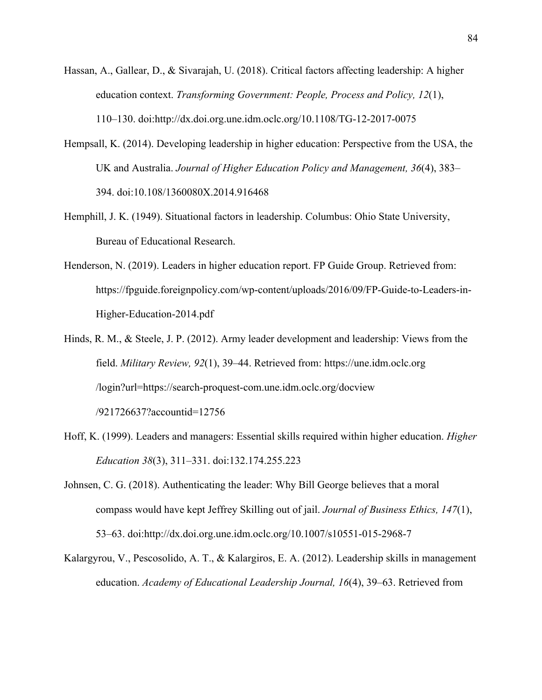- Hassan, A., Gallear, D., & Sivarajah, U. (2018). Critical factors affecting leadership: A higher education context. *Transforming Government: People, Process and Policy, 12*(1), 110–130. doi:http://dx.doi.org.une.idm.oclc.org/10.1108/TG-12-2017-0075
- Hempsall, K. (2014). Developing leadership in higher education: Perspective from the USA, the UK and Australia. *Journal of Higher Education Policy and Management, 36*(4), 383– 394. doi:10.108/1360080X.2014.916468
- Hemphill, J. K. (1949). Situational factors in leadership. Columbus: Ohio State University, Bureau of Educational Research.
- Henderson, N. (2019). Leaders in higher education report. FP Guide Group. Retrieved from: https://fpguide.foreignpolicy.com/wp-content/uploads/2016/09/FP-Guide-to-Leaders-in-Higher-Education-2014.pdf
- Hinds, R. M., & Steele, J. P. (2012). Army leader development and leadership: Views from the field. *Military Review, 92*(1), 39–44. Retrieved from: https://une.idm.oclc.org /login?url=https://search-proquest-com.une.idm.oclc.org/docview /921726637?accountid=12756
- Hoff, K. (1999). Leaders and managers: Essential skills required within higher education. *Higher Education 38*(3), 311–331. doi:132.174.255.223
- Johnsen, C. G. (2018). Authenticating the leader: Why Bill George believes that a moral compass would have kept Jeffrey Skilling out of jail. *Journal of Business Ethics, 147*(1), 53–63. doi:http://dx.doi.org.une.idm.oclc.org/10.1007/s10551-015-2968-7
- Kalargyrou, V., Pescosolido, A. T., & Kalargiros, E. A. (2012). Leadership skills in management education. *Academy of Educational Leadership Journal, 16*(4), 39–63. Retrieved from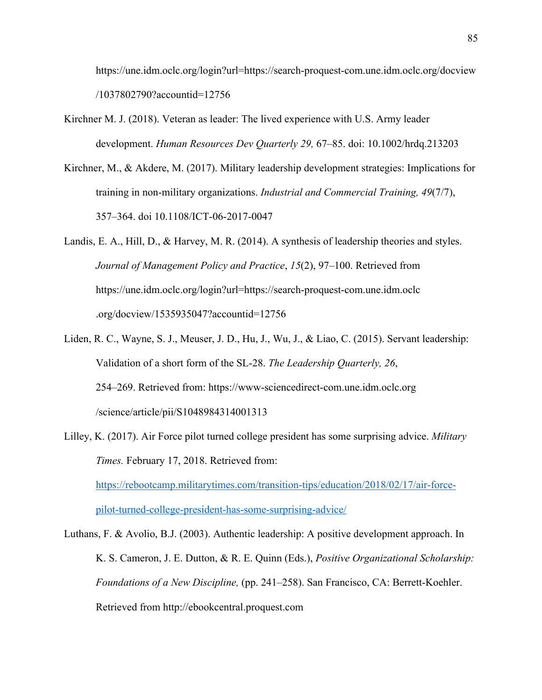https://une.idm.oclc.org/login?url=https://search-proquest-com.une.idm.oclc.org/docview /1037802790?accountid=12756

- Kirchner M. J. (2018). Veteran as leader: The lived experience with U.S. Army leader development. *Human Resources Dev Quarterly 29,* 67–85. doi: 10.1002/hrdq.213203
- Kirchner, M., & Akdere, M. (2017). Military leadership development strategies: Implications for training in non-military organizations. *Industrial and Commercial Training, 49*(7/7), 357–364. doi 10.1108/ICT-06-2017-0047

Landis, E. A., Hill, D., & Harvey, M. R. (2014). A synthesis of leadership theories and styles. *Journal of Management Policy and Practice*, *15*(2), 97–100. Retrieved from https://une.idm.oclc.org/login?url=https://search-proquest-com.une.idm.oclc .org/docview/1535935047?accountid=12756

- Liden, R. C., Wayne, S. J., Meuser, J. D., Hu, J., Wu, J., & Liao, C. (2015). Servant leadership: Validation of a short form of the SL-28. *The Leadership Quarterly, 26*, 254–269. Retrieved from: https://www-sciencedirect-com.une.idm.oclc.org /science/article/pii/S1048984314001313
- Lilley, K. (2017). Air Force pilot turned college president has some surprising advice. *Military Times.* February 17, 2018. Retrieved from: https://rebootcamp.militarytimes.com/transition-tips/education/2018/02/17/air-forcepilot-turned-college-president-has-some-surprising-advice/

Luthans, F. & Avolio, B.J. (2003). Authentic leadership: A positive development approach. In K. S. Cameron, J. E. Dutton, & R. E. Quinn (Eds.), *Positive Organizational Scholarship: Foundations of a New Discipline,* (pp. 241–258). San Francisco, CA: Berrett-Koehler. Retrieved from http://ebookcentral.proquest.com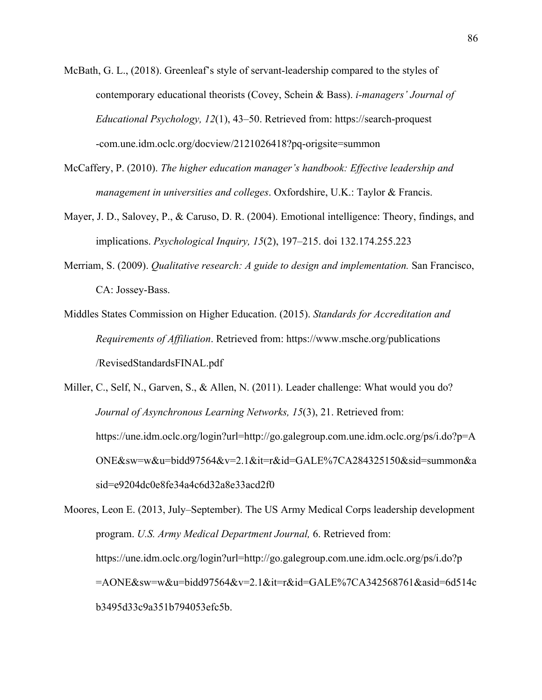- McBath, G. L., (2018). Greenleaf's style of servant-leadership compared to the styles of contemporary educational theorists (Covey, Schein & Bass). *i-managers' Journal of Educational Psychology, 12*(1), 43–50. Retrieved from: https://search-proquest -com.une.idm.oclc.org/docview/2121026418?pq-origsite=summon
- McCaffery, P. (2010). *The higher education manager's handbook: Effective leadership and management in universities and colleges*. Oxfordshire, U.K.: Taylor & Francis.
- Mayer, J. D., Salovey, P., & Caruso, D. R. (2004). Emotional intelligence: Theory, findings, and implications. *Psychological Inquiry, 15*(2), 197–215. doi 132.174.255.223
- Merriam, S. (2009). *Qualitative research: A guide to design and implementation.* San Francisco, CA: Jossey-Bass.
- Middles States Commission on Higher Education. (2015). *Standards for Accreditation and Requirements of Affiliation*. Retrieved from: https://www.msche.org/publications /RevisedStandardsFINAL.pdf
- Miller, C., Self, N., Garven, S., & Allen, N. (2011). Leader challenge: What would you do? *Journal of Asynchronous Learning Networks, 15*(3), 21. Retrieved from: https://une.idm.oclc.org/login?url=http://go.galegroup.com.une.idm.oclc.org/ps/i.do?p=A ONE&sw=w&u=bidd97564&v=2.1&it=r&id=GALE%7CA284325150&sid=summon&a sid=e9204dc0e8fe34a4c6d32a8e33acd2f0

Moores, Leon E. (2013, July–September). The US Army Medical Corps leadership development program. *U.S. Army Medical Department Journal,* 6. Retrieved from: https://une.idm.oclc.org/login?url=http://go.galegroup.com.une.idm.oclc.org/ps/i.do?p =AONE&sw=w&u=bidd97564&v=2.1&it=r&id=GALE%7CA342568761&asid=6d514c b3495d33c9a351b794053efc5b.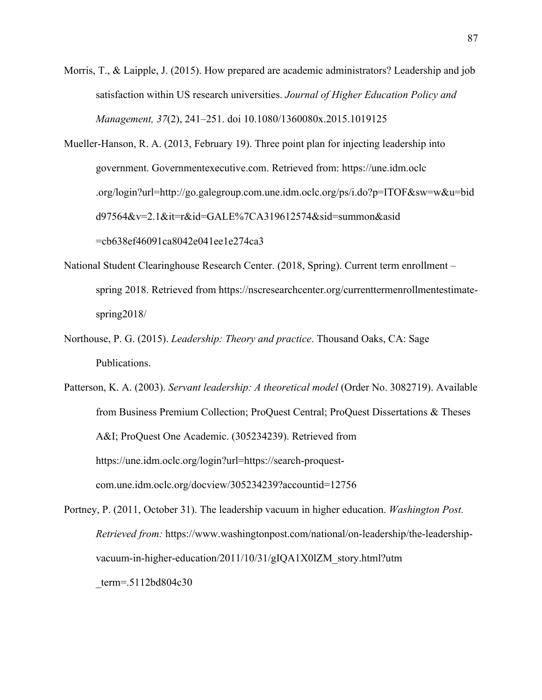Morris, T., & Laipple, J. (2015). How prepared are academic administrators? Leadership and job satisfaction within US research universities. *Journal of Higher Education Policy and Management, 37*(2), 241–251. doi 10.1080/1360080x.2015.1019125

Mueller-Hanson, R. A. (2013, February 19). Three point plan for injecting leadership into government. Governmentexecutive.com. Retrieved from: https://une.idm.oclc .org/login?url=http://go.galegroup.com.une.idm.oclc.org/ps/i.do?p=ITOF&sw=w&u=bid d97564&v=2.1&it=r&id=GALE%7CA319612574&sid=summon&asid =cb638ef46091ca8042e041ee1e274ca3

- National Student Clearinghouse Research Center. (2018, Spring). Current term enrollment spring 2018. Retrieved from https://nscresearchcenter.org/currenttermenrollmentestimatespring2018/
- Northouse, P. G. (2015). *Leadership: Theory and practice*. Thousand Oaks, CA: Sage Publications.

Patterson, K. A. (2003). *Servant leadership: A theoretical model* (Order No. 3082719). Available from Business Premium Collection; ProQuest Central; ProQuest Dissertations & Theses A&I; ProQuest One Academic. (305234239). Retrieved from https://une.idm.oclc.org/login?url=https://search-proquestcom.une.idm.oclc.org/docview/305234239?accountid=12756

Portney, P. (2011, October 31). The leadership vacuum in higher education. *Washington Post. Retrieved from:* https://www.washingtonpost.com/national/on-leadership/the-leadershipvacuum-in-higher-education/2011/10/31/gIQA1X0lZM\_story.html?utm \_term=.5112bd804c30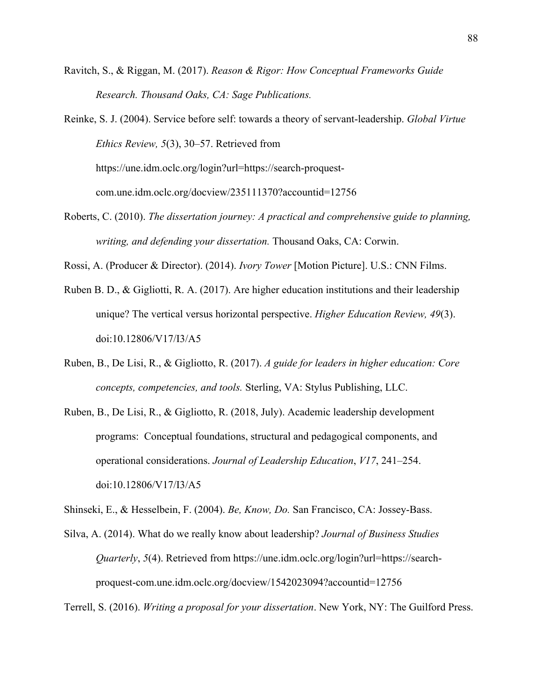- Ravitch, S., & Riggan, M. (2017). *Reason & Rigor: How Conceptual Frameworks Guide Research. Thousand Oaks, CA: Sage Publications.*
- Reinke, S. J. (2004). Service before self: towards a theory of servant-leadership. *Global Virtue Ethics Review, 5*(3), 30–57. Retrieved from https://une.idm.oclc.org/login?url=https://search-proquestcom.une.idm.oclc.org/docview/235111370?accountid=12756
- Roberts, C. (2010). *The dissertation journey: A practical and comprehensive guide to planning, writing, and defending your dissertation.* Thousand Oaks, CA: Corwin.

Rossi, A. (Producer & Director). (2014). *Ivory Tower* [Motion Picture]. U.S.: CNN Films.

- Ruben B. D., & Gigliotti, R. A. (2017). Are higher education institutions and their leadership unique? The vertical versus horizontal perspective. *Higher Education Review, 49*(3). doi:10.12806/V17/I3/A5
- Ruben, B., De Lisi, R., & Gigliotto, R. (2017). *A guide for leaders in higher education: Core concepts, competencies, and tools.* Sterling, VA: Stylus Publishing, LLC.
- Ruben, B., De Lisi, R., & Gigliotto, R. (2018, July). Academic leadership development programs: Conceptual foundations, structural and pedagogical components, and operational considerations. *Journal of Leadership Education*, *V17*, 241–254. doi:10.12806/V17/I3/A5

Shinseki, E., & Hesselbein, F. (2004). *Be, Know, Do.* San Francisco, CA: Jossey-Bass.

Silva, A. (2014). What do we really know about leadership? *Journal of Business Studies Quarterly*, *5*(4). Retrieved from https://une.idm.oclc.org/login?url=https://searchproquest-com.une.idm.oclc.org/docview/1542023094?accountid=12756

Terrell, S. (2016). *Writing a proposal for your dissertation*. New York, NY: The Guilford Press.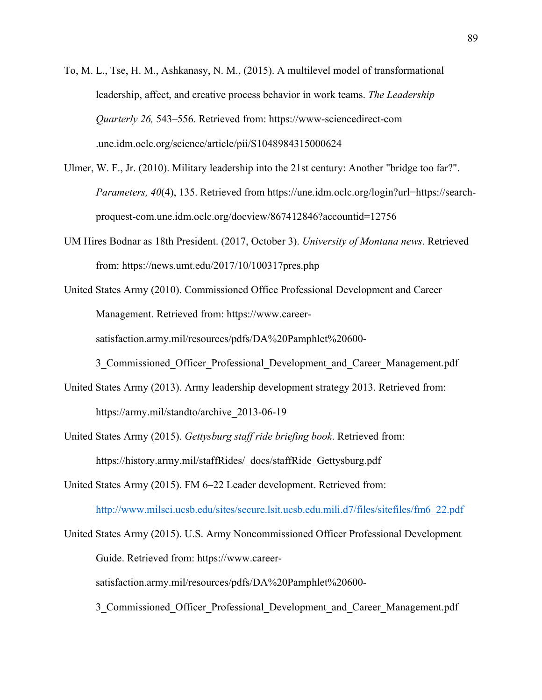- To, M. L., Tse, H. M., Ashkanasy, N. M., (2015). A multilevel model of transformational leadership, affect, and creative process behavior in work teams. *The Leadership Quarterly 26,* 543–556. Retrieved from: https://www-sciencedirect-com .une.idm.oclc.org/science/article/pii/S1048984315000624
- Ulmer, W. F., Jr. (2010). Military leadership into the 21st century: Another "bridge too far?". *Parameters, 40*(4), 135. Retrieved from https://une.idm.oclc.org/login?url=https://searchproquest-com.une.idm.oclc.org/docview/867412846?accountid=12756
- UM Hires Bodnar as 18th President. (2017, October 3). *University of Montana news*. Retrieved from: https://news.umt.edu/2017/10/100317pres.php
- United States Army (2010). Commissioned Office Professional Development and Career Management. Retrieved from: https://www.careersatisfaction.army.mil/resources/pdfs/DA%20Pamphlet%20600-

3 Commissioned Officer Professional Development and Career Management.pdf

- United States Army (2013). Army leadership development strategy 2013. Retrieved from: https://army.mil/standto/archive\_2013-06-19
- United States Army (2015). *Gettysburg staff ride briefing book*. Retrieved from: https://history.army.mil/staffRides/\_docs/staffRide\_Gettysburg.pdf

United States Army (2015). FM 6–22 Leader development. Retrieved from: http://www.milsci.ucsb.edu/sites/secure.lsit.ucsb.edu.mili.d7/files/sitefiles/fm6\_22.pdf

United States Army (2015). U.S. Army Noncommissioned Officer Professional Development Guide. Retrieved from: https://www.careersatisfaction.army.mil/resources/pdfs/DA%20Pamphlet%20600-

3 Commissioned Officer Professional Development and Career Management.pdf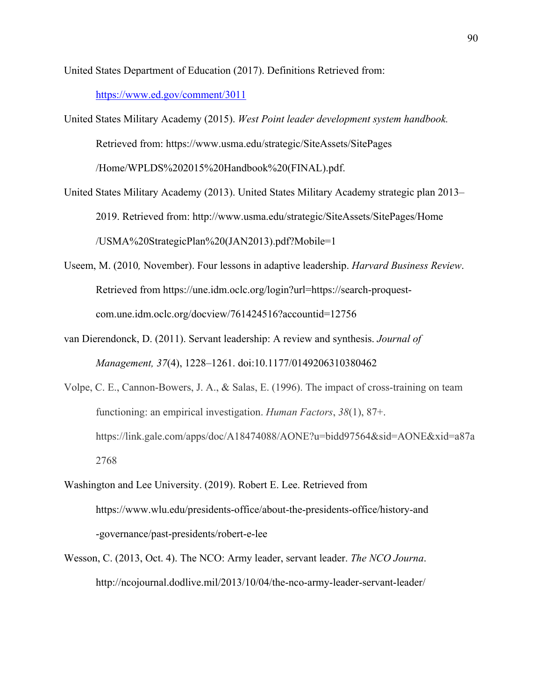United States Department of Education (2017). Definitions Retrieved from: https://www.ed.gov/comment/3011

- United States Military Academy (2015). *West Point leader development system handbook.* Retrieved from: https://www.usma.edu/strategic/SiteAssets/SitePages /Home/WPLDS%202015%20Handbook%20(FINAL).pdf.
- United States Military Academy (2013). United States Military Academy strategic plan 2013– 2019. Retrieved from: http://www.usma.edu/strategic/SiteAssets/SitePages/Home /USMA%20StrategicPlan%20(JAN2013).pdf?Mobile=1
- Useem, M. (2010*,* November). Four lessons in adaptive leadership. *Harvard Business Review*. Retrieved from https://une.idm.oclc.org/login?url=https://search-proquestcom.une.idm.oclc.org/docview/761424516?accountid=12756
- van Dierendonck, D. (2011). Servant leadership: A review and synthesis. *Journal of Management, 37*(4), 1228–1261. doi:10.1177/0149206310380462
- Volpe, C. E., Cannon-Bowers, J. A., & Salas, E. (1996). The impact of cross-training on team functioning: an empirical investigation. *Human Factors*, *38*(1), 87+. https://link.gale.com/apps/doc/A18474088/AONE?u=bidd97564&sid=AONE&xid=a87a 2768
- Washington and Lee University. (2019). Robert E. Lee. Retrieved from https://www.wlu.edu/presidents-office/about-the-presidents-office/history-and -governance/past-presidents/robert-e-lee
- Wesson, C. (2013, Oct. 4). The NCO: Army leader, servant leader. *The NCO Journa*. http://ncojournal.dodlive.mil/2013/10/04/the-nco-army-leader-servant-leader/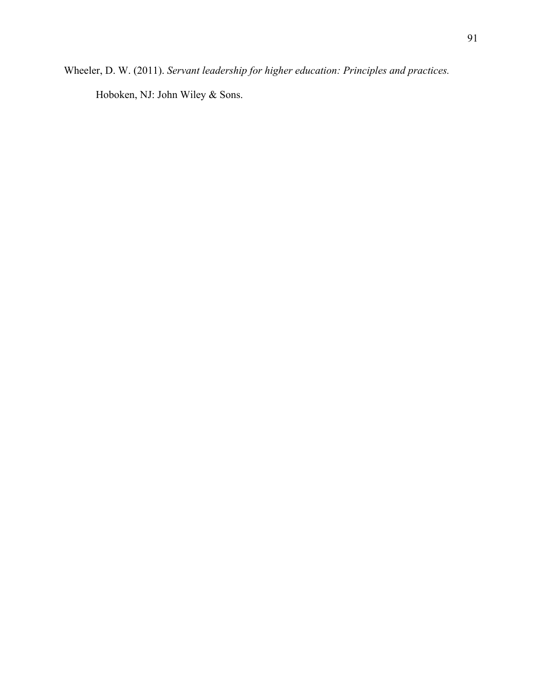Wheeler, D. W. (2011). *Servant leadership for higher education: Principles and practices.*

Hoboken, NJ: John Wiley & Sons.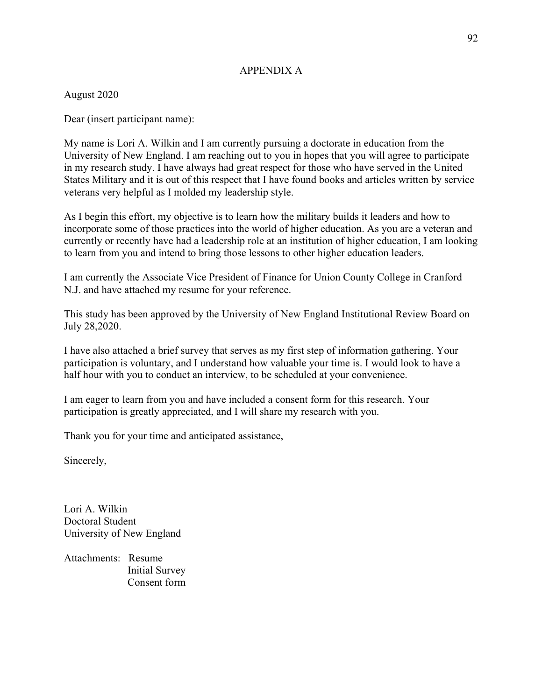# APPENDIX A

August 2020

Dear (insert participant name):

My name is Lori A. Wilkin and I am currently pursuing a doctorate in education from the University of New England. I am reaching out to you in hopes that you will agree to participate in my research study. I have always had great respect for those who have served in the United States Military and it is out of this respect that I have found books and articles written by service veterans very helpful as I molded my leadership style.

As I begin this effort, my objective is to learn how the military builds it leaders and how to incorporate some of those practices into the world of higher education. As you are a veteran and currently or recently have had a leadership role at an institution of higher education, I am looking to learn from you and intend to bring those lessons to other higher education leaders.

I am currently the Associate Vice President of Finance for Union County College in Cranford N.J. and have attached my resume for your reference.

This study has been approved by the University of New England Institutional Review Board on July 28,2020.

I have also attached a brief survey that serves as my first step of information gathering. Your participation is voluntary, and I understand how valuable your time is. I would look to have a half hour with you to conduct an interview, to be scheduled at your convenience.

I am eager to learn from you and have included a consent form for this research. Your participation is greatly appreciated, and I will share my research with you.

Thank you for your time and anticipated assistance,

Sincerely,

Lori A. Wilkin Doctoral Student University of New England

Attachments: Resume Initial Survey Consent form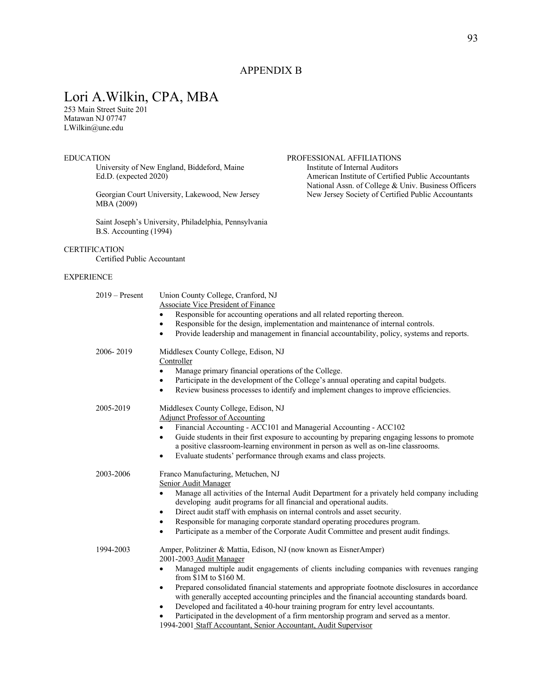# APPENDIX B

# Lori A.Wilkin, CPA, MBA

253 Main Street Suite 201 Matawan NJ 07747 LWilkin@une.edu

University of New England, Biddeford, Maine Ed.D. (expected 2020)

MBA (2009)

Saint Joseph's University, Philadelphia, Pennsylvania B.S. Accounting (1994)

#### **CERTIFICATION**

Certified Public Accountant

#### EXPERIENCE

| $2019 -$ Present | Union County College, Cranford, NJ                                                                                                                                                                |  |  |
|------------------|---------------------------------------------------------------------------------------------------------------------------------------------------------------------------------------------------|--|--|
|                  | <b>Associate Vice President of Finance</b>                                                                                                                                                        |  |  |
|                  | Responsible for accounting operations and all related reporting thereon.                                                                                                                          |  |  |
|                  | Responsible for the design, implementation and maintenance of internal controls.<br>$\bullet$                                                                                                     |  |  |
|                  | Provide leadership and management in financial accountability, policy, systems and reports.                                                                                                       |  |  |
| 2006-2019        | Middlesex County College, Edison, NJ                                                                                                                                                              |  |  |
|                  | Controller                                                                                                                                                                                        |  |  |
|                  | Manage primary financial operations of the College.<br>$\bullet$                                                                                                                                  |  |  |
|                  | Participate in the development of the College's annual operating and capital budgets.<br>$\bullet$                                                                                                |  |  |
|                  | Review business processes to identify and implement changes to improve efficiencies.<br>$\bullet$                                                                                                 |  |  |
| 2005-2019        | Middlesex County College, Edison, NJ                                                                                                                                                              |  |  |
|                  | <b>Adjunct Professor of Accounting</b>                                                                                                                                                            |  |  |
|                  | Financial Accounting - ACC101 and Managerial Accounting - ACC102                                                                                                                                  |  |  |
|                  | Guide students in their first exposure to accounting by preparing engaging lessons to promote<br>$\bullet$                                                                                        |  |  |
|                  | a positive classroom-learning environment in person as well as on-line classrooms.                                                                                                                |  |  |
|                  | Evaluate students' performance through exams and class projects.                                                                                                                                  |  |  |
| 2003-2006        | Franco Manufacturing, Metuchen, NJ                                                                                                                                                                |  |  |
|                  | Senior Audit Manager                                                                                                                                                                              |  |  |
|                  | Manage all activities of the Internal Audit Department for a privately held company including<br>$\bullet$<br>developing audit programs for all financial and operational audits.                 |  |  |
|                  | Direct audit staff with emphasis on internal controls and asset security.<br>$\bullet$                                                                                                            |  |  |
|                  | Responsible for managing corporate standard operating procedures program.                                                                                                                         |  |  |
|                  | Participate as a member of the Corporate Audit Committee and present audit findings.                                                                                                              |  |  |
| 1994-2003        | Amper, Politziner & Mattia, Edison, NJ (now known as EisnerAmper)<br>2001-2003 Audit Manager                                                                                                      |  |  |
|                  | Managed multiple audit engagements of clients including companies with revenues ranging<br>from $$1M$ to $$160$ M.                                                                                |  |  |
|                  | Prepared consolidated financial statements and appropriate footnote disclosures in accordance<br>٠<br>with generally accepted accounting principles and the financial accounting standards board. |  |  |
|                  | Developed and facilitated a 40-hour training program for entry level accountants.<br>$\bullet$                                                                                                    |  |  |
|                  | Participated in the development of a firm mentorship program and served as a mentor.                                                                                                              |  |  |
|                  | 1994-2001 Staff Accountant, Senior Accountant, Audit Supervisor                                                                                                                                   |  |  |
|                  |                                                                                                                                                                                                   |  |  |

# EDUCATION<br>
University of New England, Biddeford, Maine<br>
Institute of Internal Auditors<br>
Institute of Internal Auditors American Institute of Certified Public Accountants National Assn. of College & Univ. Business Officers Georgian Court University, Lakewood, New Jersey New Jersey Society of Certified Public Accountants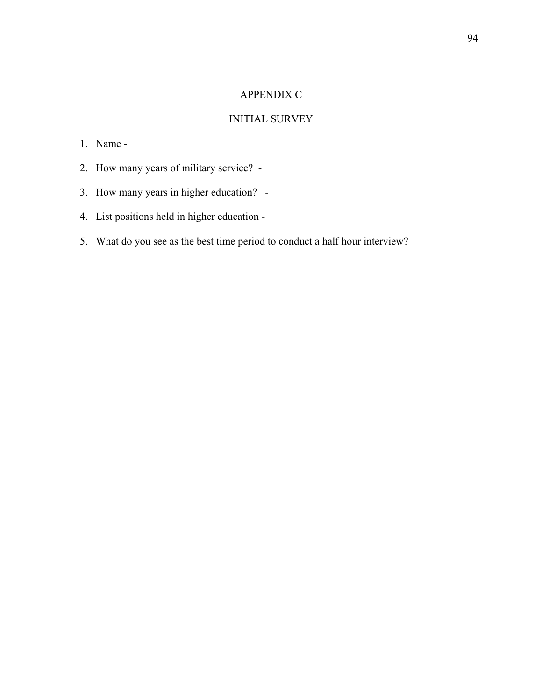# APPENDIX C

# INITIAL SURVEY

# 1. Name -

- 2. How many years of military service? -
- 3. How many years in higher education? -
- 4. List positions held in higher education -
- 5. What do you see as the best time period to conduct a half hour interview?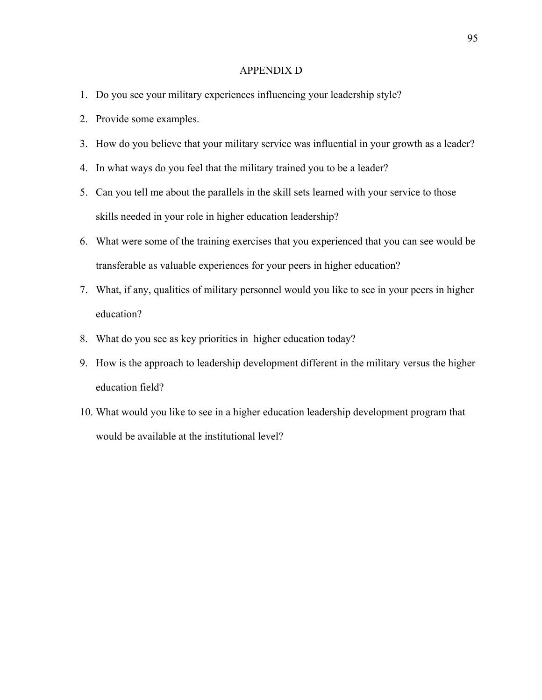#### APPENDIX D

- 1. Do you see your military experiences influencing your leadership style?
- 2. Provide some examples.
- 3. How do you believe that your military service was influential in your growth as a leader?
- 4. In what ways do you feel that the military trained you to be a leader?
- 5. Can you tell me about the parallels in the skill sets learned with your service to those skills needed in your role in higher education leadership?
- 6. What were some of the training exercises that you experienced that you can see would be transferable as valuable experiences for your peers in higher education?
- 7. What, if any, qualities of military personnel would you like to see in your peers in higher education?
- 8. What do you see as key priorities in higher education today?
- 9. How is the approach to leadership development different in the military versus the higher education field?
- 10. What would you like to see in a higher education leadership development program that would be available at the institutional level?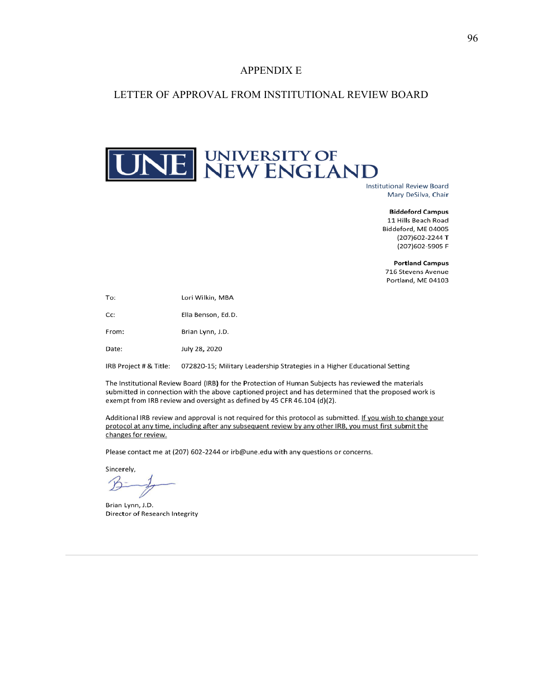#### APPENDIX E

### LETTER OF APPROVAL FROM INSTITUTIONAL REVIEW BOARD

# NE NEW ENGLAND

**Institutional Review Board** Mary DeSilva, Chair

> **Biddeford Campus** 11 Hills Beach Road Biddeford, ME 04005 (207) 602-2244 T (207) 602-5905 F

**Portland Campus** 716 Stevens Avenue Portland, ME 04103

Lori Wilkin, MBA To:

Cc: Ella Benson, Ed.D.

Brian Lynn, J.D. From:

July 28, 2020 Date:

IRB Project # & Title: 072820-15; Military Leadership Strategies in a Higher Educational Setting

The Institutional Review Board (IRB) for the Protection of Human Subjects has reviewed the materials submitted in connection with the above captioned project and has determined that the proposed work is exempt from IRB review and oversight as defined by 45 CFR 46.104 (d)(2).

Additional IRB review and approval is not required for this protocol as submitted. If you wish to change your protocol at any time, including after any subsequent review by any other IRB, you must first submit the changes for review.

Please contact me at (207) 602-2244 or irb@une.edu with any questions or concerns.

Sincerely,

Brian Lynn, J.D. Director of Research Integrity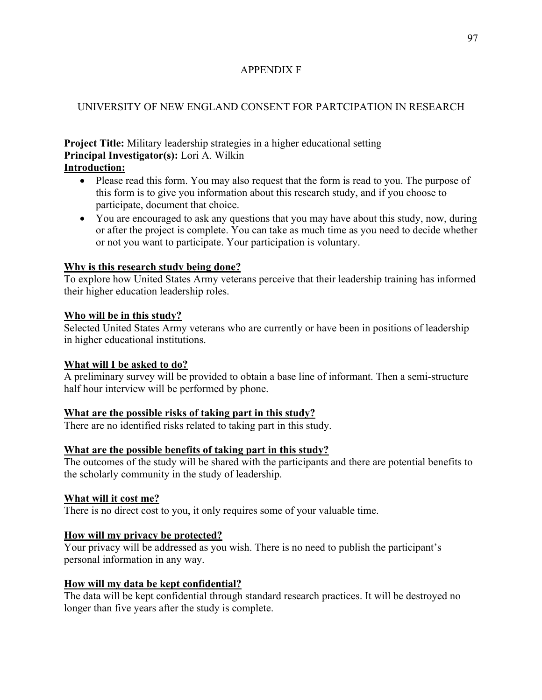# APPENDIX F

# UNIVERSITY OF NEW ENGLAND CONSENT FOR PARTCIPATION IN RESEARCH

**Project Title:** Military leadership strategies in a higher educational setting **Principal Investigator(s):** Lori A. Wilkin

# **Introduction:**

- Please read this form. You may also request that the form is read to you. The purpose of this form is to give you information about this research study, and if you choose to participate, document that choice.
- You are encouraged to ask any questions that you may have about this study, now, during or after the project is complete. You can take as much time as you need to decide whether or not you want to participate. Your participation is voluntary.

# **Why is this research study being done?**

To explore how United States Army veterans perceive that their leadership training has informed their higher education leadership roles.

# **Who will be in this study?**

Selected United States Army veterans who are currently or have been in positions of leadership in higher educational institutions.

# **What will I be asked to do?**

A preliminary survey will be provided to obtain a base line of informant. Then a semi-structure half hour interview will be performed by phone.

# **What are the possible risks of taking part in this study?**

There are no identified risks related to taking part in this study.

# **What are the possible benefits of taking part in this study?**

The outcomes of the study will be shared with the participants and there are potential benefits to the scholarly community in the study of leadership.

# **What will it cost me?**

There is no direct cost to you, it only requires some of your valuable time.

# **How will my privacy be protected?**

Your privacy will be addressed as you wish. There is no need to publish the participant's personal information in any way.

# **How will my data be kept confidential?**

The data will be kept confidential through standard research practices. It will be destroyed no longer than five years after the study is complete.